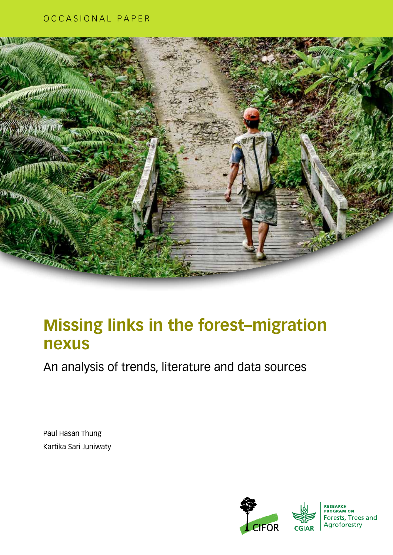## OCCASIONAL PAPER



## **Missing links in the forest–migration nexus**

An analysis of trends, literature and data sources

Paul Hasan Thung Kartika Sari Juniwaty

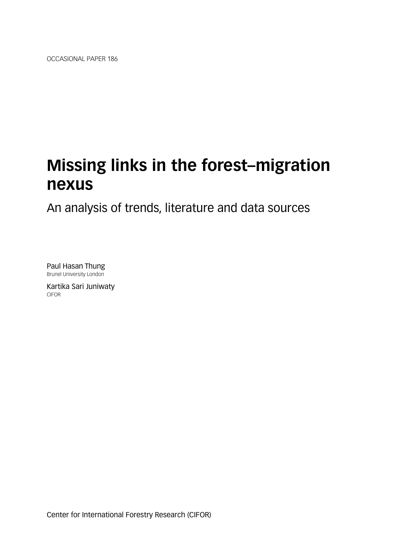OCCASIONAL PAPER 186

## **Missing links in the forest–migration nexus**

An analysis of trends, literature and data sources

Paul Hasan Thung Brunel University London

Kartika Sari Juniwaty CIFOR

Center for International Forestry Research (CIFOR)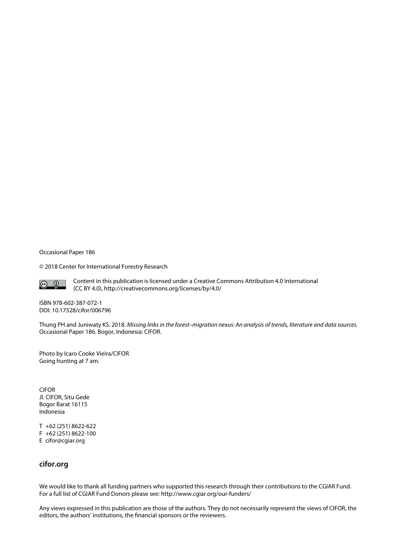Occasional Paper 186

© 2018 Center for International Forestry Research



Content in this publication is licensed under a Creative Commons Attribution 4.0 International (CC BY 4.0), <http://creativecommons.org/licenses/by/4.0/>

ISBN 978-602-387-072-1 DOI: 10.17528/cifor/006796

Thung PH and Juniwaty KS. 2018. *Missing links in the forest–migration nexus: An analysis of trends, literature and data sources.* Occasional Paper 186. Bogor, Indonesia: CIFOR.

Photo by Icaro Cooke Vieira/CIFOR Going hunting at 7 am.

CIFOR Jl. CIFOR, Situ Gede Bogor Barat 16115 Indonesia

T +62 (251) 8622-622 F +62 (251) 8622-100 E cifor@cgiar.org

#### **cifor.org**

We would like to thank all funding partners who supported this research through their contributions to the CGIAR Fund. For a full list of CGIAR Fund Donors please see: [http://www.cgiar.org/our-funders/](http://www.cgiar.org/about-us/our-funders/)

Any views expressed in this publication are those of the authors. They do not necessarily represent the views of CIFOR, the editors, the authors' institutions, the financial sponsors or the reviewers.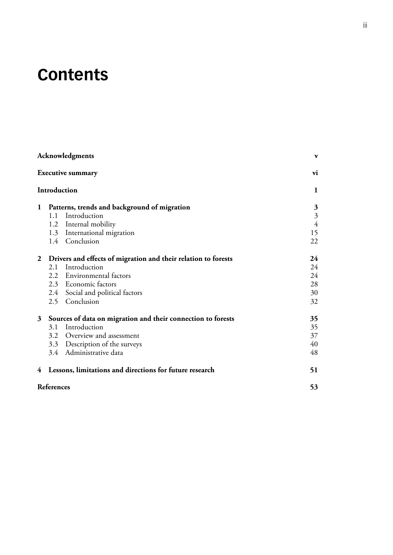## **Contents**

|                |            | Acknowledgments                                                  | $\mathbf{v}$            |
|----------------|------------|------------------------------------------------------------------|-------------------------|
|                |            | <b>Executive summary</b>                                         | vi                      |
|                |            | Introduction                                                     | 1                       |
| $\mathbf 1$    |            | Patterns, trends and background of migration                     | 3                       |
|                | 1.1        | Introduction                                                     | $\overline{\mathbf{3}}$ |
|                |            | 1.2 Internal mobility                                            | $\overline{4}$          |
|                |            | 1.3 International migration                                      | 15                      |
|                |            | 1.4 Conclusion                                                   | 22                      |
|                |            | 2 Drivers and effects of migration and their relation to forests | 24                      |
|                | 2.1        | Introduction                                                     | 24                      |
|                |            | 2.2 Environmental factors                                        | 24                      |
|                |            | 2.3 Economic factors                                             | 28                      |
|                |            | 2.4 Social and political factors                                 | 30                      |
|                |            | 2.5 Conclusion                                                   | 32                      |
| 3 <sup>1</sup> |            | Sources of data on migration and their connection to forests     | 35                      |
|                | 3.1        | Introduction                                                     | 35                      |
|                |            | 3.2 Overview and assessment                                      | 37                      |
|                |            | 3.3 Description of the surveys                                   | 40                      |
|                |            | 3.4 Administrative data                                          | 48                      |
| 4              |            | Lessons, limitations and directions for future research          | 51                      |
|                | References |                                                                  | 53                      |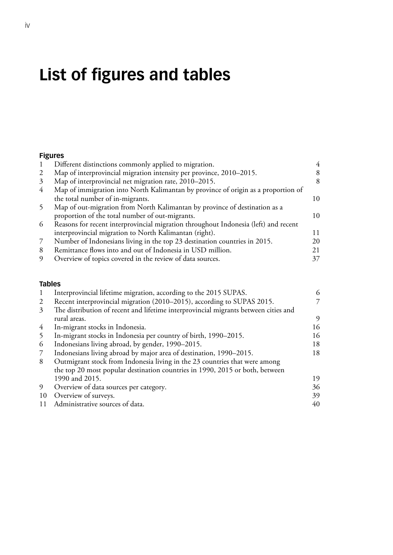# **List of figures and tables**

### **Figures**

|   | Different distinctions commonly applied to migration.                               |    |
|---|-------------------------------------------------------------------------------------|----|
| 2 | Map of interprovincial migration intensity per province, 2010–2015.                 |    |
| 3 | Map of interprovincial net migration rate, 2010–2015.                               | 8  |
| 4 | Map of immigration into North Kalimantan by province of origin as a proportion of   |    |
|   | the total number of in-migrants.                                                    | 10 |
|   | Map of out-migration from North Kalimantan by province of destination as a          |    |
|   | proportion of the total number of out-migrants.                                     | 10 |
| 6 | Reasons for recent interprovincial migration throughout Indonesia (left) and recent |    |
|   | interprovincial migration to North Kalimantan (right).                              | 11 |
| 7 | Number of Indonesians living in the top 23 destination countries in 2015.           | 20 |
| 8 | Remittance flows into and out of Indonesia in USD million.                          | 21 |
| 9 | Overview of topics covered in the review of data sources.                           |    |

#### **Tables**

| 1  | Interprovincial lifetime migration, according to the 2015 SUPAS.                    | 6  |
|----|-------------------------------------------------------------------------------------|----|
| 2  | Recent interprovincial migration (2010–2015), according to SUPAS 2015.              |    |
| 3  | The distribution of recent and lifetime interprovincial migrants between cities and |    |
|    | rural areas.                                                                        | 9  |
| 4  | In-migrant stocks in Indonesia.                                                     | 16 |
| 5  | In-migrant stocks in Indonesia per country of birth, 1990–2015.                     | 16 |
| 6  | Indonesians living abroad, by gender, 1990–2015.                                    | 18 |
| 7  | Indonesians living abroad by major area of destination, 1990–2015.                  | 18 |
| 8  | Outmigrant stock from Indonesia living in the 23 countries that were among          |    |
|    | the top 20 most popular destination countries in 1990, 2015 or both, between        |    |
|    | 1990 and 2015.                                                                      | 19 |
| 9  | Overview of data sources per category.                                              | 36 |
| 10 | Overview of surveys.                                                                | 39 |
|    | Administrative sources of data.                                                     | 40 |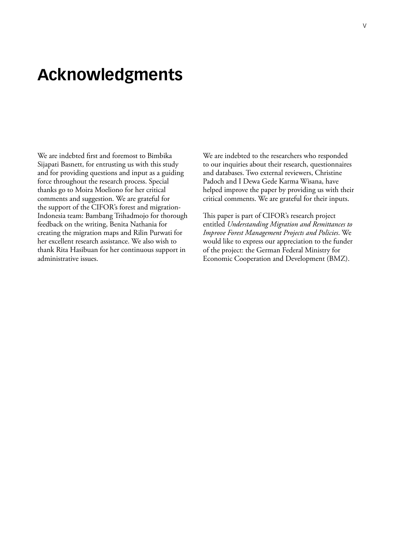## <span id="page-6-0"></span>**Acknowledgments**

We are indebted first and foremost to Bimbika Sijapati Basnett, for entrusting us with this study and for providing questions and input as a guiding force throughout the research process. Special thanks go to Moira Moeliono for her critical comments and suggestion. We are grateful for the support of the CIFOR's forest and migration-Indonesia team: Bambang Trihadmojo for thorough feedback on the writing, Benita Nathania for creating the migration maps and Rilin Purwati for her excellent research assistance. We also wish to thank Rita Hasibuan for her continuous support in administrative issues.

We are indebted to the researchers who responded to our inquiries about their research, questionnaires and databases. Two external reviewers, Christine Padoch and I Dewa Gede Karma Wisana, have helped improve the paper by providing us with their critical comments. We are grateful for their inputs.

This paper is part of CIFOR's research project entitled *Understanding Migration and Remittances to Improve Forest Management Projects and Policies*. We would like to express our appreciation to the funder of the project: the German Federal Ministry for Economic Cooperation and Development (BMZ).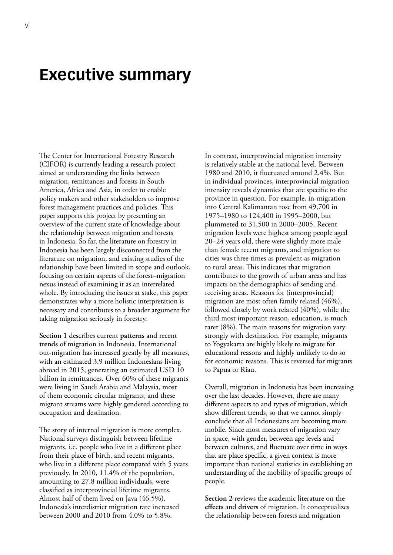## <span id="page-7-0"></span>**Executive summary**

The Center for International Forestry Research (CIFOR) is currently leading a research project aimed at understanding the links between migration, remittances and forests in South America, Africa and Asia, in order to enable policy makers and other stakeholders to improve forest management practices and policies. This paper supports this project by presenting an overview of the current state of knowledge about the relationship between migration and forests in Indonesia. So far, the literature on forestry in Indonesia has been largely disconnected from the literature on migration, and existing studies of the relationship have been limited in scope and outlook, focusing on certain aspects of the forest–migration nexus instead of examining it as an interrelated whole. By introducing the issues at stake, this paper demonstrates why a more holistic interpretation is necessary and contributes to a broader argument for taking migration seriously in forestry.

**Section 1** describes current **patterns** and recent **trends** of migration in Indonesia. International out-migration has increased greatly by all measures, with an estimated 3.9 million Indonesians living abroad in 2015, generating an estimated USD 10 billion in remittances. Over 60% of these migrants were living in Saudi Arabia and Malaysia, most of them economic circular migrants, and these migrant streams were highly gendered according to occupation and destination.

The story of internal migration is more complex. National surveys distinguish between lifetime migrants, i.e. people who live in a different place from their place of birth, and recent migrants, who live in a different place compared with 5 years previously. In 2010, 11.4% of the population, amounting to 27.8 million individuals, were classified as interprovincial lifetime migrants. Almost half of them lived on Java (46.5%). Indonesia's interdistrict migration rate increased between 2000 and 2010 from 4.0% to 5.8%.

In contrast, interprovincial migration intensity is relatively stable at the national level. Between 1980 and 2010, it fluctuated around 2.4%. But in individual provinces, interprovincial migration intensity reveals dynamics that are specific to the province in question. For example, in-migration into Central Kalimantan rose from 49,700 in 1975–1980 to 124,400 in 1995–2000, but plummeted to 31,500 in 2000–2005. Recent migration levels were highest among people aged 20–24 years old, there were slightly more male than female recent migrants, and migration to cities was three times as prevalent as migration to rural areas. This indicates that migration contributes to the growth of urban areas and has impacts on the demographics of sending and receiving areas. Reasons for (interprovincial) migration are most often family related (46%), followed closely by work related (40%), while the third most important reason, education, is much rarer (8%). The main reasons for migration vary strongly with destination. For example, migrants to Yogyakarta are highly likely to migrate for educational reasons and highly unlikely to do so for economic reasons. This is reversed for migrants to Papua or Riau.

Overall, migration in Indonesia has been increasing over the last decades. However, there are many different aspects to and types of migration, which show different trends, so that we cannot simply conclude that all Indonesians are becoming more mobile. Since most measures of migration vary in space, with gender, between age levels and between cultures, and fluctuate over time in ways that are place specific, a given context is more important than national statistics in establishing an understanding of the mobility of specific groups of people.

**Section 2** reviews the academic literature on the **effects** and **drivers** of migration. It conceptualizes the relationship between forests and migration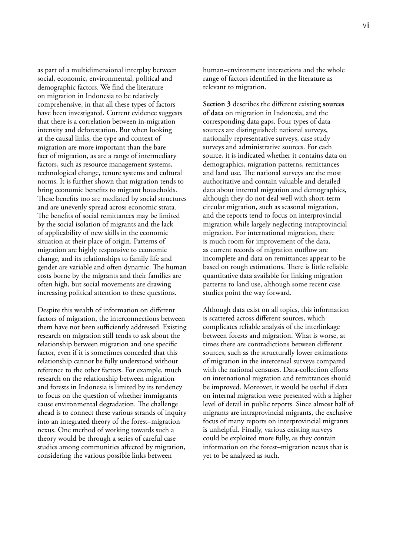as part of a multidimensional interplay between social, economic, environmental, political and demographic factors. We find the literature on migration in Indonesia to be relatively comprehensive, in that all these types of factors have been investigated. Current evidence suggests that there is a correlation between in-migration intensity and deforestation. But when looking at the causal links, the type and context of migration are more important than the bare fact of migration, as are a range of intermediary factors, such as resource management systems, technological change, tenure systems and cultural norms. It is further shown that migration tends to bring economic benefits to migrant households. These benefits too are mediated by social structures and are unevenly spread across economic strata. The benefits of social remittances may be limited by the social isolation of migrants and the lack of applicability of new skills in the economic situation at their place of origin. Patterns of migration are highly responsive to economic change, and its relationships to family life and gender are variable and often dynamic. The human costs borne by the migrants and their families are often high, but social movements are drawing increasing political attention to these questions.

Despite this wealth of information on different factors of migration, the interconnections between them have not been sufficiently addressed. Existing research on migration still tends to ask about the relationship between migration and one specific factor, even if it is sometimes conceded that this relationship cannot be fully understood without reference to the other factors. For example, much research on the relationship between migration and forests in Indonesia is limited by its tendency to focus on the question of whether immigrants cause environmental degradation. The challenge ahead is to connect these various strands of inquiry into an integrated theory of the forest–migration nexus. One method of working towards such a theory would be through a series of careful case studies among communities affected by migration, considering the various possible links between

human–environment interactions and the whole range of factors identified in the literature as relevant to migration.

**Section 3** describes the different existing **sources of data** on migration in Indonesia, and the corresponding data gaps. Four types of data sources are distinguished: national surveys, nationally representative surveys, case study surveys and administrative sources. For each source, it is indicated whether it contains data on demographics, migration patterns, remittances and land use. The national surveys are the most authoritative and contain valuable and detailed data about internal migration and demographics, although they do not deal well with short-term circular migration, such as seasonal migration, and the reports tend to focus on interprovincial migration while largely neglecting intraprovincial migration. For international migration, there is much room for improvement of the data, as current records of migration outflow are incomplete and data on remittances appear to be based on rough estimations. There is little reliable quantitative data available for linking migration patterns to land use, although some recent case studies point the way forward.

Although data exist on all topics, this information is scattered across different sources, which complicates reliable analysis of the interlinkage between forests and migration. What is worse, at times there are contradictions between different sources, such as the structurally lower estimations of migration in the intercensal surveys compared with the national censuses. Data-collection efforts on international migration and remittances should be improved. Moreover, it would be useful if data on internal migration were presented with a higher level of detail in public reports. Since almost half of migrants are intraprovincial migrants, the exclusive focus of many reports on interprovincial migrants is unhelpful. Finally, various existing surveys could be exploited more fully, as they contain information on the forest–migration nexus that is yet to be analyzed as such.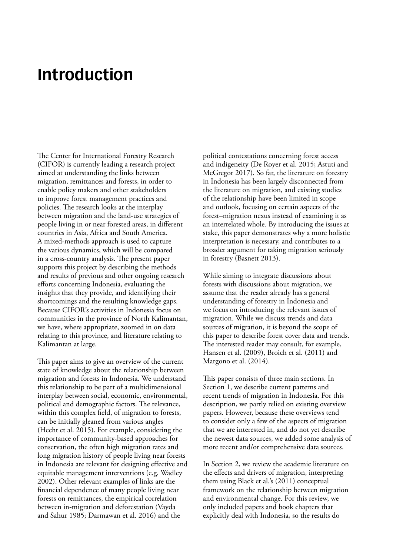## <span id="page-10-0"></span>**Introduction**

The Center for International Forestry Research (CIFOR) is currently leading a research project aimed at understanding the links between migration, remittances and forests, in order to enable policy makers and other stakeholders to improve forest management practices and policies. The research looks at the interplay between migration and the land-use strategies of people living in or near forested areas, in different countries in Asia, Africa and South America. A mixed-methods approach is used to capture the various dynamics, which will be compared in a cross-country analysis. The present paper supports this project by describing the methods and results of previous and other ongoing research efforts concerning Indonesia, evaluating the insights that they provide, and identifying their shortcomings and the resulting knowledge gaps. Because CIFOR's activities in Indonesia focus on communities in the province of North Kalimantan, we have, where appropriate, zoomed in on data relating to this province, and literature relating to Kalimantan at large.

This paper aims to give an overview of the current state of knowledge about the relationship between migration and forests in Indonesia. We understand this relationship to be part of a multidimensional interplay between social, economic, environmental, political and demographic factors. The relevance, within this complex field, of migration to forests, can be initially gleaned from various angles (Hecht et al. 2015). For example, considering the importance of community-based approaches for conservation, the often high migration rates and long migration history of people living near forests in Indonesia are relevant for designing effective and equitable management interventions (e.g. Wadley 2002). Other relevant examples of links are the financial dependence of many people living near forests on remittances, the empirical correlation between in-migration and deforestation (Vayda and Sahur 1985; Darmawan et al. 2016) and the

political contestations concerning forest access and indigeneity (De Royer et al. 2015; Astuti and McGregor 2017). So far, the literature on forestry in Indonesia has been largely disconnected from the literature on migration, and existing studies of the relationship have been limited in scope and outlook, focusing on certain aspects of the forest–migration nexus instead of examining it as an interrelated whole. By introducing the issues at stake, this paper demonstrates why a more holistic interpretation is necessary, and contributes to a broader argument for taking migration seriously in forestry (Basnett 2013).

While aiming to integrate discussions about forests with discussions about migration, we assume that the reader already has a general understanding of forestry in Indonesia and we focus on introducing the relevant issues of migration. While we discuss trends and data sources of migration, it is beyond the scope of this paper to describe forest cover data and trends. The interested reader may consult, for example, Hansen et al. (2009), Broich et al. (2011) and Margono et al. (2014).

This paper consists of three main sections. In Section 1, we describe current patterns and recent trends of migration in Indonesia. For this description, we partly relied on existing overview papers. However, because these overviews tend to consider only a few of the aspects of migration that we are interested in, and do not yet describe the newest data sources, we added some analysis of more recent and/or comprehensive data sources.

In Section 2, we review the academic literature on the effects and drivers of migration, interpreting them using Black et al.'s (2011) conceptual framework on the relationship between migration and environmental change. For this review, we only included papers and book chapters that explicitly deal with Indonesia, so the results do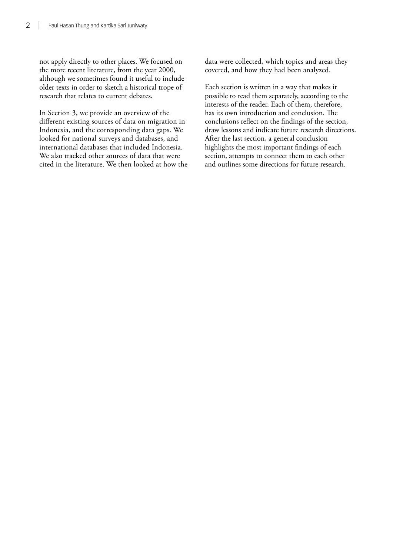not apply directly to other places. We focused on the more recent literature, from the year 2000, although we sometimes found it useful to include older texts in order to sketch a historical trope of research that relates to current debates.

In Section 3, we provide an overview of the different existing sources of data on migration in Indonesia, and the corresponding data gaps. We looked for national surveys and databases, and international databases that included Indonesia. We also tracked other sources of data that were cited in the literature. We then looked at how the data were collected, which topics and areas they covered, and how they had been analyzed.

Each section is written in a way that makes it possible to read them separately, according to the interests of the reader. Each of them, therefore, has its own introduction and conclusion. The conclusions reflect on the findings of the section, draw lessons and indicate future research directions. After the last section, a general conclusion highlights the most important findings of each section, attempts to connect them to each other and outlines some directions for future research.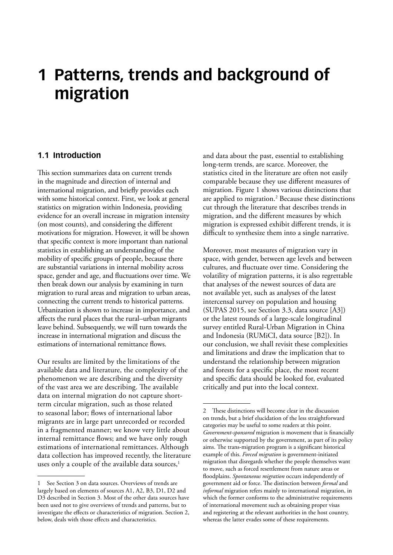## <span id="page-12-0"></span>**1 Patterns, trends and background of migration**

#### **1.1 Introduction**

This section summarizes data on current trends in the magnitude and direction of internal and international migration, and briefly provides each with some historical context. First, we look at general statistics on migration within Indonesia, providing evidence for an overall increase in migration intensity (on most counts), and considering the different motivations for migration. However, it will be shown that specific context is more important than national statistics in establishing an understanding of the mobility of specific groups of people, because there are substantial variations in internal mobility across space, gender and age, and fluctuations over time. We then break down our analysis by examining in turn migration to rural areas and migration to urban areas, connecting the current trends to historical patterns. Urbanization is shown to increase in importance, and affects the rural places that the rural–urban migrants leave behind. Subsequently, we will turn towards the increase in international migration and discuss the estimations of international remittance flows.

Our results are limited by the limitations of the available data and literature, the complexity of the phenomenon we are describing and the diversity of the vast area we are describing. The available data on internal migration do not capture shortterm circular migration, such as those related to seasonal labor; flows of international labor migrants are in large part unrecorded or recorded in a fragmented manner; we know very little about internal remittance flows; and we have only rough estimations of international remittances. Although data collection has improved recently, the literature uses only a couple of the available data sources,<sup>1</sup>

and data about the past, essential to establishing long-term trends, are scarce. Moreover, the statistics cited in the literature are often not easily comparable because they use different measures of migration. Figure 1 shows various distinctions that are applied to migration.<sup>2</sup> Because these distinctions cut through the literature that describes trends in migration, and the different measures by which migration is expressed exhibit different trends, it is difficult to synthesize them into a single narrative.

Moreover, most measures of migration vary in space, with gender, between age levels and between cultures, and fluctuate over time. Considering the volatility of migration patterns, it is also regrettable that analyses of the newest sources of data are not available yet, such as analyses of the latest intercensal survey on population and housing (SUPAS 2015, see Section 3.3, data source [A3]) or the latest rounds of a large-scale longitudinal survey entitled Rural-Urban Migration in China and Indonesia (RUMiCI, data source [B2]). In our conclusion, we shall revisit these complexities and limitations and draw the implication that to understand the relationship between migration and forests for a specific place, the most recent and specific data should be looked for, evaluated critically and put into the local context.

<sup>1</sup> See Section 3 on data sources. Overviews of trends are largely based on elements of sources A1, A2, B3, D1, D2 and D3 described in Section 3. Most of the other data sources have been used not to give overviews of trends and patterns, but to investigate the effects or characteristics of migration. Section 2, below, deals with those effects and characteristics.

<sup>2</sup> These distinctions will become clear in the discussion on trends, but a brief elucidation of the less straightforward categories may be useful to some readers at this point. *Government-sponsored* migration is movement that is financially or otherwise supported by the government, as part of its policy aims. The trans-migration program is a significant historical example of this. *Forced migration* is government-initiated migration that disregards whether the people themselves want to move, such as forced resettlement from nature areas or floodplains. *Spontaneous migration* occurs independently of government aid or force. The distinction between *formal* and *informal* migration refers mainly to international migration, in which the former conforms to the administrative requirements of international movement such as obtaining proper visas and registering at the relevant authorities in the host country, whereas the latter evades some of these requirements.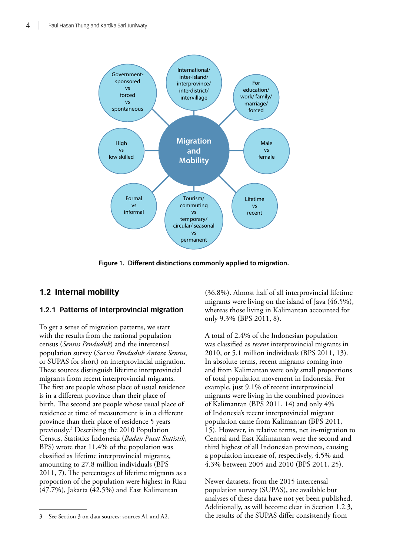<span id="page-13-0"></span>

**Figure 1. Different distinctions commonly applied to migration.**

### **1.2 Internal mobility**

### **1.2.1 Patterns of interprovincial migration**

To get a sense of migration patterns, we start with the results from the national population census (*Sensus Penduduk*) and the intercensal population survey (*Survei Penduduk Antara Sensus*, or SUPAS for short) on interprovincial migration. These sources distinguish lifetime interprovincial migrants from recent interprovincial migrants. The first are people whose place of usual residence is in a different province than their place of birth. The second are people whose usual place of residence at time of measurement is in a different province than their place of residence 5 years previously.3 Describing the 2010 Population Census, Statistics Indonesia (*Badan Pusat Statistik*, BPS) wrote that 11.4% of the population was classified as lifetime interprovincial migrants, amounting to 27.8 million individuals (BPS 2011, 7). The percentages of lifetime migrants as a proportion of the population were highest in Riau (47.7%), Jakarta (42.5%) and East Kalimantan

(36.8%). Almost half of all interprovincial lifetime migrants were living on the island of Java (46.5%), whereas those living in Kalimantan accounted for only 9.3% (BPS 2011, 8).

A total of 2.4% of the Indonesian population was classified as *recent* interprovincial migrants in 2010, or 5.1 million individuals (BPS 2011, 13). In absolute terms, recent migrants coming into and from Kalimantan were only small proportions of total population movement in Indonesia. For example, just 9.1% of recent interprovincial migrants were living in the combined provinces of Kalimantan (BPS 2011, 14) and only 4% of Indonesia's recent interprovincial migrant population came from Kalimantan (BPS 2011, 15). However, in relative terms, net in-migration to Central and East Kalimantan were the second and third highest of all Indonesian provinces, causing a population increase of, respectively, 4.5% and 4.3% between 2005 and 2010 (BPS 2011, 25).

Newer datasets, from the 2015 intercensal population survey (SUPAS), are available but analyses of these data have not yet been published. Additionally, as will become clear in Section 1.2.3, the results of the SUPAS differ consistently from

<sup>3</sup> See Section 3 on data sources: sources A1 and A2.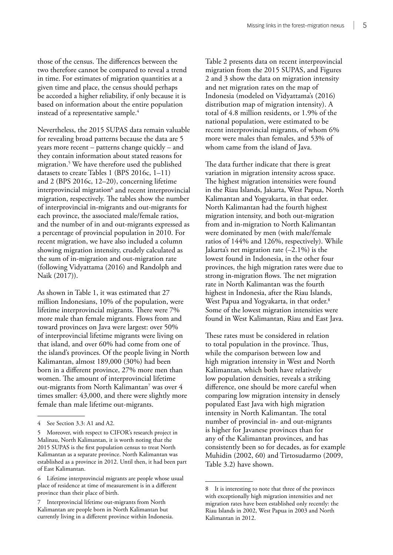those of the census. The differences between the two therefore cannot be compared to reveal a trend in time. For estimates of migration quantities at a given time and place, the census should perhaps be accorded a higher reliability, if only because it is based on information about the entire population instead of a representative sample.<sup>4</sup>

Nevertheless, the 2015 SUPAS data remain valuable for revealing broad patterns because the data are 5 years more recent – patterns change quickly – and they contain information about stated reasons for migration.5 We have therefore used the published datasets to create Tables 1 (BPS 2016c, 1–11) and 2 (BPS 2016c, 12–20), concerning lifetime interprovincial migration $^6$  and recent interprovincial migration, respectively. The tables show the number of interprovincial in-migrants and out-migrants for each province, the associated male/female ratios, and the number of in and out-migrants expressed as a percentage of provincial population in 2010. For recent migration, we have also included a column showing migration intensity, crudely calculated as the sum of in-migration and out-migration rate (following Vidyattama (2016) and Randolph and Naik (2017)).

As shown in Table 1, it was estimated that 27 million Indonesians, 10% of the population, were lifetime interprovincial migrants. There were 7% more male than female migrants. Flows from and toward provinces on Java were largest: over 50% of interprovincial lifetime migrants were living on that island, and over 60% had come from one of the island's provinces. Of the people living in North Kalimantan, almost 189,000 (30%) had been born in a different province, 27% more men than women. The amount of interprovincial lifetime out-migrants from North Kalimantan<sup>7</sup> was over 4 times smaller: 43,000, and there were slightly more female than male lifetime out-migrants.

Table 2 presents data on recent interprovincial migration from the 2015 SUPAS, and Figures 2 and 3 show the data on migration intensity and net migration rates on the map of Indonesia (modeled on Vidyattama's (2016) distribution map of migration intensity). A total of 4.8 million residents, or 1.9% of the national population, were estimated to be recent interprovincial migrants, of whom 6% more were males than females, and 53% of whom came from the island of Java.

The data further indicate that there is great variation in migration intensity across space. The highest migration intensities were found in the Riau Islands, Jakarta, West Papua, North Kalimantan and Yogyakarta, in that order. North Kalimantan had the fourth highest migration intensity, and both out-migration from and in-migration to North Kalimantan were dominated by men (with male/female ratios of 144% and 126%, respectively). While Jakarta's net migration rate (–2.1%) is the lowest found in Indonesia, in the other four provinces, the high migration rates were due to strong in-migration flows. The net migration rate in North Kalimantan was the fourth highest in Indonesia, after the Riau Islands, West Papua and Yogyakarta, in that order.<sup>8</sup> Some of the lowest migration intensities were found in West Kalimantan, Riau and East Java.

These rates must be considered in relation to total population in the province. Thus, while the comparison between low and high migration intensity in West and North Kalimantan, which both have relatively low population densities, reveals a striking difference, one should be more careful when comparing low migration intensity in densely populated East Java with high migration intensity in North Kalimantan. The total number of provincial in- and out-migrants is higher for Javanese provinces than for any of the Kalimantan provinces, and has consistently been so for decades, as for example Muhidin (2002, 60) and Tirtosudarmo (2009, Table 3.2) have shown.

<sup>4</sup> See Section 3.3: A1 and A2.

Moreover, with respect to CIFOR's research project in Malinau, North Kalimantan, it is worth noting that the 2015 SUPAS is the first population census to treat North Kalimantan as a separate province. North Kalimantan was established as a province in 2012. Until then, it had been part of East Kalimantan.

<sup>6</sup> Lifetime interprovincial migrants are people whose usual place of residence at time of measurement is in a different province than their place of birth.

Interprovincial lifetime out-migrants from North Kalimantan are people born in North Kalimantan but currently living in a different province within Indonesia.

<sup>8</sup> It is interesting to note that three of the provinces with exceptionally high migration intensities and net migration rates have been established only recently: the Riau Islands in 2002, West Papua in 2003 and North Kalimantan in 2012.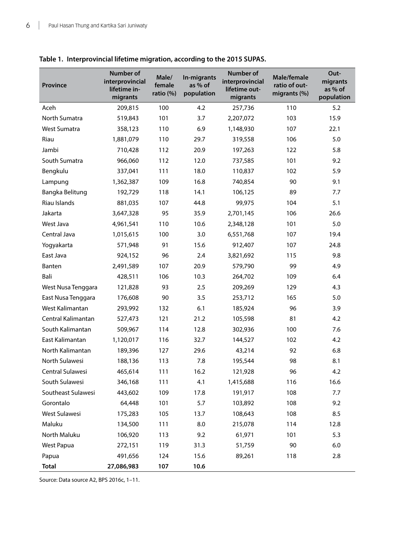| Province           | <b>Number of</b><br>interprovincial<br>lifetime in-<br>migrants | Male/<br>female<br>ratio (%) | In-migrants<br>as % of<br>population | Number of<br>interprovincial<br>lifetime out-<br>migrants | Male/female<br>ratio of out-<br>migrants (%) | Out-<br>migrants<br>as % of<br>population |
|--------------------|-----------------------------------------------------------------|------------------------------|--------------------------------------|-----------------------------------------------------------|----------------------------------------------|-------------------------------------------|
| Aceh               | 209,815                                                         | 100                          | 4.2                                  | 257,736                                                   | 110                                          | 5.2                                       |
| North Sumatra      | 519,843                                                         | 101                          | 3.7                                  | 2,207,072                                                 | 103                                          | 15.9                                      |
| West Sumatra       | 358,123                                                         | 110                          | 6.9                                  | 1,148,930                                                 | 107                                          | 22.1                                      |
| Riau               | 1,881,079                                                       | 110                          | 29.7                                 | 319,558                                                   | 106                                          | 5.0                                       |
| Jambi              | 710,428                                                         | 112                          | 20.9                                 | 197,263                                                   | 122                                          | 5.8                                       |
| South Sumatra      | 966,060                                                         | 112                          | 12.0                                 | 737,585                                                   | 101                                          | 9.2                                       |
| Bengkulu           | 337,041                                                         | 111                          | 18.0                                 | 110,837                                                   | 102                                          | 5.9                                       |
| Lampung            | 1,362,387                                                       | 109                          | 16.8                                 | 740,854                                                   | 90                                           | 9.1                                       |
| Bangka Belitung    | 192,729                                                         | 118                          | 14.1                                 | 106,125                                                   | 89                                           | 7.7                                       |
| Riau Islands       | 881,035                                                         | 107                          | 44.8                                 | 99,975                                                    | 104                                          | 5.1                                       |
| Jakarta            | 3,647,328                                                       | 95                           | 35.9                                 | 2,701,145                                                 | 106                                          | 26.6                                      |
| West Java          | 4,961,541                                                       | 110                          | 10.6                                 | 2,348,128                                                 | 101                                          | 5.0                                       |
| Central Java       | 1,015,615                                                       | 100                          | 3.0                                  | 6,551,768                                                 | 107                                          | 19.4                                      |
| Yogyakarta         | 571,948                                                         | 91                           | 15.6                                 | 912,407                                                   | 107                                          | 24.8                                      |
| East Java          | 924,152                                                         | 96                           | 2.4                                  | 3,821,692                                                 | 115                                          | 9.8                                       |
| Banten             | 2,491,589                                                       | 107                          | 20.9                                 | 579,790                                                   | 99                                           | 4.9                                       |
| Bali               | 428,511                                                         | 106                          | 10.3                                 | 264,702                                                   | 109                                          | 6.4                                       |
| West Nusa Tenggara | 121,828                                                         | 93                           | 2.5                                  | 209,269                                                   | 129                                          | 4.3                                       |
| East Nusa Tenggara | 176,608                                                         | 90                           | 3.5                                  | 253,712                                                   | 165                                          | 5.0                                       |
| West Kalimantan    | 293,992                                                         | 132                          | 6.1                                  | 185,924                                                   | 96                                           | 3.9                                       |
| Central Kalimantan | 527,473                                                         | 121                          | 21.2                                 | 105,598                                                   | 81                                           | 4.2                                       |
| South Kalimantan   | 509,967                                                         | 114                          | 12.8                                 | 302,936                                                   | 100                                          | 7.6                                       |
| East Kalimantan    | 1,120,017                                                       | 116                          | 32.7                                 | 144,527                                                   | 102                                          | 4.2                                       |
| North Kalimantan   | 189,396                                                         | 127                          | 29.6                                 | 43,214                                                    | 92                                           | 6.8                                       |
| North Sulawesi     | 188,136                                                         | 113                          | 7.8                                  | 195,544                                                   | 98                                           | 8.1                                       |
| Central Sulawesi   | 465,614                                                         | 111                          | 16.2                                 | 121,928                                                   | 96                                           | 4.2                                       |
| South Sulawesi     | 346,168                                                         | 111                          | 4.1                                  | 1,415,688                                                 | 116                                          | 16.6                                      |
| Southeast Sulawesi | 443,602                                                         | 109                          | 17.8                                 | 191,917                                                   | 108                                          | 7.7                                       |
| Gorontalo          | 64,448                                                          | 101                          | 5.7                                  | 103,892                                                   | 108                                          | 9.2                                       |
| West Sulawesi      | 175,283                                                         | 105                          | 13.7                                 | 108,643                                                   | 108                                          | 8.5                                       |
| Maluku             | 134,500                                                         | 111                          | 8.0                                  | 215,078                                                   | 114                                          | 12.8                                      |
| North Maluku       | 106,920                                                         | 113                          | 9.2                                  | 61,971                                                    | 101                                          | 5.3                                       |
| West Papua         | 272,151                                                         | 119                          | 31.3                                 | 51,759                                                    | 90                                           | 6.0                                       |
| Papua              | 491,656                                                         | 124                          | 15.6                                 | 89,261                                                    | 118                                          | 2.8                                       |
| <b>Total</b>       | 27,086,983                                                      | 107                          | 10.6                                 |                                                           |                                              |                                           |

## **Table 1. Interprovincial lifetime migration, according to the 2015 SUPAS.**

Source: Data source A2, BPS 2016c, 1–11.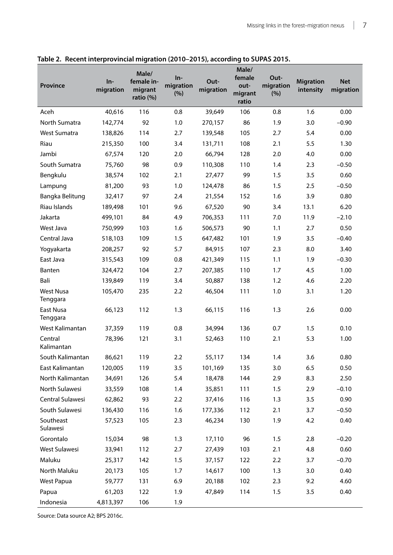| <b>Province</b>              | In-<br>migration | Male/<br>female in-<br>migrant<br>ratio $(\%)$ | $In-$<br>migration<br>(%) | Out-<br>migration | Male/<br>female<br>out-<br>migrant<br>ratio | Out-<br>migration<br>(%) | <b>Migration</b><br>intensity | <b>Net</b><br>migration |
|------------------------------|------------------|------------------------------------------------|---------------------------|-------------------|---------------------------------------------|--------------------------|-------------------------------|-------------------------|
| Aceh                         | 40,616           | 116                                            | 0.8                       | 39,649            | 106                                         | 0.8                      | 1.6                           | 0.00                    |
| North Sumatra                | 142,774          | 92                                             | 1.0                       | 270,157           | 86                                          | 1.9                      | 3.0                           | $-0.90$                 |
| West Sumatra                 | 138,826          | 114                                            | 2.7                       | 139,548           | 105                                         | 2.7                      | 5.4                           | 0.00                    |
| Riau                         | 215,350          | 100                                            | 3.4                       | 131,711           | 108                                         | 2.1                      | 5.5                           | 1.30                    |
| Jambi                        | 67,574           | 120                                            | 2.0                       | 66,794            | 128                                         | 2.0                      | 4.0                           | 0.00                    |
| South Sumatra                | 75,760           | 98                                             | 0.9                       | 110,308           | 110                                         | 1.4                      | 2.3                           | $-0.50$                 |
| Bengkulu                     | 38,574           | 102                                            | 2.1                       | 27,477            | 99                                          | 1.5                      | 3.5                           | 0.60                    |
| Lampung                      | 81,200           | 93                                             | 1.0                       | 124,478           | 86                                          | 1.5                      | 2.5                           | $-0.50$                 |
| Bangka Belitung              | 32,417           | 97                                             | 2.4                       | 21,554            | 152                                         | 1.6                      | 3.9                           | 0.80                    |
| Riau Islands                 | 189,498          | 101                                            | 9.6                       | 67,520            | 90                                          | 3.4                      | 13.1                          | 6.20                    |
| Jakarta                      | 499,101          | 84                                             | 4.9                       | 706,353           | 111                                         | 7.0                      | 11.9                          | $-2.10$                 |
| West Java                    | 750,999          | 103                                            | 1.6                       | 506,573           | 90                                          | 1.1                      | 2.7                           | 0.50                    |
| Central Java                 | 518,103          | 109                                            | 1.5                       | 647,482           | 101                                         | 1.9                      | 3.5                           | $-0.40$                 |
| Yogyakarta                   | 208,257          | 92                                             | 5.7                       | 84,915            | 107                                         | 2.3                      | 8.0                           | 3.40                    |
| East Java                    | 315,543          | 109                                            | 0.8                       | 421,349           | 115                                         | 1.1                      | 1.9                           | $-0.30$                 |
| Banten                       | 324,472          | 104                                            | 2.7                       | 207,385           | 110                                         | 1.7                      | 4.5                           | 1.00                    |
| Bali                         | 139,849          | 119                                            | 3.4                       | 50,887            | 138                                         | 1.2                      | 4.6                           | 2.20                    |
| <b>West Nusa</b><br>Tenggara | 105,470          | 235                                            | 2.2                       | 46,504            | 111                                         | 1.0                      | 3.1                           | 1.20                    |
| East Nusa<br>Tenggara        | 66,123           | 112                                            | 1.3                       | 66,115            | 116                                         | 1.3                      | 2.6                           | 0.00                    |
| West Kalimantan              | 37,359           | 119                                            | 0.8                       | 34,994            | 136                                         | 0.7                      | 1.5                           | 0.10                    |
| Central<br>Kalimantan        | 78,396           | 121                                            | 3.1                       | 52,463            | 110                                         | 2.1                      | 5.3                           | 1.00                    |
| South Kalimantan             | 86,621           | 119                                            | 2.2                       | 55,117            | 134                                         | 1.4                      | 3.6                           | 0.80                    |
| East Kalimantan              | 120,005          | 119                                            | 3.5                       | 101,169           | 135                                         | 3.0                      | 6.5                           | 0.50                    |
| North Kalimantan             | 34,691           | 126                                            | 5.4                       | 18,478            | 144                                         | 2.9                      | 8.3                           | 2.50                    |
| North Sulawesi               | 33,559           | 108                                            | 1.4                       | 35,851            | 111                                         | 1.5                      | 2.9                           | $-0.10$                 |
| Central Sulawesi             | 62,862           | 93                                             | 2.2                       | 37,416            | 116                                         | 1.3                      | 3.5                           | 0.90                    |
| South Sulawesi               | 136,430          | 116                                            | 1.6                       | 177,336           | 112                                         | 2.1                      | 3.7                           | $-0.50$                 |
| Southeast<br>Sulawesi        | 57,523           | 105                                            | 2.3                       | 46,234            | 130                                         | 1.9                      | 4.2                           | 0.40                    |
| Gorontalo                    | 15,034           | 98                                             | 1.3                       | 17,110            | 96                                          | 1.5                      | 2.8                           | $-0.20$                 |
| West Sulawesi                | 33,941           | 112                                            | 2.7                       | 27,439            | 103                                         | 2.1                      | 4.8                           | 0.60                    |
| Maluku                       | 25,317           | 142                                            | 1.5                       | 37,157            | 122                                         | 2.2                      | 3.7                           | $-0.70$                 |
| North Maluku                 | 20,173           | 105                                            | 1.7                       | 14,617            | 100                                         | 1.3                      | 3.0                           | 0.40                    |
| West Papua                   | 59,777           | 131                                            | 6.9                       | 20,188            | 102                                         | 2.3                      | 9.2                           | 4.60                    |
| Papua                        | 61,203           | 122                                            | 1.9                       | 47,849            | 114                                         | 1.5                      | 3.5                           | 0.40                    |
| Indonesia                    | 4,813,397        | 106                                            | 1.9                       |                   |                                             |                          |                               |                         |

**Table 2. Recent interprovincial migration (2010–2015), according to SUPAS 2015.** 

Source: Data source A2; BPS 2016c.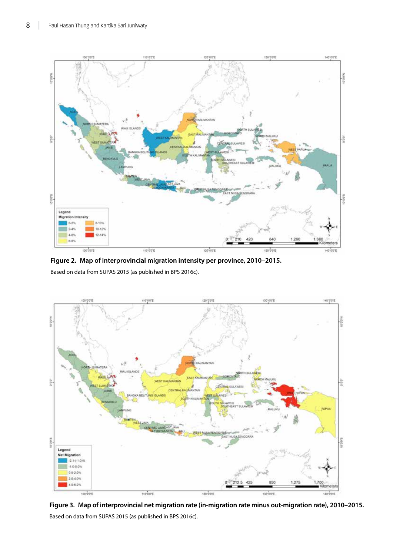<span id="page-17-0"></span>

**Figure 2. Map of interprovincial migration intensity per province, 2010–2015.**  Based on data from SUPAS 2015 (as published in BPS 2016c).



**Figure 3. Map of interprovincial net migration rate (in-migration rate minus out-migration rate), 2010–2015.**  Based on data from SUPAS 2015 (as published in BPS 2016c).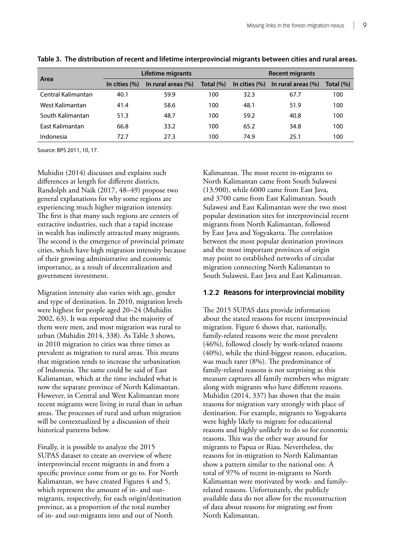|                    |                 | Lifetime migrants  |           | <b>Recent migrants</b> |                        |           |  |
|--------------------|-----------------|--------------------|-----------|------------------------|------------------------|-----------|--|
| Area               | In cities $(%)$ | In rural areas (%) | Total (%) | In cities $(\%)$       | In rural areas $(\% )$ | Total (%) |  |
| Central Kalimantan | 40.1            | 59.9               | 100       | 32.3                   | 67.7                   | 100       |  |
| West Kalimantan    | 41.4            | 58.6               | 100       | 48.1                   | 51.9                   | 100       |  |
| South Kalimantan   | 51.3            | 48.7               | 100       | 59.2                   | 40.8                   | 100       |  |
| East Kalimantan    | 66.8            | 33.2               | 100       | 65.2                   | 34.8                   | 100       |  |
| Indonesia          | 72.7            | 27.3               | 100       | 74.9                   | 25.1                   | 100       |  |

**Table 3. The distribution of recent and lifetime interprovincial migrants between cities and rural areas.**

Source: BPS 2011, 10, 17.

Muhidin (2014) discusses and explains such differences at length for different districts. Randolph and Naik (2017, 48–49) propose two general explanations for why some regions are experiencing much higher migration intensity. The first is that many such regions are centers of extractive industries, such that a rapid increase in wealth has indirectly attracted many migrants. The second is the emergence of provincial primate cities, which have high migration intensity because of their growing administrative and economic importance, as a result of decentralization and government investment.

Migration intensity also varies with age, gender and type of destination. In 2010, migration levels were highest for people aged 20–24 (Muhidin 2002, 63). It was reported that the majority of them were men, and most migration was rural to urban (Muhidin 2014, 338). As Table 3 shows, in 2010 migration to cities was three times as prevalent as migration to rural areas. This means that migration tends to increase the urbanization of Indonesia. The same could be said of East Kalimantan, which at the time included what is now the separate province of North Kalimantan. However, in Central and West Kalimantan more recent migrants were living in rural than in urban areas. The processes of rural and urban migration will be contextualized by a discussion of their historical patterns below.

Finally, it is possible to analyze the 2015 SUPAS dataset to create an overview of where interprovincial recent migrants in and from a specific province come from or go to. For North Kalimantan, we have created Figures 4 and 5, which represent the amount of in- and outmigrants, respectively, for each origin/destination province, as a proportion of the total number of in- and out-migrants into and out of North

Kalimantan. The most recent in-migrants to North Kalimantan came from South Sulawesi (13,900), while 6000 came from East Java, and 3700 came from East Kalimantan. South Sulawesi and East Kalimantan were the two most popular destination sites for interprovincial recent migrants from North Kalimantan, followed by East Java and Yogyakarta. The correlation between the most popular destination provinces and the most important provinces of origin may point to established networks of circular migration connecting North Kalimantan to South Sulawesi, East Java and East Kalimantan.

#### **1.2.2 Reasons for interprovincial mobility**

The 2015 SUPAS data provide information about the stated reasons for recent interprovincial migration. Figure 6 shows that, nationally, family-related reasons were the most prevalent (46%), followed closely by work-related reasons (40%), while the third-biggest reason, education, was much rarer (8%). The predominance of family-related reasons is not surprising as this measure captures all family members who migrate along with migrants who have different reasons. Muhidin (2014, 337) has shown that the main reasons for migration vary strongly with place of destination. For example, migrants to Yogyakarta were highly likely to migrate for educational reasons and highly unlikely to do so for economic reasons. This was the other way around for migrants to Papua or Riau. Nevertheless, the reasons for in-migration to North Kalimantan show a pattern similar to the national one. A total of 97% of recent in-migrants to North Kalimantan were motivated by work- and familyrelated reasons. Unfortunately, the publicly available data do not allow for the reconstruction of data about reasons for migrating *out* from North Kalimantan.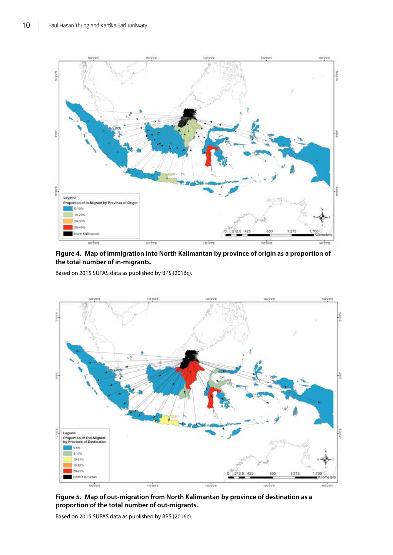<span id="page-19-0"></span>

**Figure 4. Map of immigration into North Kalimantan by province of origin as a proportion of the total number of in-migrants.** 

Based on 2015 SUPAS data as published by BPS (2016c).



**Figure 5. Map of out-migration from North Kalimantan by province of destination as a proportion of the total number of out-migrants.** 

Based on 2015 SUPAS data as published by BPS (2016c).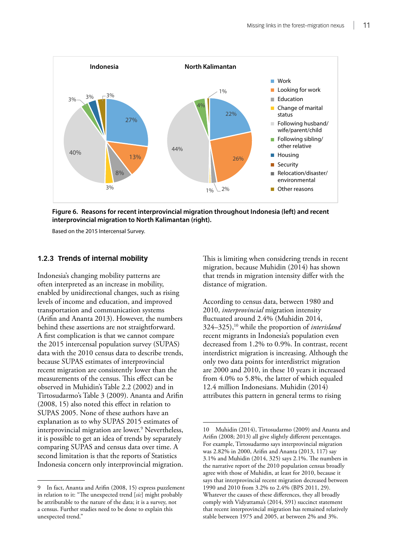<span id="page-20-0"></span>

**Figure 6. Reasons for recent interprovincial migration throughout Indonesia (left) and recent interprovincial migration to North Kalimantan (right).**

Based on the 2015 Intercensal Survey.

#### **1.2.3 Trends of internal mobility**

Indonesia's changing mobility patterns are often interpreted as an increase in mobility, enabled by unidirectional changes, such as rising levels of income and education, and improved transportation and communication systems (Arifin and Ananta 2013). However, the numbers behind these assertions are not straightforward. A first complication is that we cannot compare the 2015 intercensal population survey (SUPAS) data with the 2010 census data to describe trends, because SUPAS estimates of interprovincial recent migration are consistently lower than the measurements of the census. This effect can be observed in Muhidin's Table 2.2 (2002) and in Tirtosudarmo's Table 3 (2009). Ananta and Arifin (2008, 15) also noted this effect in relation to SUPAS 2005. None of these authors have an explanation as to why SUPAS 2015 estimates of interprovincial migration are lower.9 Nevertheless, it is possible to get an idea of trends by separately comparing SUPAS and census data over time. A second limitation is that the reports of Statistics Indonesia concern only interprovincial migration.

This is limiting when considering trends in recent migration, because Muhidin (2014) has shown that trends in migration intensity differ with the distance of migration.

According to census data, between 1980 and 2010, *interprovincial* migration intensity fluctuated around 2.4% (Muhidin 2014, 324–325),10 while the proportion of *interisland* recent migrants in Indonesia's population even decreased from 1.2% to 0.9%. In contrast, recent interdistrict migration is increasing. Although the only two data points for interdistrict migration are 2000 and 2010, in these 10 years it increased from 4.0% to 5.8%, the latter of which equaled 12.4 million Indonesians. Muhidin (2014) attributes this pattern in general terms to rising

In fact, Ananta and Arifin (2008, 15) express puzzlement in relation to it: "The unexpected trend [*sic*] might probably be attributable to the nature of the data; it is a survey, not a census. Further studies need to be done to explain this unexpected trend."

<sup>10</sup> Muhidin (2014), Tirtosudarmo (2009) and Ananta and Arifin (2008; 2013) all give slightly different percentages. For example, Tirtosudarmo says interprovincial migration was 2.82% in 2000, Arifin and Ananta (2013, 117) say 3.1% and Muhidin (2014, 325) says 2.1%. The numbers in the narrative report of the 2010 population census broadly agree with those of Muhidin, at least for 2010, because it says that interprovincial recent migration decreased between 1990 and 2010 from 3.2% to 2.4% (BPS 2011, 29). Whatever the causes of these differences, they all broadly comply with Vidyattama's (2014, S91) succinct statement that recent interprovincial migration has remained relatively stable between 1975 and 2005, at between 2% and 3%.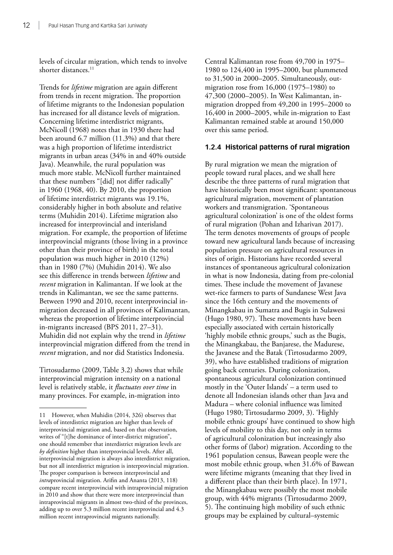levels of circular migration, which tends to involve shorter distances.<sup>11</sup>

Trends for *lifetime* migration are again different from trends in recent migration. The proportion of lifetime migrants to the Indonesian population has increased for all distance levels of migration. Concerning lifetime interdistrict migrants, McNicoll (1968) notes that in 1930 there had been around 6.7 million (11.3%) and that there was a high proportion of lifetime interdistrict migrants in urban areas (34% in and 40% outside Java). Meanwhile, the rural population was much more stable. McNicoll further maintained that these numbers "[did] not differ radically" in 1960 (1968, 40). By 2010, the proportion of lifetime interdistrict migrants was 19.1%, considerably higher in both absolute and relative terms (Muhidin 2014). Lifetime migration also increased for interprovincial and interisland migration. For example, the proportion of lifetime interprovincial migrants (those living in a province other than their province of birth) in the total population was much higher in 2010 (12%) than in 1980 (7%) (Muhidin 2014). We also see this difference in trends between *lifetime* and *recent* migration in Kalimantan. If we look at the trends in Kalimantan, we see the same patterns. Between 1990 and 2010, recent interprovincial inmigration decreased in all provinces of Kalimantan, whereas the proportion of lifetime interprovincial in-migrants increased (BPS 2011, 27–31). Muhidin did not explain why the trend in *lifetime* interprovincial migration differed from the trend in *recent* migration, and nor did Statistics Indonesia.

Tirtosudarmo (2009, Table 3.2) shows that while interprovincial migration intensity on a national level is relatively stable, it *fluctuates over time* in many provinces. For example, in-migration into

Central Kalimantan rose from 49,700 in 1975– 1980 to 124,400 in 1995–2000, but plummeted to 31,500 in 2000–2005. Simultaneously, outmigration rose from 16,000 (1975–1980) to 47,300 (2000–2005). In West Kalimantan, inmigration dropped from 49,200 in 1995–2000 to 16,400 in 2000–2005, while in-migration to East Kalimantan remained stable at around 150,000 over this same period.

#### **1.2.4 Historical patterns of rural migration**

By rural migration we mean the migration of people toward rural places, and we shall here describe the three patterns of rural migration that have historically been most significant: spontaneous agricultural migration, movement of plantation workers and transmigration. 'Spontaneous agricultural colonization' is one of the oldest forms of rural migration (Pohan and Izharivan 2017). The term denotes movements of groups of people toward new agricultural lands because of increasing population pressure on agricultural resources in sites of origin. Historians have recorded several instances of spontaneous agricultural colonization in what is now Indonesia, dating from pre-colonial times. These include the movement of Javanese wet-rice farmers to parts of Sundanese West Java since the 16th century and the movements of Minangkabau in Sumatra and Bugis in Sulawesi (Hugo 1980, 97). These movements have been especially associated with certain historically 'highly mobile ethnic groups,' such as the Bugis, the Minangkabau, the Banjarese, the Madurese, the Javanese and the Batak (Tirtosudarmo 2009, 39), who have established traditions of migration going back centuries. During colonization, spontaneous agricultural colonization continued mostly in the 'Outer Islands' – a term used to denote all Indonesian islands other than Java and Madura – where colonial influence was limited (Hugo 1980; Tirtosudarmo 2009, 3). 'Highly mobile ethnic groups' have continued to show high levels of mobility to this day, not only in terms of agricultural colonization but increasingly also other forms of (labor) migration. According to the 1961 population census, Bawean people were the most mobile ethnic group, when 31.6% of Bawean were lifetime migrants (meaning that they lived in a different place than their birth place). In 1971, the Minangkabau were possibly the most mobile group, with 44% migrants (Tirtosudarmo 2009, 5). The continuing high mobility of such ethnic groups may be explained by cultural–systemic

<sup>11</sup> However, when Muhidin (2014, 326) observes that levels of interdistrict migration are higher than levels of interprovincial migration and, based on that observation, writes of "[t]he dominance of inter-district migration", one should remember that interdistrict migration levels are *by definition* higher than interprovincial levels. After all, interprovincial migration is always also interdistrict migration, but not all interdistrict migration is interprovincial migration. The proper comparison is between interprovincial and *intra*provincial migration. Arifin and Ananta (2013, 118) compare recent interprovincial with intraprovincial migration in 2010 and show that there were more interprovincial than intraprovincial migrants in almost two-third of the provinces, adding up to over 5.3 million recent interprovincial and 4.3 million recent intraprovincial migrants nationally.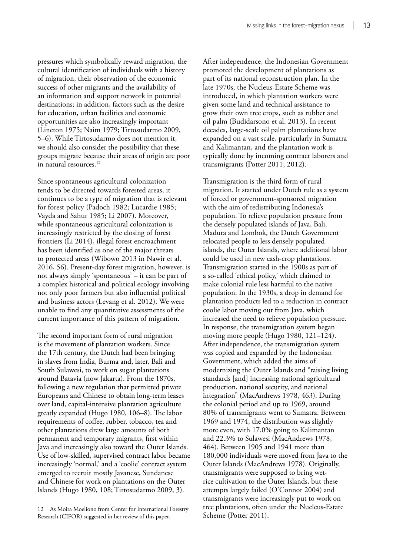pressures which symbolically reward migration, the cultural identification of individuals with a history of migration, their observation of the economic success of other migrants and the availability of an information and support network in potential destinations; in addition, factors such as the desire for education, urban facilities and economic opportunities are also increasingly important (Lineton 1975; Naim 1979; Tirtosudarmo 2009, 5–6). While Tirtosudarmo does not mention it, we should also consider the possibility that these groups migrate because their areas of origin are poor in natural resources.<sup>12</sup>

Since spontaneous agricultural colonization tends to be directed towards forested areas, it continues to be a type of migration that is relevant for forest policy (Padoch 1982; Lucardie 1985; Vayda and Sahur 1985; Li 2007). Moreover, while spontaneous agricultural colonization is increasingly restricted by the closing of forest frontiers (Li 2014), illegal forest encroachment has been identified as one of the major threats to protected areas (Wibowo 2013 in Nawir et al. 2016, 56). Present-day forest migration, however, is not always simply 'spontaneous' – it can be part of a complex historical and political ecology involving not only poor farmers but also influential political and business actors (Levang et al. 2012). We were unable to find any quantitative assessments of the current importance of this pattern of migration.

The second important form of rural migration is the movement of plantation workers. Since the 17th century, the Dutch had been bringing in slaves from India, Burma and, later, Bali and South Sulawesi, to work on sugar plantations around Batavia (now Jakarta). From the 1870s, following a new regulation that permitted private Europeans and Chinese to obtain long-term leases over land, capital-intensive plantation agriculture greatly expanded (Hugo 1980, 106–8). The labor requirements of coffee, rubber, tobacco, tea and other plantations drew large amounts of both permanent and temporary migrants, first within Java and increasingly also toward the Outer Islands. Use of low-skilled, supervised contract labor became increasingly 'normal,' and a 'coolie' contract system emerged to recruit mostly Javanese, Sundanese and Chinese for work on plantations on the Outer Islands (Hugo 1980, 108; Tirtosudarmo 2009, 3).

After independence, the Indonesian Government promoted the development of plantations as part of its national reconstruction plan. In the late 1970s, the Nucleus-Estate Scheme was introduced, in which plantation workers were given some land and technical assistance to grow their own tree crops, such as rubber and oil palm (Budidarsono et al. 2013). In recent decades, large-scale oil palm plantations have expanded on a vast scale, particularly in Sumatra and Kalimantan, and the plantation work is typically done by incoming contract laborers and transmigrants (Potter 2011; 2012).

Transmigration is the third form of rural migration. It started under Dutch rule as a system of forced or government-sponsored migration with the aim of redistributing Indonesia's population. To relieve population pressure from the densely populated islands of Java, Bali, Madura and Lombok, the Dutch Government relocated people to less densely populated islands, the Outer Islands, where additional labor could be used in new cash-crop plantations. Transmigration started in the 1900s as part of a so-called 'ethical policy,' which claimed to make colonial rule less harmful to the native population. In the 1930s, a drop in demand for plantation products led to a reduction in contract coolie labor moving out from Java, which increased the need to relieve population pressure. In response, the transmigration system began moving more people (Hugo 1980, 121–124). After independence, the transmigration system was copied and expanded by the Indonesian Government, which added the aims of modernizing the Outer Islands and "raising living standards [and] increasing national agricultural production, national security, and national integration" (MacAndrews 1978, 463). During the colonial period and up to 1969, around 80% of transmigrants went to Sumatra. Between 1969 and 1974, the distribution was slightly more even, with 17.0% going to Kalimantan and 22.3% to Sulawesi (MacAndrews 1978, 464). Between 1905 and 1941 more than 180,000 individuals were moved from Java to the Outer Islands (MacAndrews 1978). Originally, transmigrants were supposed to bring wetrice cultivation to the Outer Islands, but these attempts largely failed (O'Connor 2004) and transmigrants were increasingly put to work on tree plantations, often under the Nucleus-Estate Scheme (Potter 2011).

<sup>12</sup> As Moira Moeliono from Center for International Forestry Research (CIFOR) suggested in her review of this paper.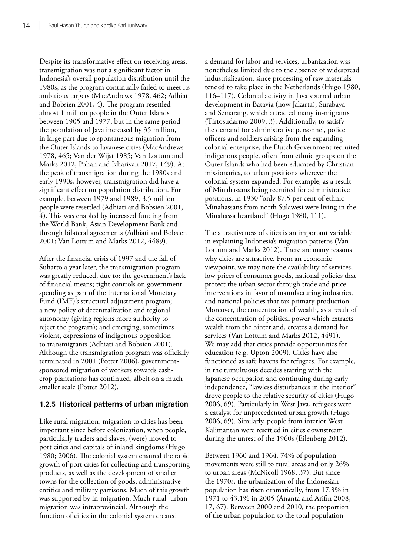Despite its transformative effect on receiving areas, transmigration was not a significant factor in Indonesia's overall population distribution until the 1980s, as the program continually failed to meet its ambitious targets (MacAndrews 1978, 462; Adhiati and Bobsien 2001, 4). The program resettled almost 1 million people in the Outer Islands between 1905 and 1977, but in the same period the population of Java increased by 35 million, in large part due to spontaneous migration from the Outer Islands to Javanese cities (MacAndrews 1978, 465; Van der Wijst 1985; Van Lottum and Marks 2012; Pohan and Izharivan 2017, 149). At the peak of transmigration during the 1980s and early 1990s, however, transmigration did have a significant effect on population distribution. For example, between 1979 and 1989, 3.5 million people were resettled (Adhiati and Bobsien 2001, 4). This was enabled by increased funding from the World Bank, Asian Development Bank and through bilateral agreements (Adhiati and Bobsien 2001; Van Lottum and Marks 2012, 4489).

After the financial crisis of 1997 and the fall of Suharto a year later, the transmigration program was greatly reduced, due to: the government's lack of financial means; tight controls on government spending as part of the International Monetary Fund (IMF)'s structural adjustment program; a new policy of decentralization and regional autonomy (giving regions more authority to reject the program); and emerging, sometimes violent, expressions of indigenous opposition to transmigrants (Adhiati and Bobsien 2001). Although the transmigration program was officially terminated in 2001 (Potter 2006), governmentsponsored migration of workers towards cashcrop plantations has continued, albeit on a much smaller scale (Potter 2012).

### **1.2.5 Historical patterns of urban migration**

Like rural migration, migration to cities has been important since before colonization, when people, particularly traders and slaves, (were) moved to port cities and capitals of inland kingdoms (Hugo 1980; 2006). The colonial system ensured the rapid growth of port cities for collecting and transporting products, as well as the development of smaller towns for the collection of goods, administrative entities and military garrisons. Much of this growth was supported by in-migration. Much rural–urban migration was intraprovincial. Although the function of cities in the colonial system created

a demand for labor and services, urbanization was nonetheless limited due to the absence of widespread industrialization, since processing of raw materials tended to take place in the Netherlands (Hugo 1980, 116–117). Colonial activity in Java spurred urban development in Batavia (now Jakarta), Surabaya and Semarang, which attracted many in-migrants (Tirtosudarmo 2009, 3). Additionally, to satisfy the demand for administrative personnel, police officers and soldiers arising from the expanding colonial enterprise, the Dutch Government recruited indigenous people, often from ethnic groups on the Outer Islands who had been educated by Christian missionaries, to urban positions wherever the colonial system expanded. For example, as a result of Minahassans being recruited for administrative positions, in 1930 "only 87.5 per cent of ethnic Minahassans from north Sulawesi were living in the Minahassa heartland" (Hugo 1980, 111).

The attractiveness of cities is an important variable in explaining Indonesia's migration patterns (Van Lottum and Marks 2012). There are many reasons why cities are attractive. From an economic viewpoint, we may note the availability of services, low prices of consumer goods, national policies that protect the urban sector through trade and price interventions in favor of manufacturing industries, and national policies that tax primary production. Moreover, the concentration of wealth, as a result of the concentration of political power which extracts wealth from the hinterland, creates a demand for services (Van Lottum and Marks 2012, 4491). We may add that cities provide opportunities for education (e.g. Upton 2009). Cities have also functioned as safe havens for refugees. For example, in the tumultuous decades starting with the Japanese occupation and continuing during early independence, "lawless disturbances in the interior" drove people to the relative security of cities (Hugo 2006, 69). Particularly in West Java, refugees were a catalyst for unprecedented urban growth (Hugo 2006, 69). Similarly, people from interior West Kalimantan were resettled in cities downstream during the unrest of the 1960s (Eilenberg 2012).

Between 1960 and 1964, 74% of population movements were still to rural areas and only 26% to urban areas (McNicoll 1968, 37). But since the 1970s, the urbanization of the Indonesian population has risen dramatically, from 17.3% in 1971 to 43.1% in 2005 (Ananta and Arifin 2008, 17, 67). Between 2000 and 2010, the proportion of the urban population to the total population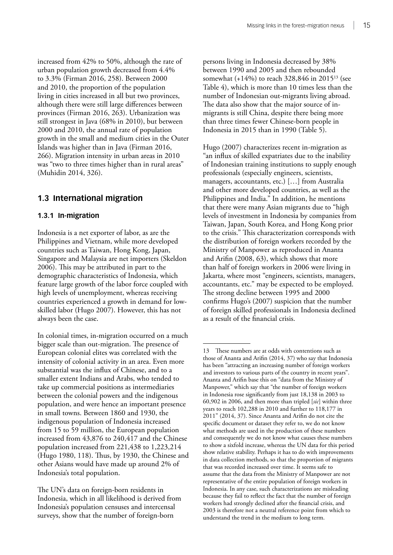<span id="page-24-0"></span>increased from 42% to 50%, although the rate of urban population growth decreased from 4.4% to 3.3% (Firman 2016, 258). Between 2000 and 2010, the proportion of the population living in cities increased in all but two provinces, although there were still large differences between provinces (Firman 2016, 263). Urbanization was still strongest in Java (68% in 2010), but between 2000 and 2010, the annual rate of population growth in the small and medium cities in the Outer Islands was higher than in Java (Firman 2016, 266). Migration intensity in urban areas in 2010 was "two to three times higher than in rural areas" (Muhidin 2014, 326).

### **1.3 International migration**

#### **1.3.1 In-migration**

Indonesia is a net exporter of labor, as are the Philippines and Vietnam, while more developed countries such as Taiwan, Hong Kong, Japan, Singapore and Malaysia are net importers (Skeldon 2006). This may be attributed in part to the demographic characteristics of Indonesia, which feature large growth of the labor force coupled with high levels of unemployment, whereas receiving countries experienced a growth in demand for lowskilled labor (Hugo 2007). However, this has not always been the case.

In colonial times, in-migration occurred on a much bigger scale than out-migration. The presence of European colonial elites was correlated with the intensity of colonial activity in an area. Even more substantial was the influx of Chinese, and to a smaller extent Indians and Arabs, who tended to take up commercial positions as intermediaries between the colonial powers and the indigenous population, and were hence an important presence in small towns. Between 1860 and 1930, the indigenous population of Indonesia increased from 15 to 59 million, the European population increased from 43,876 to 240,417 and the Chinese population increased from 221,438 to 1,223,214 (Hugo 1980, 118). Thus, by 1930, the Chinese and other Asians would have made up around 2% of Indonesia's total population.

The UN's data on foreign-born residents in Indonesia, which in all likelihood is derived from Indonesia's population censuses and intercensal surveys, show that the number of foreign-born

persons living in Indonesia decreased by 38% between 1990 and 2005 and then rebounded somewhat (+14%) to reach 328,846 in 201513 (see Table 4), which is more than 10 times less than the number of Indonesian out-migrants living abroad. The data also show that the major source of inmigrants is still China, despite there being more than three times fewer Chinese-born people in Indonesia in 2015 than in 1990 (Table 5).

Hugo (2007) characterizes recent in-migration as "an influx of skilled expatriates due to the inability of Indonesian training institutions to supply enough professionals (especially engineers, scientists, managers, accountants, etc.) […] from Australia and other more developed countries, as well as the Philippines and India." In addition, he mentions that there were many Asian migrants due to "high levels of investment in Indonesia by companies from Taiwan, Japan, South Korea, and Hong Kong prior to the crisis." This characterization corresponds with the distribution of foreign workers recorded by the Ministry of Manpower as reproduced in Ananta and Arifin (2008, 63), which shows that more than half of foreign workers in 2006 were living in Jakarta, where most "engineers, scientists, managers, accountants, etc." may be expected to be employed. The strong decline between 1995 and 2000 confirms Hugo's (2007) suspicion that the number of foreign skilled professionals in Indonesia declined as a result of the financial crisis.

<sup>13</sup> These numbers are at odds with contentions such as those of Ananta and Arifin (2014, 37) who say that Indonesia has been "attracting an increasing number of foreign workers and investors to various parts of the country in recent years". Ananta and Arifin base this on "data from the Ministry of Manpower," which say that "the number of foreign workers in Indonesia rose significantly from just 18,138 in 2003 to 60,902 in 2006, and then more than tripled [*sic*] within three years to reach 102,288 in 2010 and further to 118,177 in 2011" (2014, 37). Since Ananta and Arifin do not cite the specific document or dataset they refer to, we do not know what methods are used in the production of these numbers and consequently we do not know what causes these numbers to show a sixfold increase, whereas the UN data for this period show relative stability. Perhaps it has to do with improvements in data collection methods, so that the proportion of migrants that was recorded increased over time. It seems safe to assume that the data from the Ministry of Manpower are not representative of the entire population of foreign workers in Indonesia. In any case, such characterizations are misleading because they fail to reflect the fact that the number of foreign workers had strongly declined after the financial crisis, and 2003 is therefore not a neutral reference point from which to understand the trend in the medium to long term.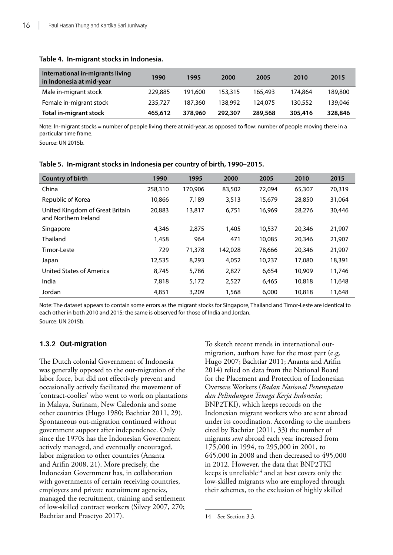| International in-migrants living<br>in Indonesia at mid-year | 1990    | 1995    | 2000    | 2005    | 2010    | 2015    |
|--------------------------------------------------------------|---------|---------|---------|---------|---------|---------|
| Male in-migrant stock                                        | 229,885 | 191.600 | 153.315 | 165.493 | 174.864 | 189,800 |
| Female in-migrant stock                                      | 235,727 | 187.360 | 138.992 | 124.075 | 130,552 | 139.046 |
| <b>Total in-migrant stock</b>                                | 465,612 | 378,960 | 292,307 | 289,568 | 305,416 | 328,846 |

#### **Table 4. In-migrant stocks in Indonesia.**

Note: In-migrant stocks = number of people living there at mid-year, as opposed to flow: number of people moving there in a particular time frame.

Source: UN 2015b.

| <b>Country of birth</b>                                 | 1990    | 1995    | 2000    | 2005   | 2010   | 2015   |
|---------------------------------------------------------|---------|---------|---------|--------|--------|--------|
| China                                                   | 258,310 | 170,906 | 83,502  | 72,094 | 65,307 | 70,319 |
| Republic of Korea                                       | 10,866  | 7,189   | 3,513   | 15,679 | 28,850 | 31,064 |
| United Kingdom of Great Britain<br>and Northern Ireland | 20,883  | 13,817  | 6,751   | 16,969 | 28,276 | 30,446 |
| Singapore                                               | 4,346   | 2,875   | 1,405   | 10,537 | 20,346 | 21,907 |
| Thailand                                                | 1,458   | 964     | 471     | 10,085 | 20,346 | 21,907 |
| Timor-Leste                                             | 729     | 71,378  | 142,028 | 78,666 | 20,346 | 21,907 |
| Japan                                                   | 12,535  | 8.293   | 4,052   | 10,237 | 17,080 | 18,391 |
| United States of America                                | 8.745   | 5,786   | 2,827   | 6,654  | 10,909 | 11,746 |
| India                                                   | 7,818   | 5,172   | 2,527   | 6,465  | 10,818 | 11,648 |
| Jordan                                                  | 4,851   | 3,209   | 1,568   | 6,000  | 10,818 | 11,648 |

#### **Table 5. In-migrant stocks in Indonesia per country of birth, 1990–2015.**

Note: The dataset appears to contain some errors as the migrant stocks for Singapore, Thailand and Timor-Leste are identical to each other in both 2010 and 2015; the same is observed for those of India and Jordan. Source: UN 2015b.

#### **1.3.2 Out-migration**

The Dutch colonial Government of Indonesia was generally opposed to the out-migration of the labor force, but did not effectively prevent and occasionally actively facilitated the movement of 'contract-coolies' who went to work on plantations in Malaya, Surinam, New Caledonia and some other countries (Hugo 1980; Bachtiar 2011, 29). Spontaneous out-migration continued without government support after independence. Only since the 1970s has the Indonesian Government actively managed, and eventually encouraged, labor migration to other countries (Ananta and Arifin 2008, 21). More precisely, the Indonesian Government has, in collaboration with governments of certain receiving countries, employers and private recruitment agencies, managed the recruitment, training and settlement of low-skilled contract workers (Silvey 2007, 270; Bachtiar and Prasetyo 2017).

To sketch recent trends in international outmigration, authors have for the most part (e.g. Hugo 2007; Bachtiar 2011; Ananta and Arifin 2014) relied on data from the National Board for the Placement and Protection of Indonesian Overseas Workers (*Badan Nasional Penempatan dan Pelindungan Tenaga Kerja Indonesia*; BNP2TKI), which keeps records on the Indonesian migrant workers who are sent abroad under its coordination. According to the numbers cited by Bachtiar (2011, 33) the number of migrants *sent* abroad each year increased from 175,000 in 1994, to 295,000 in 2001, to 645,000 in 2008 and then decreased to 495,000 in 2012. However, the data that BNP2TKI keeps is unreliable $14$  and at best covers only the low-skilled migrants who are employed through their schemes, to the exclusion of highly skilled

<sup>14</sup> See Section 3.3.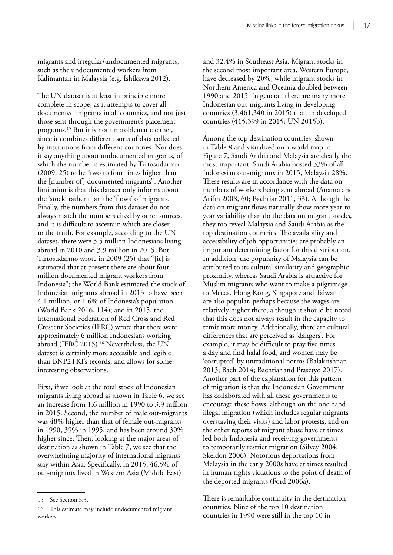migrants and irregular/undocumented migrants, such as the undocumented workers from Kalimantan in Malaysia (e.g. Ishikawa 2012).

The UN dataset is at least in principle more complete in scope, as it attempts to cover all documented migrants in all countries, and not just those sent through the government's placement programs.15 But it is not unproblematic either, since it combines different sorts of data collected by institutions from different countries. Nor does it say anything about undocumented migrants, of which the number is estimated by Tirtosudarmo (2009, 25) to be "two to four times higher than the [number of] documented migrants". Another limitation is that this dataset only informs about the 'stock' rather than the 'flows' of migrants. Finally, the numbers from this dataset do not always match the numbers cited by other sources, and it is difficult to ascertain which are closer to the truth. For example, according to the UN dataset, there were 3.5 million Indonesians living abroad in 2010 and 3.9 million in 2015. But Tirtosudarmo wrote in 2009 (25) that "[it] is estimated that at present there are about four million documented migrant workers from Indonesia"; the World Bank estimated the stock of Indonesian migrants abroad in 2013 to have been 4.1 million, or 1.6% of Indonesia's population (World Bank 2016, 114); and in 2015, the International Federation of Red Cross and Red Crescent Societies (IFRC) wrote that there were approximately 6 million Indonesians working abroad (IFRC 2015).16 Nevertheless, the UN dataset is certainly more accessible and legible than BNP2TKI's records, and allows for some interesting observations.

First, if we look at the total stock of Indonesian migrants living abroad as shown in Table 6, we see an increase from 1.6 million in 1990 to 3.9 million in 2015. Second, the number of male out-migrants was 48% higher than that of female out-migrants in 1990, 39% in 1995, and has been around 30% higher since. Then, looking at the major areas of destination as shown in Table 7, we see that the overwhelming majority of international migrants stay within Asia. Specifically, in 2015, 46.5% of out-migrants lived in Western Asia (Middle East)

and 32.4% in Southeast Asia. Migrant stocks in the second most important area, Western Europe, have decreased by 20%, while migrant stocks in Northern America and Oceania doubled between 1990 and 2015. In general, there are many more Indonesian out-migrants living in developing countries (3,461,340 in 2015) than in developed countries (415,399 in 2015; UN 2015b).

Among the top destination countries, shown in Table 8 and visualized on a world map in Figure 7, Saudi Arabia and Malaysia are clearly the most important. Saudi Arabia hosted 33% of all Indonesian out-migrants in 2015, Malaysia 28%. These results are in accordance with the data on numbers of workers being sent abroad (Ananta and Arifin 2008, 60; Bachtiar 2011, 33). Although the data on migrant flows naturally show more year-toyear variability than do the data on migrant stocks, they too reveal Malaysia and Saudi Arabia as the top destination countries. The availability and accessibility of job opportunities are probably an important determining factor for this distribution. In addition, the popularity of Malaysia can be attributed to its cultural similarity and geographic proximity, whereas Saudi Arabia is attractive for Muslim migrants who want to make a pilgrimage to Mecca. Hong Kong, Singapore and Taiwan are also popular, perhaps because the wages are relatively higher there, although it should be noted that this does not always result in the capacity to remit more money. Additionally, there are cultural differences that are perceived as 'dangers'. For example, it may be difficult to pray five times a day and find halal food, and women may be 'corrupted' by untraditional norms (Balakrishnan 2013; Bach 2014; Bachtiar and Prasetyo 2017). Another part of the explanation for this pattern of migration is that the Indonesian Government has collaborated with all these governments to encourage these flows, although on the one hand illegal migration (which includes regular migrants overstaying their visits) and labor protests, and on the other reports of migrant abuse have at times led both Indonesia and receiving governments to temporarily restrict migration (Silvey 2004; Skeldon 2006). Notorious deportations from Malaysia in the early 2000s have at times resulted in human rights violations to the point of death of the deported migrants (Ford 2006a).

There is remarkable continuity in the destination countries. Nine of the top 10 destination countries in 1990 were still in the top 10 in

<sup>15</sup> See Section 3.3.

<sup>16</sup> This estimate may include undocumented migrant workers.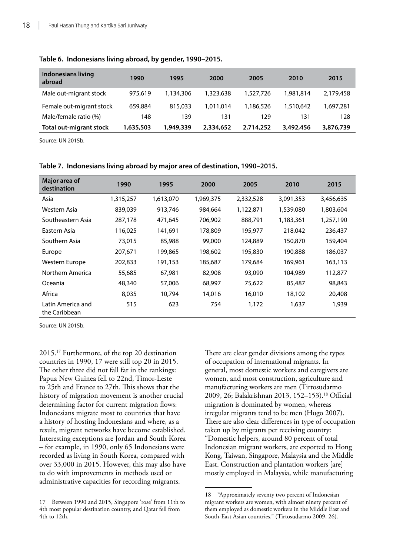| Indonesians living<br>abroad | 1990      | 1995      | 2000      | 2005      | 2010      | 2015      |
|------------------------------|-----------|-----------|-----------|-----------|-----------|-----------|
| Male out-migrant stock       | 975,619   | 1,134,306 | 1,323,638 | 1,527,726 | 1,981,814 | 2,179,458 |
| Female out-migrant stock     | 659,884   | 815,033   | 1.011.014 | 1,186,526 | 1.510.642 | 1,697,281 |
| Male/female ratio (%)        | 148       | 139       | 131       | 129       | 131       | 128       |
| Total out-migrant stock      | 1,635,503 | 1,949,339 | 2,334,652 | 2,714,252 | 3,492,456 | 3,876,739 |

#### **Table 6. Indonesians living abroad, by gender, 1990–2015.**

Source: UN 2015b.

| Major area of                      |           |           |           |           |           |           |
|------------------------------------|-----------|-----------|-----------|-----------|-----------|-----------|
| destination                        | 1990      | 1995      | 2000      | 2005      | 2010      | 2015      |
| Asia                               | 1,315,257 | 1,613,070 | 1,969,375 | 2,332,528 | 3,091,353 | 3,456,635 |
| Western Asia                       | 839,039   | 913,746   | 984,664   | 1,122,871 | 1,539,080 | 1,803,604 |
| Southeastern Asia                  | 287,178   | 471,645   | 706,902   | 888,791   | 1,183,361 | 1,257,190 |
| Eastern Asia                       | 116,025   | 141,691   | 178.809   | 195,977   | 218,042   | 236,437   |
| Southern Asia                      | 73,015    | 85,988    | 99,000    | 124,889   | 150,870   | 159,404   |
| Europe                             | 207,671   | 199,865   | 198,602   | 195,830   | 190,888   | 186,037   |
| Western Europe                     | 202,833   | 191,153   | 185,687   | 179,684   | 169,961   | 163,113   |
| Northern America                   | 55,685    | 67,981    | 82,908    | 93,090    | 104,989   | 112,877   |
| Oceania                            | 48,340    | 57,006    | 68,997    | 75,622    | 85,487    | 98,843    |
| Africa                             | 8,035     | 10,794    | 14,016    | 16,010    | 18,102    | 20,408    |
| Latin America and<br>the Caribbean | 515       | 623       | 754       | 1,172     | 1,637     | 1,939     |

#### **Table 7. Indonesians living abroad by major area of destination, 1990–2015.**

Source: UN 2015b.

2015.17 Furthermore, of the top 20 destination countries in 1990, 17 were still top 20 in 2015. The other three did not fall far in the rankings: Papua New Guinea fell to 22nd, Timor-Leste to 25th and France to 27th. This shows that the history of migration movement is another crucial determining factor for current migration flows: Indonesians migrate most to countries that have a history of hosting Indonesians and where, as a result, migrant networks have become established. Interesting exceptions are Jordan and South Korea – for example, in 1990, only 65 Indonesians were recorded as living in South Korea, compared with over 33,000 in 2015. However, this may also have to do with improvements in methods used or administrative capacities for recording migrants.

There are clear gender divisions among the types of occupation of international migrants. In general, most domestic workers and caregivers are women, and most construction, agriculture and manufacturing workers are men (Tirtosudarmo 2009, 26; Balakrishnan 2013, 152–153).18 Official migration is dominated by women, whereas irregular migrants tend to be men (Hugo 2007). There are also clear differences in type of occupation taken up by migrants per receiving country: "Domestic helpers, around 80 percent of total Indonesian migrant workers, are exported to Hong Kong, Taiwan, Singapore, Malaysia and the Middle East. Construction and plantation workers [are] mostly employed in Malaysia, while manufacturing

<sup>17</sup> Between 1990 and 2015, Singapore 'rose' from 11th to 4th most popular destination country, and Qatar fell from 4th to 12th.

<sup>18</sup> "Approximately seventy two percent of Indonesian migrant workers are women, with almost ninety percent of them employed as domestic workers in the Middle East and South-East Asian countries." (Tirtosudarmo 2009, 26).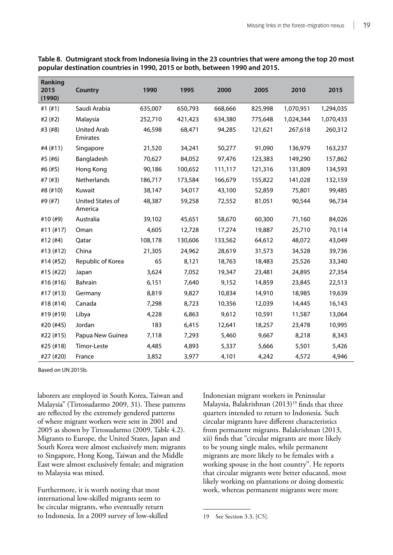| Ranking<br>2015<br>(1990) | Country                        | 1990    | 1995    | 2000    | 2005    | 2010      | 2015      |
|---------------------------|--------------------------------|---------|---------|---------|---------|-----------|-----------|
| #1 $(+1)$                 | Saudi Arabia                   | 635,007 | 650,793 | 668,666 | 825,998 | 1,070,951 | 1,294,035 |
| #2 (#2)                   | Malaysia                       | 252,710 | 421,423 | 634,380 | 775,648 | 1,024,344 | 1,070,433 |
| #3 (#8)                   | <b>United Arab</b><br>Emirates | 46,598  | 68,471  | 94,285  | 121,621 | 267,618   | 260,312   |
| #4 (#11)                  | Singapore                      | 21,520  | 34,241  | 50,277  | 91,090  | 136,979   | 163,237   |
| #5 (#6)                   | Bangladesh                     | 70,627  | 84,052  | 97,476  | 123,383 | 149,290   | 157,862   |
| #6 (#5)                   | Hong Kong                      | 90,186  | 100,652 | 111,117 | 121,316 | 131,809   | 134,593   |
| #7 (#3)                   | Netherlands                    | 186,717 | 173,584 | 166,679 | 155,822 | 141,028   | 132,159   |
| #8 (#10)                  | Kuwait                         | 38,147  | 34,017  | 43,100  | 52,859  | 75,801    | 99,485    |
| #9 (#7)                   | United States of<br>America    | 48,387  | 59,258  | 72,552  | 81,051  | 90,544    | 96,734    |
| #10 (#9)                  | Australia                      | 39,102  | 45,651  | 58,670  | 60,300  | 71,160    | 84,026    |
| $#11$ (#17)               | Oman                           | 4,605   | 12,728  | 17,274  | 19,887  | 25,710    | 70,114    |
| #12 (#4)                  | Qatar                          | 108,178 | 130,606 | 133,562 | 64,612  | 48,072    | 43,049    |
| #13 (#12)                 | China                          | 21,305  | 24,962  | 28,619  | 31,573  | 34,528    | 39,736    |
| #14 (#52)                 | Republic of Korea              | 65      | 8,121   | 18,763  | 18,483  | 25,526    | 33,340    |
| #15 (#22)                 | Japan                          | 3,624   | 7,052   | 19,347  | 23,481  | 24,895    | 27,354    |
| #16 (#16)                 | Bahrain                        | 6,151   | 7,640   | 9,152   | 14,859  | 23,845    | 22,513    |
| #17 (#13)                 | Germany                        | 8,819   | 9,827   | 10,834  | 14,910  | 18,985    | 19,639    |
| #18 (#14)                 | Canada                         | 7,298   | 8,723   | 10,356  | 12,039  | 14,445    | 16,143    |
| #19 (#19)                 | Libya                          | 4,228   | 6,863   | 9,612   | 10,591  | 11,587    | 13,064    |
| #20 (#45)                 | Jordan                         | 183     | 6,415   | 12,641  | 18,257  | 23,478    | 10,995    |
| #22 (#15)                 | Papua New Guinea               | 7,118   | 7,293   | 5,460   | 9,667   | 8,218     | 8,343     |
| #25 (#18)                 | Timor-Leste                    | 4,485   | 4,893   | 5,337   | 5,666   | 5,501     | 5,426     |
| #27 (#20)                 | France                         | 3,852   | 3,977   | 4,101   | 4,242   | 4,572     | 4,946     |

**Table 8. Outmigrant stock from Indonesia living in the 23 countries that were among the top 20 most popular destination countries in 1990, 2015 or both, between 1990 and 2015.** 

Based on UN 2015b.

laborers are employed in South Korea, Taiwan and Malaysia" (Tirtosudarmo 2009, 31). These patterns are reflected by the extremely gendered patterns of where migrant workers were sent in 2001 and 2005 as shown by Tirtosudarmo (2009, Table 4.2). Migrants to Europe, the United States, Japan and South Korea were almost exclusively men; migrants to Singapore, Hong Kong, Taiwan and the Middle East were almost exclusively female; and migration to Malaysia was mixed.

Furthermore, it is worth noting that most international low-skilled migrants seem to be circular migrants, who eventually return to Indonesia. In a 2009 survey of low-skilled

Indonesian migrant workers in Peninsular Malaysia, Balakrishnan  $(2013)^{19}$  finds that three quarters intended to return to Indonesia. Such circular migrants have different characteristics from permanent migrants. Balakrishnan (2013, xii) finds that "circular migrants are more likely to be young single males, while permanent migrants are more likely to be females with a working spouse in the host country". He reports that circular migrants were better educated, most likely working on plantations or doing domestic work, whereas permanent migrants were more

<sup>19</sup> See Section 3.3, [C5].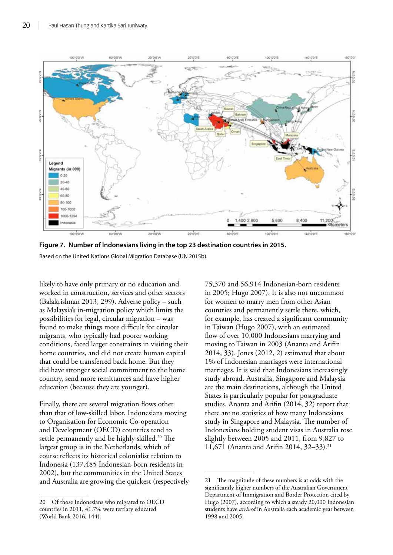<span id="page-29-0"></span>

**Figure 7. Number of Indonesians living in the top 23 destination countries in 2015.** Based on the United Nations Global Migration Database (UN 2015b).

likely to have only primary or no education and worked in construction, services and other sectors (Balakrishnan 2013, 299). Adverse policy – such as Malaysia's in-migration policy which limits the possibilities for legal, circular migration – was found to make things more difficult for circular migrants, who typically had poorer working conditions, faced larger constraints in visiting their home countries, and did not create human capital that could be transferred back home. But they did have stronger social commitment to the home country, send more remittances and have higher education (because they are younger).

Finally, there are several migration flows other than that of low-skilled labor. Indonesians moving to Organisation for Economic Co-operation and Development (OECD) countries tend to settle permanently and be highly skilled.<sup>20</sup> The largest group is in the Netherlands, which of course reflects its historical colonialist relation to Indonesia (137,485 Indonesian-born residents in 2002), but the communities in the United States and Australia are growing the quickest (respectively 75,370 and 56,914 Indonesian-born residents in 2005; Hugo 2007). It is also not uncommon for women to marry men from other Asian countries and permanently settle there, which, for example, has created a significant community in Taiwan (Hugo 2007), with an estimated flow of over 10,000 Indonesians marrying and moving to Taiwan in 2003 (Ananta and Arifin 2014, 33). Jones (2012, 2) estimated that about 1% of Indonesian marriages were international marriages. It is said that Indonesians increasingly study abroad. Australia, Singapore and Malaysia are the main destinations, although the United States is particularly popular for postgraduate studies. Ananta and Arifin (2014, 32) report that there are no statistics of how many Indonesians study in Singapore and Malaysia. The number of Indonesians holding student visas in Australia rose slightly between 2005 and 2011, from 9,827 to 11,671 (Ananta and Arifin 2014, 32–33).21

<sup>20</sup> Of those Indonesians who migrated to OECD countries in 2011, 41.7% were tertiary educated (World Bank 2016, 144).

<sup>21</sup> The magnitude of these numbers is at odds with the significantly higher numbers of the Australian Government Department of Immigration and Border Protection cited by Hugo (2007), according to which a steady 20,000 Indonesian students have *arrived* in Australia each academic year between 1998 and 2005.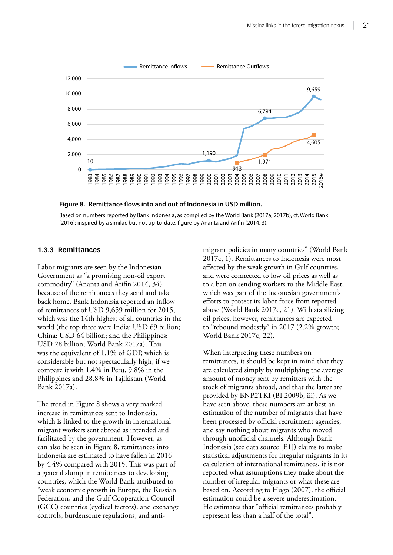<span id="page-30-0"></span>

#### **Figure 8. Remittance flows into and out of Indonesia in USD million.**

Based on numbers reported by Bank Indonesia, as compiled by the World Bank (2017a, 2017b), cf. World Bank (2016); inspired by a similar, but not up-to-date, figure by Ananta and Arifin (2014, 3).

#### **1.3.3 Remittances**

Labor migrants are seen by the Indonesian Government as "a promising non-oil export commodity" (Ananta and Arifin 2014, 34) because of the remittances they send and take back home. Bank Indonesia reported an inflow of remittances of USD 9,659 million for 2015, which was the 14th highest of all countries in the world (the top three were India: USD 69 billion; China: USD 64 billion; and the Philippines: USD 28 billion; World Bank 2017a). This was the equivalent of 1.1% of GDP, which is considerable but not spectacularly high, if we compare it with 1.4% in Peru, 9.8% in the Philippines and 28.8% in Tajikistan (World Bank 2017a).

The trend in Figure 8 shows a very marked increase in remittances sent to Indonesia, which is linked to the growth in international migrant workers sent abroad as intended and facilitated by the government. However, as can also be seen in Figure 8, remittances into Indonesia are estimated to have fallen in 2016 by 4.4% compared with 2015. This was part of a general slump in remittances to developing countries, which the World Bank attributed to "weak economic growth in Europe, the Russian Federation, and the Gulf Cooperation Council (GCC) countries (cyclical factors), and exchange controls, burdensome regulations, and antimigrant policies in many countries" (World Bank 2017c, 1). Remittances to Indonesia were most affected by the weak growth in Gulf countries, and were connected to low oil prices as well as to a ban on sending workers to the Middle East, which was part of the Indonesian government's efforts to protect its labor force from reported abuse (World Bank 2017c, 21). With stabilizing oil prices, however, remittances are expected to "rebound modestly" in 2017 (2.2% growth; World Bank 2017c, 22).

When interpreting these numbers on remittances, it should be kept in mind that they are calculated simply by multiplying the average amount of money sent by remitters with the stock of migrants abroad, and that the latter are provided by BNP2TKI (BI 2009b, iii). As we have seen above, these numbers are at best an estimation of the number of migrants that have been processed by official recruitment agencies, and say nothing about migrants who moved through unofficial channels. Although Bank Indonesia (see data source [E1]) claims to make statistical adjustments for irregular migrants in its calculation of international remittances, it is not reported what assumptions they make about the number of irregular migrants or what these are based on. According to Hugo (2007), the official estimation could be a severe underestimation. He estimates that "official remittances probably represent less than a half of the total".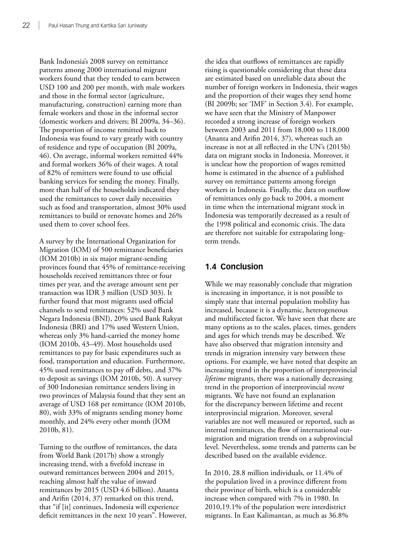<span id="page-31-0"></span>Bank Indonesia's 2008 survey on remittance patterns among 2000 international migrant workers found that they tended to earn between USD 100 and 200 per month, with male workers and those in the formal sector (agriculture, manufacturing, construction) earning more than female workers and those in the informal sector (domestic workers and drivers; BI 2009a, 34–36). The proportion of income remitted back to Indonesia was found to vary greatly with country of residence and type of occupation (BI 2009a, 46). On average, informal workers remitted 44% and formal workers 36% of their wages. A total of 82% of remitters were found to use official banking services for sending the money. Finally, more than half of the households indicated they used the remittances to cover daily necessities such as food and transportation, almost 30% used remittances to build or renovate homes and 26% used them to cover school fees.

A survey by the International Organization for Migration (IOM) of 500 remittance beneficiaries (IOM 2010b) in six major migrant-sending provinces found that 45% of remittance-receiving households received remittances three or four times per year, and the average amount sent per transaction was IDR 3 million (USD 303). It further found that most migrants used official channels to send remittances: 52% used Bank Negara Indonesia (BNI), 20% used Bank Rakyat Indonesia (BRI) and 17% used Western Union, whereas only 3% hand-carried the money home (IOM 2010b, 43–49). Most households used remittances to pay for basic expenditures such as food, transportation and education. Furthermore, 45% used remittances to pay off debts, and 37% to deposit as savings (IOM 2010b, 50). A survey of 300 Indonesian remittance senders living in two provinces of Malaysia found that they sent an average of USD 168 per remittance (IOM 2010b, 80), with 33% of migrants sending money home monthly, and 24% every other month (IOM 2010b, 81).

Turning to the outflow of remittances, the data from World Bank (2017b) show a strongly increasing trend, with a fivefold increase in outward remittances between 2004 and 2015, reaching almost half the value of inward remittances by 2015 (USD 4.6 billion). Ananta and Arifin (2014, 37) remarked on this trend, that "if [it] continues, Indonesia will experience deficit remittances in the next 10 years". However, the idea that outflows of remittances are rapidly rising is questionable considering that these data are estimated based on unreliable data about the number of foreign workers in Indonesia, their wages and the proportion of their wages they send home (BI 2009b; see 'IMF' in Section 3.4). For example, we have seen that the Ministry of Manpower recorded a strong increase of foreign workers between 2003 and 2011 from 18,000 to 118,000 (Ananta and Arifin 2014, 37), whereas such an increase is not at all reflected in the UN's (2015b) data on migrant stocks in Indonesia. Moreover, it is unclear how the proportion of wages remitted home is estimated in the absence of a published survey on remittance patterns among foreign workers in Indonesia. Finally, the data on outflow of remittances only go back to 2004, a moment in time when the international migrant stock in Indonesia was temporarily decreased as a result of the 1998 political and economic crisis. The data are therefore not suitable for extrapolating longterm trends.

### **1.4 Conclusion**

While we may reasonably conclude that migration is increasing in importance, it is not possible to simply state that internal population mobility has increased, because it is a dynamic, heterogeneous and multifaceted factor. We have seen that there are many options as to the scales, places, times, genders and ages for which trends may be described. We have also observed that migration intensity and trends in migration intensity vary between these options. For example, we have noted that despite an increasing trend in the proportion of interprovincial *lifetime* migrants, there was a nationally decreasing trend in the proportion of interprovincial *recent* migrants. We have not found an explanation for the discrepancy between lifetime and recent interprovincial migration. Moreover, several variables are not well measured or reported, such as internal remittances, the flow of international outmigration and migration trends on a subprovincial level. Nevertheless, some trends and patterns can be described based on the available evidence.

In 2010, 28.8 million individuals, or 11.4% of the population lived in a province different from their province of birth, which is a considerable increase when compared with 7% in 1980. In 2010,19.1% of the population were interdistrict migrants. In East Kalimantan, as much as 36.8%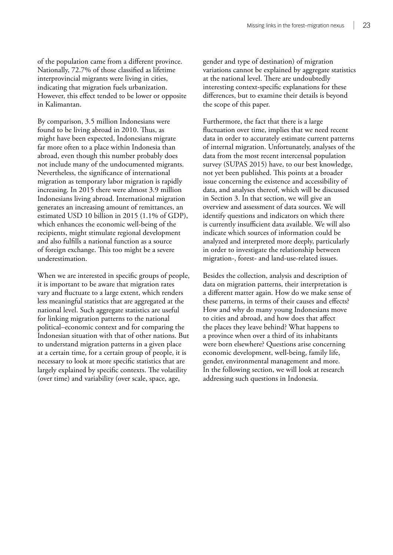of the population came from a different province. Nationally, 72.7% of those classified as lifetime interprovincial migrants were living in cities, indicating that migration fuels urbanization. However, this effect tended to be lower or opposite in Kalimantan.

By comparison, 3.5 million Indonesians were found to be living abroad in 2010. Thus, as might have been expected, Indonesians migrate far more often to a place within Indonesia than abroad, even though this number probably does not include many of the undocumented migrants. Nevertheless, the significance of international migration as temporary labor migration is rapidly increasing. In 2015 there were almost 3.9 million Indonesians living abroad. International migration generates an increasing amount of remittances, an estimated USD 10 billion in 2015 (1.1% of GDP), which enhances the economic well-being of the recipients, might stimulate regional development and also fulfills a national function as a source of foreign exchange. This too might be a severe underestimation.

When we are interested in specific groups of people, it is important to be aware that migration rates vary and fluctuate to a large extent, which renders less meaningful statistics that are aggregated at the national level. Such aggregate statistics are useful for linking migration patterns to the national political–economic context and for comparing the Indonesian situation with that of other nations. But to understand migration patterns in a given place at a certain time, for a certain group of people, it is necessary to look at more specific statistics that are largely explained by specific contexts. The volatility (over time) and variability (over scale, space, age,

gender and type of destination) of migration variations cannot be explained by aggregate statistics at the national level. There are undoubtedly interesting context-specific explanations for these differences, but to examine their details is beyond the scope of this paper.

Furthermore, the fact that there is a large fluctuation over time, implies that we need recent data in order to accurately estimate current patterns of internal migration. Unfortunately, analyses of the data from the most recent intercensal population survey (SUPAS 2015) have, to our best knowledge, not yet been published. This points at a broader issue concerning the existence and accessibility of data, and analyses thereof, which will be discussed in Section 3. In that section, we will give an overview and assessment of data sources. We will identify questions and indicators on which there is currently insufficient data available. We will also indicate which sources of information could be analyzed and interpreted more deeply, particularly in order to investigate the relationship between migration-, forest- and land-use-related issues.

Besides the collection, analysis and description of data on migration patterns, their interpretation is a different matter again. How do we make sense of these patterns, in terms of their causes and effects? How and why do many young Indonesians move to cities and abroad, and how does that affect the places they leave behind? What happens to a province when over a third of its inhabitants were born elsewhere? Questions arise concerning economic development, well-being, family life, gender, environmental management and more. In the following section, we will look at research addressing such questions in Indonesia.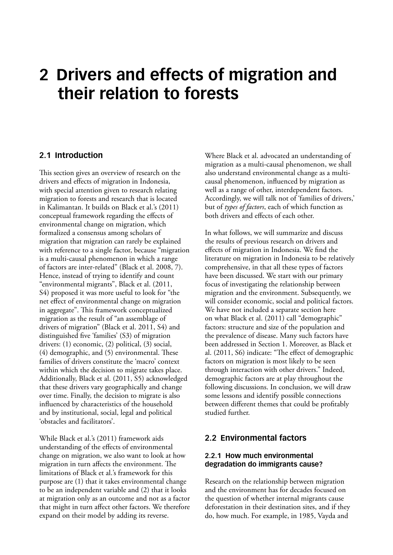## <span id="page-33-0"></span>**2 Drivers and effects of migration and their relation to forests**

### **2.1 Introduction**

This section gives an overview of research on the drivers and effects of migration in Indonesia, with special attention given to research relating migration to forests and research that is located in Kalimantan. It builds on Black et al.'s (2011) conceptual framework regarding the effects of environmental change on migration, which formalized a consensus among scholars of migration that migration can rarely be explained with reference to a single factor, because "migration is a multi-causal phenomenon in which a range of factors are inter-related" (Black et al. 2008, 7). Hence, instead of trying to identify and count "environmental migrants", Black et al. (2011, S4) proposed it was more useful to look for "the net effect of environmental change on migration in aggregate". This framework conceptualized migration as the result of "an assemblage of drivers of migration" (Black et al. 2011, S4) and distinguished five 'families' (S3) of migration drivers: (1) economic, (2) political, (3) social, (4) demographic, and (5) environmental. These families of drivers constitute the 'macro' context within which the decision to migrate takes place. Additionally, Black et al. (2011, S5) acknowledged that these drivers vary geographically and change over time. Finally, the decision to migrate is also influenced by characteristics of the household and by institutional, social, legal and political 'obstacles and facilitators'.

While Black et al.'s (2011) framework aids understanding of the effects of environmental change on migration, we also want to look at how migration in turn affects the environment. The limitations of Black et al.'s framework for this purpose are (1) that it takes environmental change to be an independent variable and (2) that it looks at migration only as an outcome and not as a factor that might in turn affect other factors. We therefore expand on their model by adding its reverse.

Where Black et al. advocated an understanding of migration as a multi-causal phenomenon, we shall also understand environmental change as a multicausal phenomenon, influenced by migration as well as a range of other, interdependent factors. Accordingly, we will talk not of 'families of drivers,' but of *types of factors*, each of which function as both drivers and effects of each other.

In what follows, we will summarize and discuss the results of previous research on drivers and effects of migration in Indonesia. We find the literature on migration in Indonesia to be relatively comprehensive, in that all these types of factors have been discussed. We start with our primary focus of investigating the relationship between migration and the environment. Subsequently, we will consider economic, social and political factors. We have not included a separate section here on what Black et al. (2011) call "demographic" factors: structure and size of the population and the prevalence of disease. Many such factors have been addressed in Section 1. Moreover, as Black et al. (2011, S6) indicate: "The effect of demographic factors on migration is most likely to be seen through interaction with other drivers." Indeed, demographic factors are at play throughout the following discussions. In conclusion, we will draw some lessons and identify possible connections between different themes that could be profitably studied further.

### **2.2 Environmental factors**

#### **2.2.1 How much environmental degradation do immigrants cause?**

Research on the relationship between migration and the environment has for decades focused on the question of whether internal migrants cause deforestation in their destination sites, and if they do, how much. For example, in 1985, Vayda and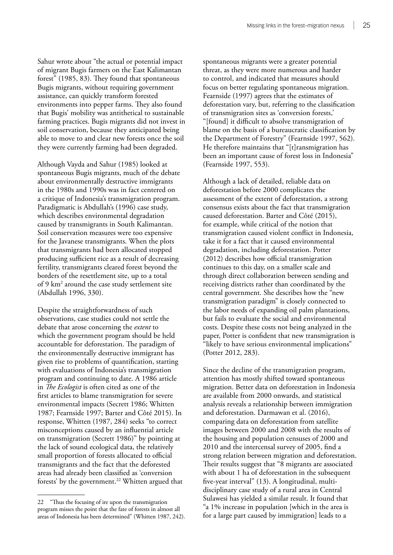Sahur wrote about "the actual or potential impact of migrant Bugis farmers on the East Kalimantan forest" (1985, 83). They found that spontaneous Bugis migrants, without requiring government assistance, can quickly transform forested environments into pepper farms. They also found that Bugis' mobility was antithetical to sustainable farming practices. Bugis migrants did not invest in soil conservation, because they anticipated being able to move to and clear new forests once the soil they were currently farming had been degraded.

Although Vayda and Sahur (1985) looked at spontaneous Bugis migrants, much of the debate about environmentally destructive immigrants in the 1980s and 1990s was in fact centered on a critique of Indonesia's transmigration program. Paradigmatic is Abdullah's (1996) case study, which describes environmental degradation caused by transmigrants in South Kalimantan. Soil conservation measures were too expensive for the Javanese transmigrants. When the plots that transmigrants had been allocated stopped producing sufficient rice as a result of decreasing fertility, transmigrants cleared forest beyond the borders of the resettlement site, up to a total of 9 km2 around the case study settlement site (Abdullah 1996, 330).

Despite the straightforwardness of such observations, case studies could not settle the debate that arose concerning the *extent* to which the government program should be held accountable for deforestation. The paradigm of the environmentally destructive immigrant has given rise to problems of quantification, starting with evaluations of Indonesia's transmigration program and continuing to date. A 1986 article in *The Ecologist* is often cited as one of the first articles to blame transmigration for severe environmental impacts (Secrett 1986; Whitten 1987; Fearnside 1997; Barter and Côté 2015). In response, Whitten (1987, 284) seeks "to correct misconceptions caused by an influential article on transmigration (Secrett 1986)" by pointing at the lack of sound ecological data, the relatively small proportion of forests allocated to official transmigrants and the fact that the deforested areas had already been classified as 'conversion forests' by the government.<sup>22</sup> Whitten argued that spontaneous migrants were a greater potential threat, as they were more numerous and harder to control, and indicated that measures should focus on better regulating spontaneous migration. Fearnside (1997) agrees that the estimates of deforestation vary, but, referring to the classification of transmigration sites as 'conversion forests,' "[found] it difficult to absolve transmigration of blame on the basis of a bureaucratic classification by the Department of Forestry" (Fearnside 1997, 562). He therefore maintains that "[t]ransmigration has been an important cause of forest loss in Indonesia" (Fearnside 1997, 553).

Although a lack of detailed, reliable data on deforestation before 2000 complicates the assessment of the extent of deforestation, a strong consensus exists about the fact that transmigration caused deforestation. Barter and Côté (2015), for example, while critical of the notion that transmigration caused violent conflict in Indonesia, take it for a fact that it caused environmental degradation, including deforestation. Potter (2012) describes how official transmigration continues to this day, on a smaller scale and through direct collaboration between sending and receiving districts rather than coordinated by the central government. She describes how the "new transmigration paradigm" is closely connected to the labor needs of expanding oil palm plantations, but fails to evaluate the social and environmental costs. Despite these costs not being analyzed in the paper, Potter is confident that new transmigration is "likely to have serious environmental implications" (Potter 2012, 283).

Since the decline of the transmigration program, attention has mostly shifted toward spontaneous migration. Better data on deforestation in Indonesia are available from 2000 onwards, and statistical analysis reveals a relationship between immigration and deforestation. Darmawan et al. (2016), comparing data on deforestation from satellite images between 2000 and 2008 with the results of the housing and population censuses of 2000 and 2010 and the intercensal survey of 2005, find a strong relation between migration and deforestation. Their results suggest that "8 migrants are associated with about 1 ha of deforestation in the subsequent five-year interval" (13). A longitudinal, multidisciplinary case study of a rural area in Central Sulawesi has yielded a similar result. It found that "a 1% increase in population [which in the area is for a large part caused by immigration] leads to a

<sup>22</sup> "Thus the focusing of ire upon the transmigration program misses the point that the fate of forests in almost all areas of Indonesia has been determined" (Whitten 1987, 242).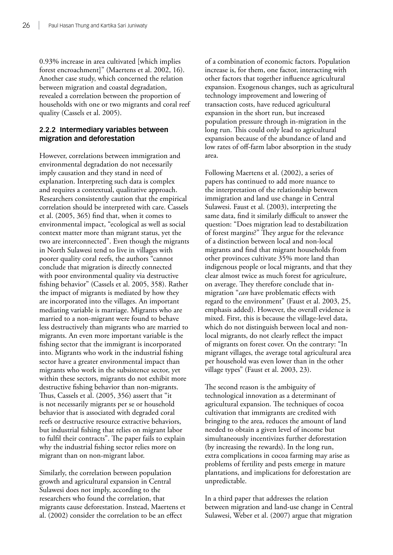0.93% increase in area cultivated [which implies forest encroachment]" (Maertens et al. 2002, 16). Another case study, which concerned the relation between migration and coastal degradation, revealed a correlation between the proportion of households with one or two migrants and coral reef quality (Cassels et al. 2005).

#### **2.2.2 Intermediary variables between migration and deforestation**

However, correlations between immigration and environmental degradation do not necessarily imply causation and they stand in need of explanation. Interpreting such data is complex and requires a contextual, qualitative approach. Researchers consistently caution that the empirical correlation should be interpreted with care. Cassels et al. (2005, 365) find that, when it comes to environmental impact, "ecological as well as social context matter more than migrant status, yet the two are interconnected". Even though the migrants in North Sulawesi tend to live in villages with poorer quality coral reefs, the authors "cannot conclude that migration is directly connected with poor environmental quality via destructive fishing behavior" (Cassels et al. 2005, 358). Rather the impact of migrants is mediated by how they are incorporated into the villages. An important mediating variable is marriage. Migrants who are married to a non-migrant were found to behave less destructively than migrants who are married to migrants. An even more important variable is the fishing sector that the immigrant is incorporated into. Migrants who work in the industrial fishing sector have a greater environmental impact than migrants who work in the subsistence sector, yet within these sectors, migrants do not exhibit more destructive fishing behavior than non-migrants. Thus, Cassels et al. (2005, 356) assert that "it is not necessarily migrants per se or household behavior that is associated with degraded coral reefs or destructive resource extractive behaviors, but industrial fishing that relies on migrant labor to fulfil their contracts". The paper fails to explain why the industrial fishing sector relies more on migrant than on non-migrant labor.

Similarly, the correlation between population growth and agricultural expansion in Central Sulawesi does not imply, according to the researchers who found the correlation, that migrants cause deforestation. Instead, Maertens et al. (2002) consider the correlation to be an effect

of a combination of economic factors. Population increase is, for them, one factor, interacting with other factors that together influence agricultural expansion. Exogenous changes, such as agricultural technology improvement and lowering of transaction costs, have reduced agricultural expansion in the short run, but increased population pressure through in-migration in the long run. This could only lead to agricultural expansion because of the abundance of land and low rates of off-farm labor absorption in the study area.

Following Maertens et al. (2002), a series of papers has continued to add more nuance to the interpretation of the relationship between immigration and land use change in Central Sulawesi. Faust et al. (2003), interpreting the same data, find it similarly difficult to answer the question: "Does migration lead to destabilization of forest margins?" They argue for the relevance of a distinction between local and non-local migrants and find that migrant households from other provinces cultivate 35% more land than indigenous people or local migrants, and that they clear almost twice as much forest for agriculture, on average. They therefore conclude that inmigration "*can* have problematic effects with regard to the environment" (Faust et al. 2003, 25, emphasis added). However, the overall evidence is mixed. First, this is because the village-level data, which do not distinguish between local and nonlocal migrants, do not clearly reflect the impact of migrants on forest cover. On the contrary: "In migrant villages, the average total agricultural area per household was even lower than in the other village types" (Faust et al. 2003, 23).

The second reason is the ambiguity of technological innovation as a determinant of agricultural expansion. The techniques of cocoa cultivation that immigrants are credited with bringing to the area, reduces the amount of land needed to obtain a given level of income but simultaneously incentivizes further deforestation (by increasing the rewards). In the long run, extra complications in cocoa farming may arise as problems of fertility and pests emerge in mature plantations, and implications for deforestation are unpredictable.

In a third paper that addresses the relation between migration and land-use change in Central Sulawesi, Weber et al. (2007) argue that migration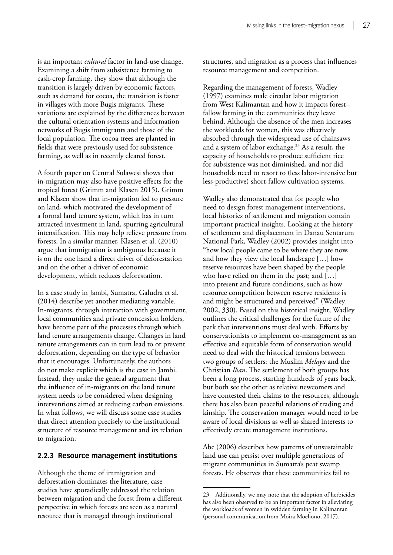is an important *cultural* factor in land-use change. Examining a shift from subsistence farming to cash-crop farming, they show that although the transition is largely driven by economic factors, such as demand for cocoa, the transition is faster in villages with more Bugis migrants. These variations are explained by the differences between the cultural orientation systems and information networks of Bugis immigrants and those of the local population. The cocoa trees are planted in fields that were previously used for subsistence farming, as well as in recently cleared forest.

A fourth paper on Central Sulawesi shows that in-migration may also have positive effects for the tropical forest (Grimm and Klasen 2015). Grimm and Klasen show that in-migration led to pressure on land, which motivated the development of a formal land tenure system, which has in turn attracted investment in land, spurring agricultural intensification. This may help relieve pressure from forests. In a similar manner, Klasen et al. (2010) argue that immigration is ambiguous because it is on the one hand a direct driver of deforestation and on the other a driver of economic development, which reduces deforestation.

In a case study in Jambi, Sumatra, Galudra et al. (2014) describe yet another mediating variable. In-migrants, through interaction with government, local communities and private concession holders, have become part of the processes through which land tenure arrangements change. Changes in land tenure arrangements can in turn lead to or prevent deforestation, depending on the type of behavior that it encourages. Unfortunately, the authors do not make explicit which is the case in Jambi. Instead, they make the general argument that the influence of in-migrants on the land tenure system needs to be considered when designing interventions aimed at reducing carbon emissions. In what follows, we will discuss some case studies that direct attention precisely to the institutional structure of resource management and its relation to migration.

#### **2.2.3 Resource management institutions**

Although the theme of immigration and deforestation dominates the literature, case studies have sporadically addressed the relation between migration and the forest from a different perspective in which forests are seen as a natural resource that is managed through institutional

structures, and migration as a process that influences resource management and competition.

Regarding the management of forests, Wadley (1997) examines male circular labor migration from West Kalimantan and how it impacts forest– fallow farming in the communities they leave behind. Although the absence of the men increases the workloads for women, this was effectively absorbed through the widespread use of chainsaws and a system of labor exchange.<sup>23</sup> As a result, the capacity of households to produce sufficient rice for subsistence was not diminished, and nor did households need to resort to (less labor-intensive but less-productive) short-fallow cultivation systems.

Wadley also demonstrated that for people who need to design forest management interventions, local histories of settlement and migration contain important practical insights. Looking at the history of settlement and displacement in Danau Sentarum National Park, Wadley (2002) provides insight into "how local people came to be where they are now, and how they view the local landscape […] how reserve resources have been shaped by the people who have relied on them in the past; and […] into present and future conditions, such as how resource competition between reserve residents is and might be structured and perceived" (Wadley 2002, 330). Based on this historical insight, Wadley outlines the critical challenges for the future of the park that interventions must deal with. Efforts by conservationists to implement co-management as an effective and equitable form of conservation would need to deal with the historical tensions between two groups of settlers: the Muslim *Melayu* and the Christian *Iban*. The settlement of both groups has been a long process, starting hundreds of years back, but both see the other as relative newcomers and have contested their claims to the resources, although there has also been peaceful relations of trading and kinship. The conservation manager would need to be aware of local divisions as well as shared interests to effectively create management institutions.

Abe (2006) describes how patterns of unsustainable land use can persist over multiple generations of migrant communities in Sumatra's peat swamp forests. He observes that these communities fail to

<sup>23</sup> Additionally, we may note that the adoption of herbicides has also been observed to be an important factor in alleviating the workloads of women in swidden farming in Kalimantan (personal communication from Moira Moeliono, 2017).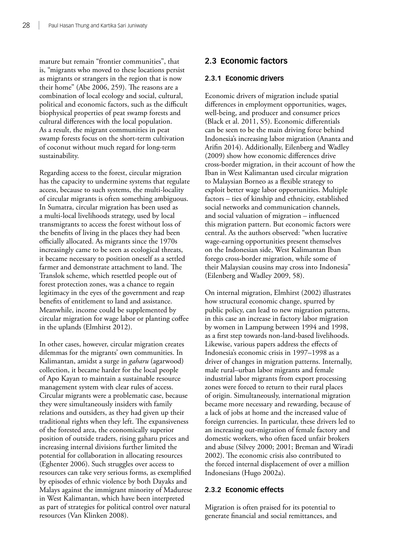mature but remain "frontier communities", that is, "migrants who moved to these locations persist as migrants or strangers in the region that is now their home" (Abe 2006, 259). The reasons are a combination of local ecology and social, cultural, political and economic factors, such as the difficult biophysical properties of peat swamp forests and cultural differences with the local population. As a result, the migrant communities in peat swamp forests focus on the short-term cultivation of coconut without much regard for long-term sustainability.

Regarding access to the forest, circular migration has the capacity to undermine systems that regulate access, because to such systems, the multi-locality of circular migrants is often something ambiguous. In Sumatra, circular migration has been used as a multi-local livelihoods strategy, used by local transmigrants to access the forest without loss of the benefits of living in the places they had been officially allocated. As migrants since the 1970s increasingly came to be seen as ecological threats, it became necessary to position oneself as a settled farmer and demonstrate attachment to land. The Translok scheme, which resettled people out of forest protection zones, was a chance to regain legitimacy in the eyes of the government and reap benefits of entitlement to land and assistance. Meanwhile, income could be supplemented by circular migration for wage labor or planting coffee in the uplands (Elmhirst 2012).

In other cases, however, circular migration creates dilemmas for the migrants' own communities. In Kalimantan, amidst a surge in *gaharu* (agarwood) collection, it became harder for the local people of Apo Kayan to maintain a sustainable resource management system with clear rules of access. Circular migrants were a problematic case, because they were simultaneously insiders with family relations and outsiders, as they had given up their traditional rights when they left. The expansiveness of the forested area, the economically superior position of outside traders, rising gaharu prices and increasing internal divisions further limited the potential for collaboration in allocating resources (Eghenter 2006). Such struggles over access to resources can take very serious forms, as exemplified by episodes of ethnic violence by both Dayaks and Malays against the immigrant minority of Madurese in West Kalimantan, which have been interpreted as part of strategies for political control over natural resources (Van Klinken 2008).

# **2.3 Economic factors**

#### **2.3.1 Economic drivers**

Economic drivers of migration include spatial differences in employment opportunities, wages, well-being, and producer and consumer prices (Black et al. 2011, S5). Economic differentials can be seen to be the main driving force behind Indonesia's increasing labor migration (Ananta and Arifin 2014). Additionally, Eilenberg and Wadley (2009) show how economic differences drive cross-border migration, in their account of how the Iban in West Kalimantan used circular migration to Malaysian Borneo as a flexible strategy to exploit better wage labor opportunities. Multiple factors – ties of kinship and ethnicity, established social networks and communication channels, and social valuation of migration – influenced this migration pattern. But economic factors were central. As the authors observed: "when lucrative wage-earning opportunities present themselves on the Indonesian side, West Kalimantan Iban forego cross-border migration, while some of their Malaysian cousins may cross into Indonesia" (Eilenberg and Wadley 2009, 58).

On internal migration, Elmhirst (2002) illustrates how structural economic change, spurred by public policy, can lead to new migration patterns, in this case an increase in factory labor migration by women in Lampung between 1994 and 1998, as a first step towards non-land-based livelihoods. Likewise, various papers address the effects of Indonesia's economic crisis in 1997–1998 as a driver of changes in migration patterns. Internally, male rural–urban labor migrants and female industrial labor migrants from export processing zones were forced to return to their rural places of origin. Simultaneously, international migration became more necessary and rewarding, because of a lack of jobs at home and the increased value of foreign currencies. In particular, these drivers led to an increasing out-migration of female factory and domestic workers, who often faced unfair brokers and abuse (Silvey 2000; 2001; Breman and Wiradi 2002). The economic crisis also contributed to the forced internal displacement of over a million Indonesians (Hugo 2002a).

#### **2.3.2 Economic effects**

Migration is often praised for its potential to generate financial and social remittances, and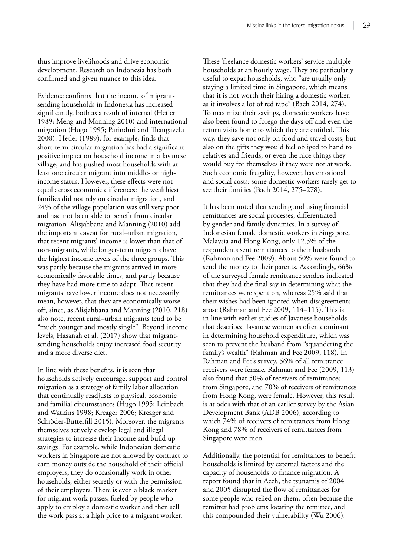thus improve livelihoods and drive economic development. Research on Indonesia has both confirmed and given nuance to this idea.

Evidence confirms that the income of migrantsending households in Indonesia has increased significantly, both as a result of internal (Hetler 1989; Meng and Manning 2010) and international migration (Hugo 1995; Parinduri and Thangavelu 2008). Hetler (1989), for example, finds that short-term circular migration has had a significant positive impact on household income in a Javanese village, and has pushed most households with at least one circular migrant into middle- or highincome status. However, these effects were not equal across economic differences: the wealthiest families did not rely on circular migration, and 24% of the village population was still very poor and had not been able to benefit from circular migration. Alisjahbana and Manning (2010) add the important caveat for rural–urban migration, that recent migrants' income is lower than that of non-migrants, while longer-term migrants have the highest income levels of the three groups. This was partly because the migrants arrived in more economically favorable times, and partly because they have had more time to adapt. That recent migrants have lower income does not necessarily mean, however, that they are economically worse off, since, as Alisjahbana and Manning (2010, 218) also note, recent rural–urban migrants tend to be "much younger and mostly single". Beyond income levels, Hasanah et al. (2017) show that migrantsending households enjoy increased food security and a more diverse diet.

In line with these benefits, it is seen that households actively encourage, support and control migration as a strategy of family labor allocation that continually readjusts to physical, economic and familial circumstances (Hugo 1995; Leinbach and Watkins 1998; Kreager 2006; Kreager and Schröder-Butterfill 2015). Moreover, the migrants themselves actively develop legal and illegal strategies to increase their income and build up savings. For example, while Indonesian domestic workers in Singapore are not allowed by contract to earn money outside the household of their official employers, they do occasionally work in other households, either secretly or with the permission of their employers. There is even a black market for migrant work passes, fueled by people who apply to employ a domestic worker and then sell the work pass at a high price to a migrant worker.

These 'freelance domestic workers' service multiple households at an hourly wage. They are particularly useful to expat households, who "are usually only staying a limited time in Singapore, which means that it is not worth their hiring a domestic worker, as it involves a lot of red tape" (Bach 2014, 274). To maximize their savings, domestic workers have also been found to forego the days off and even the return visits home to which they are entitled. This way, they save not only on food and travel costs, but also on the gifts they would feel obliged to hand to relatives and friends, or even the nice things they would buy for themselves if they were not at work. Such economic frugality, however, has emotional and social costs: some domestic workers rarely get to see their families (Bach 2014, 275–278).

It has been noted that sending and using financial remittances are social processes, differentiated by gender and family dynamics. In a survey of Indonesian female domestic workers in Singapore, Malaysia and Hong Kong, only 12.5% of the respondents sent remittances to their husbands (Rahman and Fee 2009). About 50% were found to send the money to their parents. Accordingly, 66% of the surveyed female remittance senders indicated that they had the final say in determining what the remittances were spent on, whereas 25% said that their wishes had been ignored when disagreements arose (Rahman and Fee 2009, 114–115). This is in line with earlier studies of Javanese households that described Javanese women as often dominant in determining household expenditure, which was seen to prevent the husband from "squandering the family's wealth" (Rahman and Fee 2009, 118). In Rahman and Fee's survey, 56% of all remittance receivers were female. Rahman and Fee (2009, 113) also found that 50% of receivers of remittances from Singapore, and 70% of receivers of remittances from Hong Kong, were female. However, this result is at odds with that of an earlier survey by the Asian Development Bank (ADB 2006), according to which 74% of receivers of remittances from Hong Kong and 78% of receivers of remittances from Singapore were men.

Additionally, the potential for remittances to benefit households is limited by external factors and the capacity of households to finance migration. A report found that in Aceh, the tsunamis of 2004 and 2005 disrupted the flow of remittances for some people who relied on them, often because the remitter had problems locating the remittee, and this compounded their vulnerability (Wu 2006).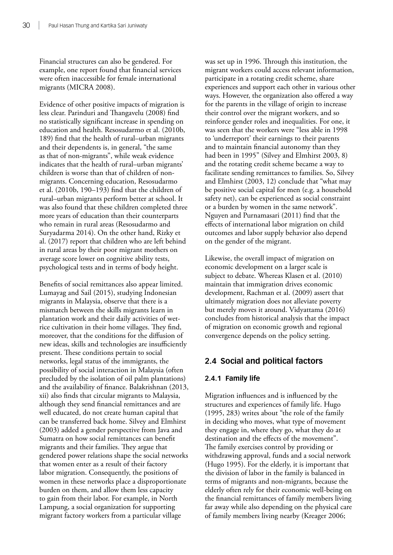Financial structures can also be gendered. For example, one report found that financial services were often inaccessible for female international migrants (MICRA 2008).

Evidence of other positive impacts of migration is less clear. Parinduri and Thangavelu (2008) find no statistically significant increase in spending on education and health. Resosudarmo et al. (2010b, 189) find that the health of rural–urban migrants and their dependents is, in general, "the same as that of non-migrants", while weak evidence indicates that the health of rural–urban migrants' children is worse than that of children of nonmigrants. Concerning education, Resosudarmo et al. (2010b, 190–193) find that the children of rural–urban migrants perform better at school. It was also found that these children completed three more years of education than their counterparts who remain in rural areas (Resosudarmo and Suryadarma 2014). On the other hand, Rizky et al. (2017) report that children who are left behind in rural areas by their poor migrant mothers on average score lower on cognitive ability tests, psychological tests and in terms of body height.

Benefits of social remittances also appear limited. Lumayag and Sail (2015), studying Indonesian migrants in Malaysia, observe that there is a mismatch between the skills migrants learn in plantation work and their daily activities of wetrice cultivation in their home villages. They find, moreover, that the conditions for the diffusion of new ideas, skills and technologies are insufficiently present. These conditions pertain to social networks, legal status of the immigrants, the possibility of social interaction in Malaysia (often precluded by the isolation of oil palm plantations) and the availability of finance. Balakrishnan (2013, xii) also finds that circular migrants to Malaysia, although they send financial remittances and are well educated, do not create human capital that can be transferred back home. Silvey and Elmhirst (2003) added a gender perspective from Java and Sumatra on how social remittances can benefit migrants and their families. They argue that gendered power relations shape the social networks that women enter as a result of their factory labor migration. Consequently, the positions of women in these networks place a disproportionate burden on them, and allow them less capacity to gain from their labor. For example, in North Lampung, a social organization for supporting migrant factory workers from a particular village

was set up in 1996. Through this institution, the migrant workers could access relevant information, participate in a rotating credit scheme, share experiences and support each other in various other ways. However, the organization also offered a way for the parents in the village of origin to increase their control over the migrant workers, and so reinforce gender roles and inequalities. For one, it was seen that the workers were "less able in 1998 to 'underreport' their earnings to their parents and to maintain financial autonomy than they had been in 1995" (Silvey and Elmhirst 2003, 8) and the rotating credit scheme became a way to facilitate sending remittances to families. So, Silvey and Elmhirst (2003, 12) conclude that "what may be positive social capital for men (e.g. a household safety net), can be experienced as social constraint or a burden by women in the same network". Nguyen and Purnamasari (2011) find that the effects of international labor migration on child outcomes and labor supply behavior also depend on the gender of the migrant.

Likewise, the overall impact of migration on economic development on a larger scale is subject to debate. Whereas Klasen et al. (2010) maintain that immigration drives economic development, Rachman et al. (2009) assert that ultimately migration does not alleviate poverty but merely moves it around. Vidyattama (2016) concludes from historical analysis that the impact of migration on economic growth and regional convergence depends on the policy setting.

# **2.4 Social and political factors**

# **2.4.1 Family life**

Migration influences and is influenced by the structures and experiences of family life. Hugo (1995, 283) writes about "the role of the family in deciding who moves, what type of movement they engage in, where they go, what they do at destination and the effects of the movement". The family exercises control by providing or withdrawing approval, funds and a social network (Hugo 1995). For the elderly, it is important that the division of labor in the family is balanced in terms of migrants and non-migrants, because the elderly often rely for their economic well-being on the financial remittances of family members living far away while also depending on the physical care of family members living nearby (Kreager 2006;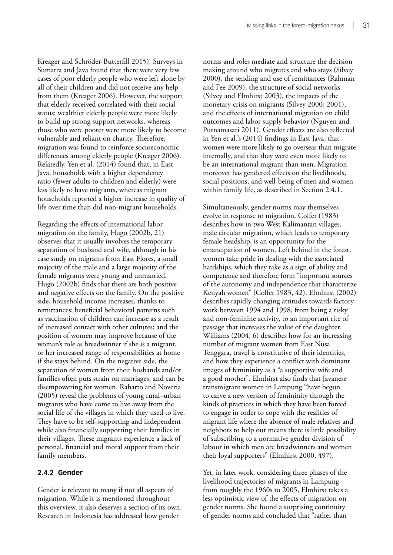Kreager and Schröder-Butterfill 2015). Surveys in Sumatra and Java found that there were very few cases of poor elderly people who were left alone by all of their children and did not receive any help from them (Kreager 2006). However, the support that elderly received correlated with their social status: wealthier elderly people were more likely to build up strong support networks, whereas those who were poorer were more likely to become vulnerable and reliant on charity. Therefore, migration was found to reinforce socioeconomic differences among elderly people (Kreager 2006). Relatedly, Yen et al. (2014) found that, in East Java, households with a higher dependency ratio (fewer adults to children and elderly) were less likely to have migrants, whereas migrant households reported a higher increase in quality of life over time than did non-migrant households.

Regarding the effects of international labor migration on the family, Hugo (2002b, 21) observes that it usually involves the temporary separation of husband and wife, although in his case study on migrants from East Flores, a small majority of the male and a large majority of the female migrants were young and unmarried. Hugo (2002b) finds that there are both positive and negative effects on the family. On the positive side, household income increases, thanks to remittances; beneficial behavioral patterns such as vaccination of children can increase as a result of increased contact with other cultures; and the position of women may improve because of the woman's role as breadwinner if she is a migrant, or her increased range of responsibilities at home if she stays behind. On the negative side, the separation of women from their husbands and/or families often puts strain on marriages, and can be disempowering for women. Raharto and Noveria (2005) reveal the problems of young rural–urban migrants who have come to live away from the social life of the villages in which they used to live. They have to be self-supporting and independent while also financially supporting their families in their villages. These migrants experience a lack of personal, financial and moral support from their family members.

#### **2.4.2 Gender**

Gender is relevant to many if not all aspects of migration. While it is mentioned throughout this overview, it also deserves a section of its own. Research in Indonesia has addressed how gender

norms and roles mediate and structure the decision making around who migrates and who stays (Silvey 2000), the sending and use of remittances (Rahman and Fee 2009), the structure of social networks (Silvey and Elmhirst 2003), the impacts of the monetary crisis on migrants (Silvey 2000; 2001), and the effects of international migration on child outcomes and labor supply behavior (Nguyen and Purnamasari 2011). Gender effects are also reflected in Yen et al.'s (2014) findings in East Java, that women were more likely to go overseas than migrate internally, and that they were even more likely to be an international migrant than men. Migration moreover has gendered effects on the livelihoods, social positions, and well-being of men and women within family life, as described in Section 2.4.1.

Simultaneously, gender norms may themselves evolve in response to migration. Colfer (1983) describes how in two West Kalimantan villages, male circular migration, which leads to temporary female headship, is an opportunity for the emancipation of women. Left behind in the forest, women take pride in dealing with the associated hardships, which they take as a sign of ability and competence and therefore form "important sources of the autonomy and independence that characterize Kenyah women" (Colfer 1983, 42). Elmhirst (2002) describes rapidly changing attitudes towards factory work between 1994 and 1998, from being a risky and non-feminine activity, to an important rite of passage that increases the value of the daughter. Williams (2004, 6) describes how for an increasing number of migrant women from East Nusa Tenggara, travel is constitutive of their identities, and how they experience a conflict with dominant images of femininity as a "a supportive wife and a good mother". Elmhirst also finds that Javanese transmigrant women in Lampung "have begun to carve a new version of femininity through the kinds of practices in which they have been forced to engage in order to cope with the realities of migrant life where the absence of male relatives and neighbors to help out means there is little possibility of subscribing to a normative gender division of labour in which men are breadwinners and women their loyal supporters" (Elmhirst 2000, 497).

Yet, in later work, considering three phases of the livelihood trajectories of migrants in Lampung from roughly the 1960s to 2005, Elmhirst takes a less optimistic view of the effects of migration on gender norms. She found a surprising continuity of gender norms and concluded that "rather than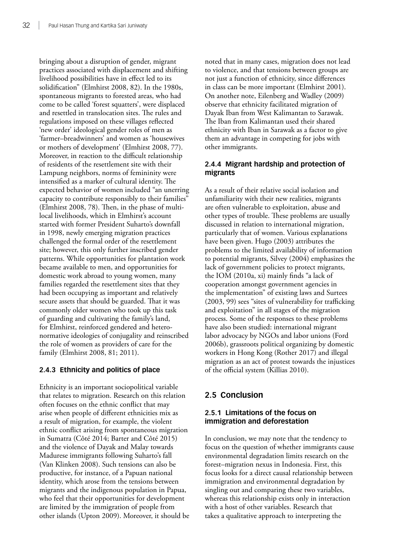bringing about a disruption of gender, migrant practices associated with displacement and shifting livelihood possibilities have in effect led to its solidification" (Elmhirst 2008, 82). In the 1980s, spontaneous migrants to forested areas, who had come to be called 'forest squatters', were displaced and resettled in translocation sites. The rules and regulations imposed on these villages reflected 'new order' ideological gender roles of men as 'farmer–breadwinners' and women as 'housewives or mothers of development' (Elmhirst 2008, 77). Moreover, in reaction to the difficult relationship of residents of the resettlement site with their Lampung neighbors, norms of femininity were intensified as a marker of cultural identity. The expected behavior of women included "an unerring capacity to contribute responsibly to their families" (Elmhirst 2008, 78). Then, in the phase of multilocal livelihoods, which in Elmhirst's account started with former President Suharto's downfall in 1998, newly emerging migration practices challenged the formal order of the resettlement site; however, this only further inscribed gender patterns. While opportunities for plantation work became available to men, and opportunities for domestic work abroad to young women, many families regarded the resettlement sites that they had been occupying as important and relatively secure assets that should be guarded. That it was commonly older women who took up this task of guarding and cultivating the family's land, for Elmhirst, reinforced gendered and heteronormative ideologies of conjugality and reinscribed the role of women as providers of care for the family (Elmhirst 2008, 81; 2011).

# **2.4.3 Ethnicity and politics of place**

Ethnicity is an important sociopolitical variable that relates to migration. Research on this relation often focuses on the ethnic conflict that may arise when people of different ethnicities mix as a result of migration, for example, the violent ethnic conflict arising from spontaneous migration in Sumatra (Côté 2014; Barter and Côté 2015) and the violence of Dayak and Malay towards Madurese immigrants following Suharto's fall (Van Klinken 2008). Such tensions can also be productive, for instance, of a Papuan national identity, which arose from the tensions between migrants and the indigenous population in Papua, who feel that their opportunities for development are limited by the immigration of people from other islands (Upton 2009). Moreover, it should be noted that in many cases, migration does not lead to violence, and that tensions between groups are not just a function of ethnicity, since differences in class can be more important (Elmhirst 2001). On another note, Eilenberg and Wadley (2009) observe that ethnicity facilitated migration of Dayak Iban from West Kalimantan to Sarawak. The Iban from Kalimantan used their shared ethnicity with Iban in Sarawak as a factor to give them an advantage in competing for jobs with other immigrants.

# **2.4.4 Migrant hardship and protection of migrants**

As a result of their relative social isolation and unfamiliarity with their new realities, migrants are often vulnerable to exploitation, abuse and other types of trouble. These problems are usually discussed in relation to international migration, particularly that of women. Various explanations have been given. Hugo (2003) attributes the problems to the limited availability of information to potential migrants, Silvey (2004) emphasizes the lack of government policies to protect migrants, the IOM (2010a, xi) mainly finds "a lack of cooperation amongst government agencies in the implementation" of existing laws and Surtees (2003, 99) sees "sites of vulnerability for trafficking and exploitation" in all stages of the migration process. Some of the responses to these problems have also been studied: international migrant labor advocacy by NGOs and labor unions (Ford 2006b), grassroots political organizing by domestic workers in Hong Kong (Rother 2017) and illegal migration as an act of protest towards the injustices of the official system (Killias 2010).

# **2.5 Conclusion**

# **2.5.1 Limitations of the focus on immigration and deforestation**

In conclusion, we may note that the tendency to focus on the question of whether immigrants cause environmental degradation limits research on the forest–migration nexus in Indonesia. First, this focus looks for a direct causal relationship between immigration and environmental degradation by singling out and comparing these two variables, whereas this relationship exists only in interaction with a host of other variables. Research that takes a qualitative approach to interpreting the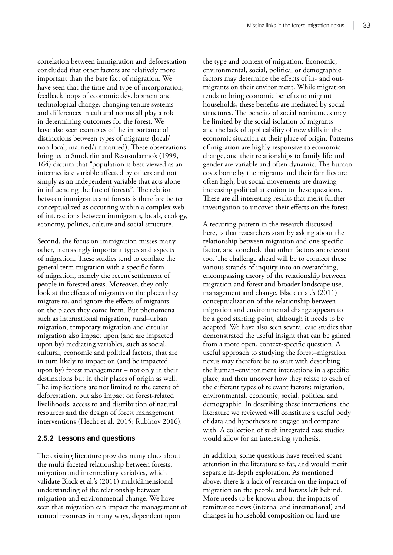correlation between immigration and deforestation concluded that other factors are relatively more important than the bare fact of migration. We have seen that the time and type of incorporation, feedback loops of economic development and technological change, changing tenure systems and differences in cultural norms all play a role in determining outcomes for the forest. We have also seen examples of the importance of distinctions between types of migrants (local/ non-local; married/unmarried). These observations bring us to Sunderlin and Resosudarmo's (1999, 164) dictum that "population is best viewed as an intermediate variable affected by others and not simply as an independent variable that acts alone in influencing the fate of forests". The relation between immigrants and forests is therefore better conceptualized as occurring within a complex web of interactions between immigrants, locals, ecology, economy, politics, culture and social structure.

Second, the focus on immigration misses many other, increasingly important types and aspects of migration. These studies tend to conflate the general term migration with a specific form of migration, namely the recent settlement of people in forested areas. Moreover, they only look at the effects of migrants on the places they migrate to, and ignore the effects of migrants on the places they come from. But phenomena such as international migration, rural–urban migration, temporary migration and circular migration also impact upon (and are impacted upon by) mediating variables, such as social, cultural, economic and political factors, that are in turn likely to impact on (and be impacted upon by) forest management – not only in their destinations but in their places of origin as well. The implications are not limited to the extent of deforestation, but also impact on forest-related livelihoods, access to and distribution of natural resources and the design of forest management interventions (Hecht et al. 2015; Rubinov 2016).

#### **2.5.2 Lessons and questions**

The existing literature provides many clues about the multi-faceted relationship between forests, migration and intermediary variables, which validate Black et al.'s (2011) multidimensional understanding of the relationship between migration and environmental change. We have seen that migration can impact the management of natural resources in many ways, dependent upon

the type and context of migration. Economic, environmental, social, political or demographic factors may determine the effects of in- and outmigrants on their environment. While migration tends to bring economic benefits to migrant households, these benefits are mediated by social structures. The benefits of social remittances may be limited by the social isolation of migrants and the lack of applicability of new skills in the economic situation at their place of origin. Patterns of migration are highly responsive to economic change, and their relationships to family life and gender are variable and often dynamic. The human costs borne by the migrants and their families are often high, but social movements are drawing increasing political attention to these questions. These are all interesting results that merit further investigation to uncover their effects on the forest.

A recurring pattern in the research discussed here, is that researchers start by asking about the relationship between migration and one specific factor, and conclude that other factors are relevant too. The challenge ahead will be to connect these various strands of inquiry into an overarching, encompassing theory of the relationship between migration and forest and broader landscape use, management and change. Black et al.'s (2011) conceptualization of the relationship between migration and environmental change appears to be a good starting point, although it needs to be adapted. We have also seen several case studies that demonstrated the useful insight that can be gained from a more open, context-specific question. A useful approach to studying the forest–migration nexus may therefore be to start with describing the human–environment interactions in a specific place, and then uncover how they relate to each of the different types of relevant factors: migration, environmental, economic, social, political and demographic. In describing these interactions, the literature we reviewed will constitute a useful body of data and hypotheses to engage and compare with. A collection of such integrated case studies would allow for an interesting synthesis.

In addition, some questions have received scant attention in the literature so far, and would merit separate in-depth exploration. As mentioned above, there is a lack of research on the impact of migration on the people and forests left behind. More needs to be known about the impacts of remittance flows (internal and international) and changes in household composition on land use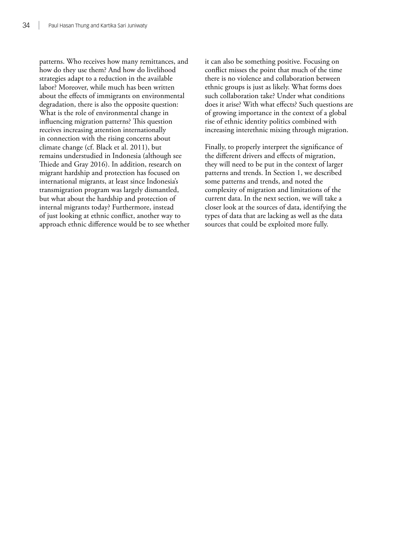patterns. Who receives how many remittances, and how do they use them? And how do livelihood strategies adapt to a reduction in the available labor? Moreover, while much has been written about the effects of immigrants on environmental degradation, there is also the opposite question: What is the role of environmental change in influencing migration patterns? This question receives increasing attention internationally in connection with the rising concerns about climate change (cf. Black et al. 2011), but remains understudied in Indonesia (although see Thiede and Gray 2016). In addition, research on migrant hardship and protection has focused on international migrants, at least since Indonesia's transmigration program was largely dismantled, but what about the hardship and protection of internal migrants today? Furthermore, instead of just looking at ethnic conflict, another way to approach ethnic difference would be to see whether it can also be something positive. Focusing on conflict misses the point that much of the time there is no violence and collaboration between ethnic groups is just as likely. What forms does such collaboration take? Under what conditions does it arise? With what effects? Such questions are of growing importance in the context of a global rise of ethnic identity politics combined with increasing interethnic mixing through migration.

Finally, to properly interpret the significance of the different drivers and effects of migration, they will need to be put in the context of larger patterns and trends. In Section 1, we described some patterns and trends, and noted the complexity of migration and limitations of the current data. In the next section, we will take a closer look at the sources of data, identifying the types of data that are lacking as well as the data sources that could be exploited more fully.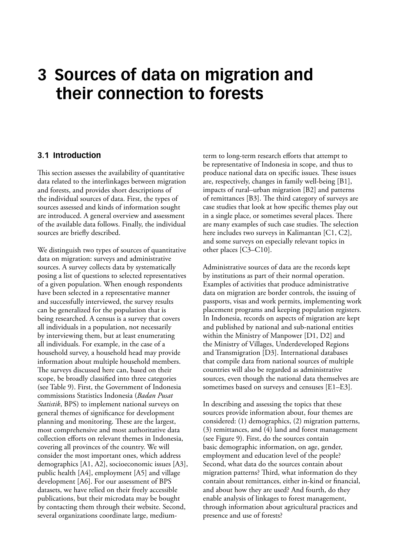# **3 Sources of data on migration and their connection to forests**

# **3.1 Introduction**

This section assesses the availability of quantitative data related to the interlinkages between migration and forests, and provides short descriptions of the individual sources of data. First, the types of sources assessed and kinds of information sought are introduced. A general overview and assessment of the available data follows. Finally, the individual sources are briefly described.

We distinguish two types of sources of quantitative data on migration: surveys and administrative sources. A survey collects data by systematically posing a list of questions to selected representatives of a given population. When enough respondents have been selected in a representative manner and successfully interviewed, the survey results can be generalized for the population that is being researched. A census is a survey that covers all individuals in a population, not necessarily by interviewing them, but at least enumerating all individuals. For example, in the case of a household survey, a household head may provide information about multiple household members. The surveys discussed here can, based on their scope, be broadly classified into three categories (see Table 9). First, the Government of Indonesia commissions Statistics Indonesia (*Badan Pusat Statistik*, BPS) to implement national surveys on general themes of significance for development planning and monitoring. These are the largest, most comprehensive and most authoritative data collection efforts on relevant themes in Indonesia, covering all provinces of the country. We will consider the most important ones, which address demographics [A1, A2], socioeconomic issues [A3], public health [A4], employment [A5] and village development [A6]. For our assessment of BPS datasets, we have relied on their freely accessible publications, but their microdata may be bought by contacting them through their website. Second, several organizations coordinate large, mediumterm to long-term research efforts that attempt to be representative of Indonesia in scope, and thus to produce national data on specific issues. These issues are, respectively, changes in family well-being [B1], impacts of rural–urban migration [B2] and patterns of remittances [B3]. The third category of surveys are case studies that look at how specific themes play out in a single place, or sometimes several places. There are many examples of such case studies. The selection here includes two surveys in Kalimantan [C1, C2], and some surveys on especially relevant topics in other places [C3–C10].

Administrative sources of data are the records kept by institutions as part of their normal operation. Examples of activities that produce administrative data on migration are border controls, the issuing of passports, visas and work permits, implementing work placement programs and keeping population registers. In Indonesia, records on aspects of migration are kept and published by national and sub-national entities within the Ministry of Manpower [D1, D2] and the Ministry of Villages, Underdeveloped Regions and Transmigration [D3]. International databases that compile data from national sources of multiple countries will also be regarded as administrative sources, even though the national data themselves are sometimes based on surveys and censuses [E1–E3].

In describing and assessing the topics that these sources provide information about, four themes are considered: (1) demographics, (2) migration patterns, (3) remittances, and (4) land and forest management (see Figure 9). First, do the sources contain basic demographic information, on age, gender, employment and education level of the people? Second, what data do the sources contain about migration patterns? Third, what information do they contain about remittances, either in-kind or financial, and about how they are used? And fourth, do they enable analysis of linkages to forest management, through information about agricultural practices and presence and use of forests?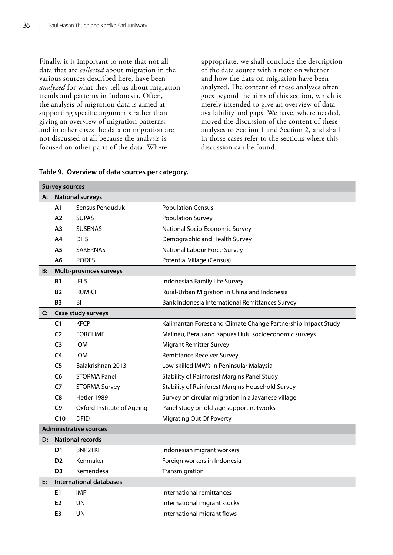Finally, it is important to note that not all data that are *collected* about migration in the various sources described here, have been *analyzed* for what they tell us about migration trends and patterns in Indonesia. Often, the analysis of migration data is aimed at supporting specific arguments rather than giving an overview of migration patterns, and in other cases the data on migration are not discussed at all because the analysis is focused on other parts of the data. Where

appropriate, we shall conclude the description of the data source with a note on whether and how the data on migration have been analyzed. The content of these analyses often goes beyond the aims of this section, which is merely intended to give an overview of data availability and gaps. We have, where needed, moved the discussion of the content of these analyses to Section 1 and Section 2, and shall in those cases refer to the sections where this discussion can be found.

|                | <b>Survey sources</b> |                                |                                                               |  |  |  |  |  |  |  |  |
|----------------|-----------------------|--------------------------------|---------------------------------------------------------------|--|--|--|--|--|--|--|--|
| A:             |                       | <b>National surveys</b>        |                                                               |  |  |  |  |  |  |  |  |
|                | Α1                    | Sensus Penduduk                | <b>Population Census</b>                                      |  |  |  |  |  |  |  |  |
|                | A2                    | <b>SUPAS</b>                   | <b>Population Survey</b>                                      |  |  |  |  |  |  |  |  |
|                | А3                    | <b>SUSENAS</b>                 | National Socio-Economic Survey                                |  |  |  |  |  |  |  |  |
|                | Α4                    | <b>DHS</b>                     | Demographic and Health Survey                                 |  |  |  |  |  |  |  |  |
|                | Α5                    | <b>SAKERNAS</b>                | National Labour Force Survey                                  |  |  |  |  |  |  |  |  |
|                | А6                    | <b>PODES</b>                   | Potential Village (Census)                                    |  |  |  |  |  |  |  |  |
| B:             |                       | <b>Multi-provinces surveys</b> |                                                               |  |  |  |  |  |  |  |  |
|                | Β1                    | <b>IFLS</b>                    | Indonesian Family Life Survey                                 |  |  |  |  |  |  |  |  |
|                | <b>B2</b>             | <b>RUMICI</b>                  | Rural-Urban Migration in China and Indonesia                  |  |  |  |  |  |  |  |  |
|                | B3                    | BI                             | Bank Indonesia International Remittances Survey               |  |  |  |  |  |  |  |  |
| $\mathsf{C}$ : |                       | Case study surveys             |                                                               |  |  |  |  |  |  |  |  |
|                | C1                    | <b>KFCP</b>                    | Kalimantan Forest and Climate Change Partnership Impact Study |  |  |  |  |  |  |  |  |
|                | C <sub>2</sub>        | <b>FORCLIME</b>                | Malinau, Berau and Kapuas Hulu socioeconomic surveys          |  |  |  |  |  |  |  |  |
|                | C <sub>3</sub>        | <b>IOM</b>                     | <b>Migrant Remitter Survey</b>                                |  |  |  |  |  |  |  |  |
|                | C <sub>4</sub>        | <b>IOM</b>                     | <b>Remittance Receiver Survey</b>                             |  |  |  |  |  |  |  |  |
|                | C <sub>5</sub>        | Balakrishnan 2013              | Low-skilled IMW's in Peninsular Malaysia                      |  |  |  |  |  |  |  |  |
|                | C6                    | <b>STORMA Panel</b>            | Stability of Rainforest Margins Panel Study                   |  |  |  |  |  |  |  |  |
|                | C7                    | <b>STORMA Survey</b>           | Stability of Rainforest Margins Household Survey              |  |  |  |  |  |  |  |  |
|                | C8                    | Hetler 1989                    | Survey on circular migration in a Javanese village            |  |  |  |  |  |  |  |  |
|                | C9                    | Oxford Institute of Ageing     | Panel study on old-age support networks                       |  |  |  |  |  |  |  |  |
|                | C10                   | <b>DFID</b>                    | <b>Migrating Out Of Poverty</b>                               |  |  |  |  |  |  |  |  |
|                |                       | <b>Administrative sources</b>  |                                                               |  |  |  |  |  |  |  |  |
| D:             |                       | <b>National records</b>        |                                                               |  |  |  |  |  |  |  |  |
|                | D1                    | <b>BNP2TKI</b>                 | Indonesian migrant workers                                    |  |  |  |  |  |  |  |  |
|                | D <sub>2</sub>        | Kemnaker                       | Foreign workers in Indonesia                                  |  |  |  |  |  |  |  |  |
|                | D <sub>3</sub>        | Kemendesa                      | Transmigration                                                |  |  |  |  |  |  |  |  |
| E:             |                       | <b>International databases</b> |                                                               |  |  |  |  |  |  |  |  |
|                | E1                    | <b>IMF</b>                     | International remittances                                     |  |  |  |  |  |  |  |  |
|                | E <sub>2</sub>        | UN                             | International migrant stocks                                  |  |  |  |  |  |  |  |  |
|                | E3                    | UN                             | International migrant flows                                   |  |  |  |  |  |  |  |  |

#### **Table 9. Overview of data sources per category.**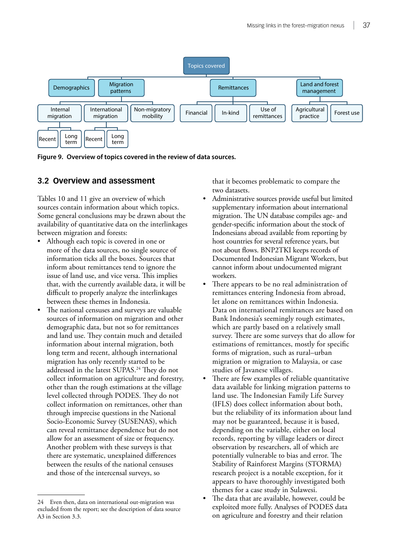

**Figure 9. Overview of topics covered in the review of data sources.**

# **3.2 Overview and assessment**

Tables 10 and 11 give an overview of which sources contain information about which topics. Some general conclusions may be drawn about the availability of quantitative data on the interlinkages between migration and forests:

- Although each topic is covered in one or more of the data sources, no single source of information ticks all the boxes. Sources that inform about remittances tend to ignore the issue of land use, and vice versa. This implies that, with the currently available data, it will be difficult to properly analyze the interlinkages between these themes in Indonesia.
- The national censuses and surveys are valuable sources of information on migration and other demographic data, but not so for remittances and land use. They contain much and detailed information about internal migration, both long term and recent, although international migration has only recently started to be addressed in the latest SUPAS.<sup>24</sup> They do not collect information on agriculture and forestry, other than the rough estimations at the village level collected through PODES. They do not collect information on remittances, other than through imprecise questions in the National Socio-Economic Survey (SUSENAS), which can reveal remittance dependence but do not allow for an assessment of size or frequency. Another problem with these surveys is that there are systematic, unexplained differences between the results of the national censuses and those of the intercensal surveys, so

that it becomes problematic to compare the two datasets.

- Administrative sources provide useful but limited supplementary information about international migration. The UN database compiles age- and gender-specific information about the stock of Indonesians abroad available from reporting by host countries for several reference years, but not about flows. BNP2TKI keeps records of Documented Indonesian Migrant Workers, but cannot inform about undocumented migrant workers.
- There appears to be no real administration of remittances entering Indonesia from abroad, let alone on remittances within Indonesia. Data on international remittances are based on Bank Indonesia's seemingly rough estimates, which are partly based on a relatively small survey. There are some surveys that do allow for estimations of remittances, mostly for specific forms of migration, such as rural–urban migration or migration to Malaysia, or case studies of Javanese villages.
- There are few examples of reliable quantitative data available for linking migration patterns to land use. The Indonesian Family Life Survey (IFLS) does collect information about both, but the reliability of its information about land may not be guaranteed, because it is based, depending on the variable, either on local records, reporting by village leaders or direct observation by researchers, all of which are potentially vulnerable to bias and error. The Stability of Rainforest Margins (STORMA) research project is a notable exception, for it appears to have thoroughly investigated both themes for a case study in Sulawesi.
- The data that are available, however, could be exploited more fully. Analyses of PODES data on agriculture and forestry and their relation

<sup>24</sup> Even then, data on international out-migration was excluded from the report; see the description of data source A3 in Section 3.3.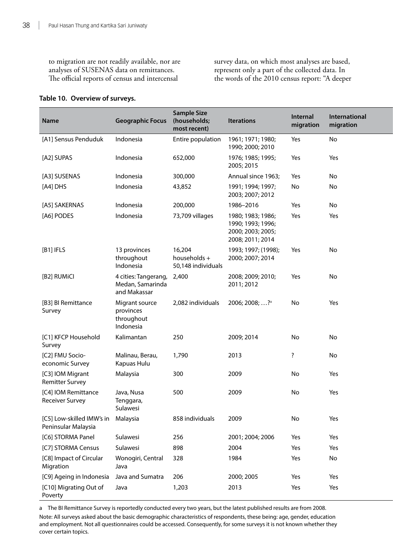to migration are not readily available, nor are analyses of SUSENAS data on remittances. The official reports of census and intercensal

survey data, on which most analyses are based, represent only a part of the collected data. In the words of the 2010 census report: "A deeper

#### **Table 10. Overview of surveys.**

| <b>Name</b>                                               | <b>Geographic Focus</b>                                        | <b>Sample Size</b><br>(households;<br>most recent) | <b>Iterations</b>                                                               | Internal<br>migration   | International<br>migration |
|-----------------------------------------------------------|----------------------------------------------------------------|----------------------------------------------------|---------------------------------------------------------------------------------|-------------------------|----------------------------|
| [A1] Sensus Penduduk                                      | Indonesia                                                      | Entire population                                  | 1961; 1971; 1980;<br>1990; 2000; 2010                                           | Yes                     | No                         |
| [A2] SUPAS                                                | Indonesia                                                      | 652,000                                            | 1976; 1985; 1995;<br>2005; 2015                                                 | Yes                     | Yes                        |
| [A3] SUSENAS                                              | Indonesia                                                      | 300,000                                            | Annual since 1963;                                                              | Yes                     | No                         |
| [A4] DHS                                                  | Indonesia                                                      | 43,852                                             | 1991; 1994; 1997;<br>2003; 2007; 2012                                           | No                      | No                         |
| [A5] SAKERNAS                                             | Indonesia                                                      | 200,000                                            | 1986-2016                                                                       | Yes                     | No                         |
| [A6] PODES                                                | Indonesia                                                      | 73,709 villages                                    | 1980; 1983; 1986;<br>1990; 1993; 1996;<br>2000; 2003; 2005;<br>2008; 2011; 2014 | Yes                     | Yes                        |
| [B1] IFLS                                                 | 13 provinces<br>throughout<br>Indonesia                        | 16,204<br>households +<br>50,148 individuals       | 1993; 1997; (1998);<br>2000; 2007; 2014                                         | Yes                     | No                         |
| [B2] RUMICI                                               | 4 cities: Tangerang, 2,400<br>Medan, Samarinda<br>and Makassar |                                                    | 2008; 2009; 2010;<br>2011; 2012                                                 | Yes                     | No                         |
| [B3] BI Remittance<br>Survey                              | Migrant source<br>provinces<br>throughout<br>Indonesia         | 2,082 individuals                                  | 2006; 2008; ? <sup>a</sup>                                                      | No                      | Yes                        |
| [C1] KFCP Household<br>Survey                             | Kalimantan                                                     | 250                                                | 2009; 2014                                                                      | No                      | No                         |
| [C2] FMU Socio-<br>economic Survey                        | Malinau, Berau,<br>Kapuas Hulu                                 | 1,790                                              | 2013                                                                            | $\overline{\mathbf{?}}$ | No                         |
| [C3] IOM Migrant<br><b>Remitter Survey</b>                | Malaysia                                                       | 300                                                | 2009                                                                            | No                      | Yes                        |
| [C4] IOM Remittance<br><b>Receiver Survey</b>             | Java, Nusa<br>Tenggara,<br>Sulawesi                            | 500                                                | 2009                                                                            | No                      | Yes                        |
| [C5] Low-skilled IMW's in Malaysia<br>Peninsular Malaysia |                                                                | 858 individuals                                    | 2009                                                                            | No                      | Yes                        |
| [C6] STORMA Panel                                         | Sulawesi                                                       | 256                                                | 2001; 2004; 2006                                                                | Yes                     | Yes                        |
| [C7] STORMA Census                                        | Sulawesi                                                       | 898                                                | 2004                                                                            | Yes                     | Yes                        |
| [C8] Impact of Circular<br>Migration                      | Wonogiri, Central<br>Java                                      | 328                                                | 1984                                                                            | Yes                     | No                         |
| [C9] Ageing in Indonesia                                  | Java and Sumatra                                               | 206                                                | 2000; 2005                                                                      | Yes                     | Yes                        |
| [C10] Migrating Out of<br>Poverty                         | Java                                                           | 1,203                                              | 2013                                                                            | Yes                     | Yes                        |

a The BI Remittance Survey is reportedly conducted every two years, but the latest published results are from 2008. Note: All surveys asked about the basic demographic characteristics of respondents, these being: age, gender, education and employment. Not all questionnaires could be accessed. Consequently, for some surveys it is not known whether they cover certain topics.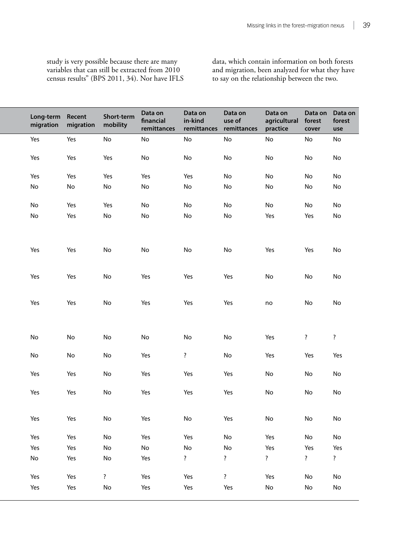study is very possible because there are many variables that can still be extracted from 2010 census results" (BPS 2011, 34). Nor have IFLS

data, which contain information on both forests and migration, been analyzed for what they have to say on the relationship between the two.

| Long-term Recent<br>migration migration |                              | Short-term<br>mobility  | Data on<br>financial<br>remittances | Data on<br>in-kind<br>remittances remittances | Data on<br>use of | Data on<br>agricultural<br>practice | Data on Data on<br>forest<br>cover | forest<br>use                |
|-----------------------------------------|------------------------------|-------------------------|-------------------------------------|-----------------------------------------------|-------------------|-------------------------------------|------------------------------------|------------------------------|
| Yes                                     | Yes                          | No                      | No                                  | No                                            | No                | No                                  | No                                 | No                           |
| Yes                                     | Yes                          | Yes                     | No                                  | No                                            | No                | No                                  | $\operatorname{\mathsf{No}}$       | No                           |
| Yes                                     | Yes                          | Yes                     | Yes                                 | Yes                                           | No                | No                                  | No                                 | No                           |
| $\operatorname{\mathsf{No}}$            | $\operatorname{\mathsf{No}}$ | No                      | No                                  | No                                            | No                | No                                  | $\operatorname{\mathsf{No}}$       | No                           |
| No                                      | Yes                          | Yes                     | No                                  | No                                            | No                | No                                  | No                                 | No                           |
| $\operatorname{\mathsf{No}}$            | Yes                          | No                      | No                                  | No                                            | No                | Yes                                 | Yes                                | $\operatorname{\mathsf{No}}$ |
| Yes                                     | Yes                          | No                      | No                                  | No                                            | No                | Yes                                 | Yes                                | No                           |
| Yes                                     | Yes                          | No                      | Yes                                 | Yes                                           | Yes               | $\operatorname{\mathsf{No}}$        | $\operatorname{\mathsf{No}}$       | No                           |
| Yes                                     | Yes                          | No                      | Yes                                 | Yes                                           | Yes               | no                                  | No                                 | No                           |
| $\operatorname{\mathsf{No}}$            | No                           | No                      | No                                  | No                                            | No                | Yes                                 | $\overline{\mathbf{?}}$            | $\overline{\cdot}$           |
| No                                      | No                           | No                      | Yes                                 | $\overline{\mathbf{?}}$                       | No                | Yes                                 | Yes                                | Yes                          |
| Yes                                     | Yes                          | No                      | Yes                                 | Yes                                           | Yes               | No                                  | $\operatorname{\mathsf{No}}$       | No                           |
| Yes                                     | Yes                          | No                      | Yes                                 | Yes                                           | Yes               | $\operatorname{\mathsf{No}}$        | $\operatorname{\mathsf{No}}$       | No                           |
| Yes                                     | Yes                          | No                      | Yes                                 | No                                            | Yes               | No                                  | $\operatorname{\mathsf{No}}$       | No                           |
| Yes                                     | Yes                          | No                      | Yes                                 | Yes                                           | No                | Yes                                 | No                                 | No                           |
| Yes                                     | Yes                          | No                      | No                                  | $\operatorname{\mathsf{No}}$                  | No                | Yes                                 | Yes                                | Yes                          |
| No                                      | Yes                          | No                      | Yes                                 | $\overline{\mathbf{?}}$                       | $\ddot{\cdot}$    | $\ddot{\cdot}$                      | $\ddot{\cdot}$                     | $\ddot{\cdot}$               |
| Yes                                     | Yes                          | $\overline{\mathbf{?}}$ | Yes                                 | Yes                                           | $\ddot{?}$        | Yes                                 | $\operatorname{\mathsf{No}}$       | No                           |
| Yes                                     | Yes                          | No                      | Yes                                 | Yes                                           | Yes               | $\operatorname{\mathsf{No}}$        | $\operatorname{\mathsf{No}}$       | No                           |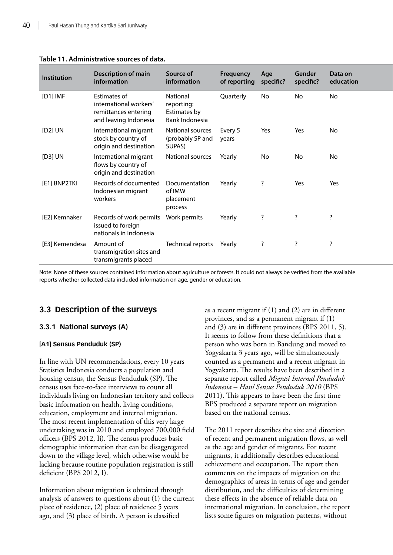| Institution    | <b>Description of main</b><br>information                                               | Source of<br>information                                 | Frequency<br>of reporting specific? | Age                      | Gender<br>specific? | Data on<br>education     |
|----------------|-----------------------------------------------------------------------------------------|----------------------------------------------------------|-------------------------------------|--------------------------|---------------------|--------------------------|
| [D1] IMF       | Estimates of<br>international workers'<br>remittances entering<br>and leaving Indonesia | National<br>reporting:<br>Estimates by<br>Bank Indonesia | Quarterly                           | No                       | No                  | No                       |
| [D2] UN        | International migrant<br>stock by country of<br>origin and destination                  | National sources<br>(probably SP and<br>SUPAS)           | Every 5<br>years                    | Yes                      | Yes                 | No                       |
| [D3] UN        | International migrant<br>flows by country of<br>origin and destination                  | National sources                                         | Yearly                              | No                       | No                  | No                       |
| [E1] BNP2TKI   | Records of documented<br>Indonesian migrant<br>workers                                  | Documentation<br>of IMW<br>placement<br>process          | Yearly                              | $\overline{\phantom{a}}$ | Yes                 | Yes                      |
| [E2] Kemnaker  | Records of work permits  Work permits<br>issued to foreign<br>nationals in Indonesia    |                                                          | Yearly                              |                          |                     |                          |
| [E3] Kemendesa | Amount of<br>transmigration sites and<br>transmigrants placed                           | Technical reports                                        | Yearly                              | - 7                      |                     | $\overline{\phantom{a}}$ |

#### **Table 11. Administrative sources of data.**

Note: None of these sources contained information about agriculture or forests. It could not always be verified from the available reports whether collected data included information on age, gender or education.

# **3.3 Description of the surveys**

# **3.3.1 National surveys (A)**

# **[A1] Sensus Penduduk (SP)**

In line with UN recommendations, every 10 years Statistics Indonesia conducts a population and housing census, the Sensus Penduduk (SP). The census uses face-to-face interviews to count all individuals living on Indonesian territory and collects basic information on health, living conditions, education, employment and internal migration. The most recent implementation of this very large undertaking was in 2010 and employed 700,000 field officers (BPS 2012, Ii). The census produces basic demographic information that can be disaggregated down to the village level, which otherwise would be lacking because routine population registration is still deficient (BPS 2012, I).

Information about migration is obtained through analysis of answers to questions about (1) the current place of residence, (2) place of residence 5 years ago, and (3) place of birth. A person is classified

as a recent migrant if  $(1)$  and  $(2)$  are in different provinces, and as a permanent migrant if (1) and (3) are in different provinces (BPS 2011, 5). It seems to follow from these definitions that a person who was born in Bandung and moved to Yogyakarta 3 years ago, will be simultaneously counted as a permanent and a recent migrant in Yogyakarta. The results have been described in a separate report called *Migrasi Internal Penduduk Indonesia – Hasil Sensus Penduduk 2010* (BPS 2011). This appears to have been the first time BPS produced a separate report on migration based on the national census.

The 2011 report describes the size and direction of recent and permanent migration flows, as well as the age and gender of migrants. For recent migrants, it additionally describes educational achievement and occupation. The report then comments on the impacts of migration on the demographics of areas in terms of age and gender distribution, and the difficulties of determining these effects in the absence of reliable data on international migration. In conclusion, the report lists some figures on migration patterns, without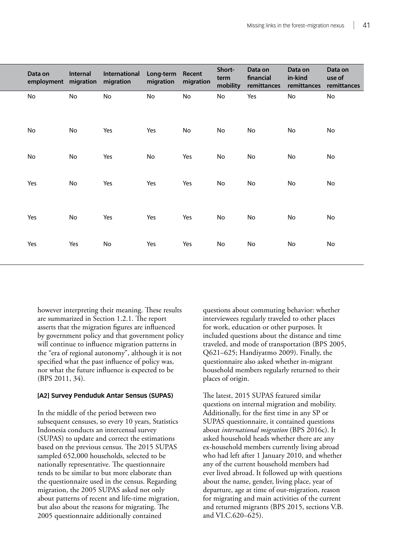| Data on<br>employment | Internal<br>migration | International<br>migration | Long-term Recent<br>migration | migration                    | Short-<br>term<br>mobility | Data on<br>financial<br>remittances | Data on<br>in-kind<br>remittances | Data on<br>use of<br>remittances |
|-----------------------|-----------------------|----------------------------|-------------------------------|------------------------------|----------------------------|-------------------------------------|-----------------------------------|----------------------------------|
| No                    | No                    | No                         | No                            | No                           | No                         | Yes                                 | No                                | No                               |
| No                    | No                    | Yes                        | Yes                           | $\operatorname{\mathsf{No}}$ | No                         | No                                  | $\operatorname{\mathsf{No}}$      | No                               |
| No                    | No                    | Yes                        | No                            | Yes                          | No                         | No                                  | $\operatorname{\mathsf{No}}$      | No                               |
| Yes                   | No                    | Yes                        | Yes                           | Yes                          | No                         | No                                  | No                                | No                               |
| Yes                   | No                    | Yes                        | Yes                           | Yes                          | No                         | No                                  | $\operatorname{\mathsf{No}}$      | No                               |
| Yes                   | Yes                   | ${\sf No}$                 | Yes                           | Yes                          | No                         | No                                  | $\operatorname{\mathsf{No}}$      | $\operatorname{\mathsf{No}}$     |

however interpreting their meaning. These results are summarized in Section 1.2.1. The report asserts that the migration figures are influenced by government policy and that government policy will continue to influence migration patterns in the "era of regional autonomy", although it is not specified what the past influence of policy was, nor what the future influence is expected to be (BPS 2011, 34).

#### **[A2] Survey Penduduk Antar Sensus (SUPAS)**

In the middle of the period between two subsequent censuses, so every 10 years, Statistics Indonesia conducts an intercensal survey (SUPAS) to update and correct the estimations based on the previous census. The 2015 SUPAS sampled 652,000 households, selected to be nationally representative. The questionnaire tends to be similar to but more elaborate than the questionnaire used in the census. Regarding migration, the 2005 SUPAS asked not only about patterns of recent and life-time migration, but also about the reasons for migrating. The 2005 questionnaire additionally contained

questions about commuting behavior: whether interviewees regularly traveled to other places for work, education or other purposes. It included questions about the distance and time traveled, and mode of transportation (BPS 2005, Q621–625; Handiyatmo 2009). Finally, the questionnaire also asked whether in-migrant household members regularly returned to their places of origin.

The latest, 2015 SUPAS featured similar questions on internal migration and mobility. Additionally, for the first time in any SP or SUPAS questionnaire, it contained questions about *international migration* (BPS 2016c). It asked household heads whether there are any ex-household members currently living abroad who had left after 1 January 2010, and whether any of the current household members had ever lived abroad. It followed up with questions about the name, gender, living place, year of departure, age at time of out-migration, reason for migrating and main activities of the current and returned migrants (BPS 2015, sections V.B. and VI.C.620–625).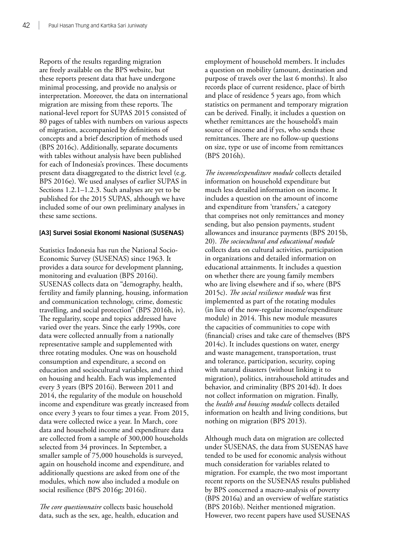Reports of the results regarding migration are freely available on the BPS website, but these reports present data that have undergone minimal processing, and provide no analysis or interpretation. Moreover, the data on international migration are missing from these reports. The national-level report for SUPAS 2015 consisted of 80 pages of tables with numbers on various aspects of migration, accompanied by definitions of concepts and a brief description of methods used (BPS 2016c). Additionally, separate documents with tables without analysis have been published for each of Indonesia's provinces. These documents present data disaggregated to the district level (e.g. BPS 2016e). We used analyses of earlier SUPAS in Sections 1.2.1–1.2.3. Such analyses are yet to be published for the 2015 SUPAS, although we have included some of our own preliminary analyses in these same sections.

# **[A3] Survei Sosial Ekonomi Nasional (SUSENAS)**

Statistics Indonesia has run the National Socio-Economic Survey (SUSENAS) since 1963. It provides a data source for development planning, monitoring and evaluation (BPS 2016i). SUSENAS collects data on "demography, health, fertility and family planning, housing, information and communication technology, crime, domestic travelling, and social protection" (BPS 2016h, iv). The regularity, scope and topics addressed have varied over the years. Since the early 1990s, core data were collected annually from a nationally representative sample and supplemented with three rotating modules. One was on household consumption and expenditure, a second on education and sociocultural variables, and a third on housing and health. Each was implemented every 3 years (BPS 2016i). Between 2011 and 2014, the regularity of the module on household income and expenditure was greatly increased from once every 3 years to four times a year. From 2015, data were collected twice a year. In March, core data and household income and expenditure data are collected from a sample of 300,000 households selected from 34 provinces. In September, a smaller sample of 75,000 households is surveyed, again on household income and expenditure, and additionally questions are asked from one of the modules, which now also included a module on social resilience (BPS 2016g; 2016i).

*The core questionnaire* collects basic household data, such as the sex, age, health, education and employment of household members. It includes a question on mobility (amount, destination and purpose of travels over the last 6 months). It also records place of current residence, place of birth and place of residence 5 years ago, from which statistics on permanent and temporary migration can be derived. Finally, it includes a question on whether remittances are the household's main source of income and if yes, who sends these remittances. There are no follow-up questions on size, type or use of income from remittances (BPS 2016h).

*The income/expenditure module* collects detailed information on household expenditure but much less detailed information on income. It includes a question on the amount of income and expenditure from 'transfers,' a category that comprises not only remittances and money sending, but also pension payments, student allowances and insurance payments (BPS 2015b, 20). *The sociocultural and educational module* collects data on cultural activities, participation in organizations and detailed information on educational attainments. It includes a question on whether there are young family members who are living elsewhere and if so, where (BPS 2015c). *The social resilience module* was first implemented as part of the rotating modules (in lieu of the now-regular income/expenditure module) in 2014. This new module measures the capacities of communities to cope with (financial) crises and take care of themselves (BPS 2014c). It includes questions on water, energy and waste management, transportation, trust and tolerance, participation, security, coping with natural disasters (without linking it to migration), politics, intrahousehold attitudes and behavior, and criminality (BPS 2014d). It does not collect information on migration. Finally, the *health and housing module* collects detailed information on health and living conditions, but nothing on migration (BPS 2013).

Although much data on migration are collected under SUSENAS, the data from SUSENAS have tended to be used for economic analysis without much consideration for variables related to migration. For example, the two most important recent reports on the SUSENAS results published by BPS concerned a macro-analysis of poverty (BPS 2016a) and an overview of welfare statistics (BPS 2016b). Neither mentioned migration. However, two recent papers have used SUSENAS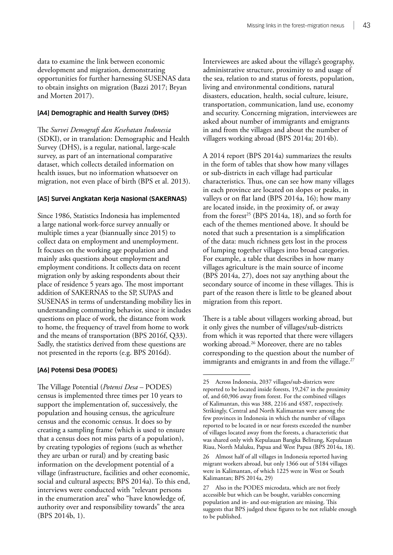data to examine the link between economic development and migration, demonstrating opportunities for further harnessing SUSENAS data to obtain insights on migration (Bazzi 2017; Bryan and Morten 2017).

#### **[A4] Demographic and Health Survey (DHS)**

The *Survei Demografi dan Kesehatan Indonesia* (SDKI), or in translation: Demographic and Health Survey (DHS), is a regular, national, large-scale survey, as part of an international comparative dataset, which collects detailed information on health issues, but no information whatsoever on migration, not even place of birth (BPS et al. 2013).

#### **[A5] Survei Angkatan Kerja Nasional (SAKERNAS)**

Since 1986, Statistics Indonesia has implemented a large national work-force survey annually or multiple times a year (biannually since 2015) to collect data on employment and unemployment. It focuses on the working age population and mainly asks questions about employment and employment conditions. It collects data on recent migration only by asking respondents about their place of residence 5 years ago. The most important addition of SAKERNAS to the SP, SUPAS and SUSENAS in terms of understanding mobility lies in understanding commuting behavior, since it includes questions on place of work, the distance from work to home, the frequency of travel from home to work and the means of transportation (BPS 2016f, Q33). Sadly, the statistics derived from these questions are not presented in the reports (e.g. BPS 2016d).

#### **[A6] Potensi Desa (PODES)**

The Village Potential (*Potensi Desa* – PODES) census is implemented three times per 10 years to support the implementation of, successively, the population and housing census, the agriculture census and the economic census. It does so by creating a sampling frame (which is used to ensure that a census does not miss parts of a population), by creating typologies of regions (such as whether they are urban or rural) and by creating basic information on the development potential of a village (infrastructure, facilities and other economic, social and cultural aspects; BPS 2014a). To this end, interviews were conducted with "relevant persons in the enumeration area" who "have knowledge of, authority over and responsibility towards" the area (BPS 2014b, 1).

Interviewees are asked about the village's geography, administrative structure, proximity to and usage of the sea, relation to and status of forests, population, living and environmental conditions, natural disasters, education, health, social culture, leisure, transportation, communication, land use, economy and security. Concerning migration, interviewees are asked about number of immigrants and emigrants in and from the villages and about the number of villagers working abroad (BPS 2014a; 2014b).

A 2014 report (BPS 2014a) summarizes the results in the form of tables that show how many villages or sub-districts in each village had particular characteristics. Thus, one can see how many villages in each province are located on slopes or peaks, in valleys or on flat land (BPS 2014a, 16); how many are located inside, in the proximity of, or away from the forest<sup>25</sup> (BPS 2014a, 18), and so forth for each of the themes mentioned above. It should be noted that such a presentation is a simplification of the data: much richness gets lost in the process of lumping together villages into broad categories. For example, a table that describes in how many villages agriculture is the main source of income (BPS 2014a, 27), does not say anything about the secondary source of income in these villages. This is part of the reason there is little to be gleaned about migration from this report.

There is a table about villagers working abroad, but it only gives the number of villages/sub-districts from which it was reported that there were villagers working abroad.26 Moreover, there are no tables corresponding to the question about the number of immigrants and emigrants in and from the village.<sup>27</sup>

<sup>25</sup> Across Indonesia, 2037 villages/sub-districts were reported to be located inside forests, 19,247 in the proximity of, and 60,906 away from forest. For the combined villages of Kalimantan, this was 388, 2216 and 4587, respectively. Strikingly, Central and North Kalimantan were among the few provinces in Indonesia in which the number of villages reported to be located in or near forests exceeded the number of villages located away from the forests, a characteristic that was shared only with Kepulauan Bangka Belitung, Kepulauan Riau, North Maluku, Papua and West Papua (BPS 2014a, 18).

<sup>26</sup> Almost half of all villages in Indonesia reported having migrant workers abroad, but only 1366 out of 5184 villages were in Kalimantan, of which 1225 were in West or South Kalimantan; BPS 2014a, 29)

Also in the PODES microdata, which are not freely accessible but which can be bought, variables concerning population and in- and out-migration are missing. This suggests that BPS judged these figures to be not reliable enough to be published.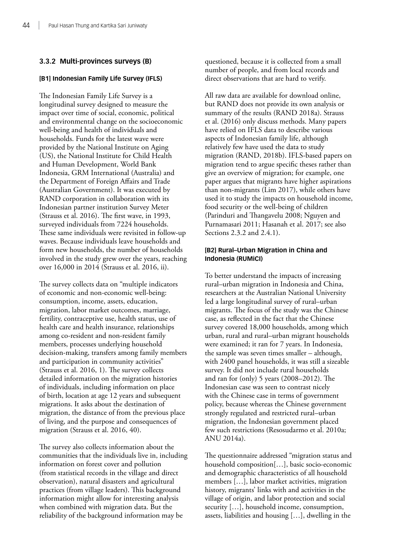# **3.3.2 Multi-provinces surveys (B)**

#### **[B1] Indonesian Family Life Survey (IFLS)**

The Indonesian Family Life Survey is a longitudinal survey designed to measure the impact over time of social, economic, political and environmental change on the socioeconomic well-being and health of individuals and households. Funds for the latest wave were provided by the National Institute on Aging (US), the National Institute for Child Health and Human Development, World Bank Indonesia, GRM International (Australia) and the Department of Foreign Affairs and Trade (Australian Government). It was executed by RAND corporation in collaboration with its Indonesian partner institution Survey Meter (Strauss et al. 2016). The first wave, in 1993, surveyed individuals from 7224 households. These same individuals were revisited in follow-up waves. Because individuals leave households and form new households, the number of households involved in the study grew over the years, reaching over 16,000 in 2014 (Strauss et al. 2016, ii).

The survey collects data on "multiple indicators of economic and non-economic well-being: consumption, income, assets, education, migration, labor market outcomes, marriage, fertility, contraceptive use, health status, use of health care and health insurance, relationships among co-resident and non-resident family members, processes underlying household decision-making, transfers among family members and participation in community activities" (Strauss et al. 2016, 1). The survey collects detailed information on the migration histories of individuals, including information on place of birth, location at age 12 years and subsequent migrations. It asks about the destination of migration, the distance of from the previous place of living, and the purpose and consequences of migration (Strauss et al. 2016, 40).

The survey also collects information about the communities that the individuals live in, including information on forest cover and pollution (from statistical records in the village and direct observation), natural disasters and agricultural practices (from village leaders). This background information might allow for interesting analysis when combined with migration data. But the reliability of the background information may be

questioned, because it is collected from a small number of people, and from local records and direct observations that are hard to verify.

All raw data are available for download online, but RAND does not provide its own analysis or summary of the results (RAND 2018a). Strauss et al. (2016) only discuss methods. Many papers have relied on IFLS data to describe various aspects of Indonesian family life, although relatively few have used the data to study migration (RAND, 2018b). IFLS-based papers on migration tend to argue specific theses rather than give an overview of migration; for example, one paper argues that migrants have higher aspirations than non-migrants (Lim 2017), while others have used it to study the impacts on household income, food security or the well-being of children (Parinduri and Thangavelu 2008; Nguyen and Purnamasari 2011; Hasanah et al. 2017; see also Sections 2.3.2 and 2.4.1).

## **[B2] Rural–Urban Migration in China and Indonesia (RUMiCI)**

To better understand the impacts of increasing rural–urban migration in Indonesia and China, researchers at the Australian National University led a large longitudinal survey of rural–urban migrants. The focus of the study was the Chinese case, as reflected in the fact that the Chinese survey covered 18,000 households, among which urban, rural and rural–urban migrant households were examined; it ran for 7 years. In Indonesia, the sample was seven times smaller – although, with 2400 panel households, it was still a sizeable survey. It did not include rural households and ran for (only) 5 years (2008–2012). The Indonesian case was seen to contrast nicely with the Chinese case in terms of government policy, because whereas the Chinese government strongly regulated and restricted rural–urban migration, the Indonesian government placed few such restrictions (Resosudarmo et al. 2010a; ANU 2014a).

The questionnaire addressed "migration status and household composition[…], basic socio-economic and demographic characteristics of all household members […], labor market activities, migration history, migrants' links with and activities in the village of origin, and labor protection and social security […], household income, consumption, assets, liabilities and housing […], dwelling in the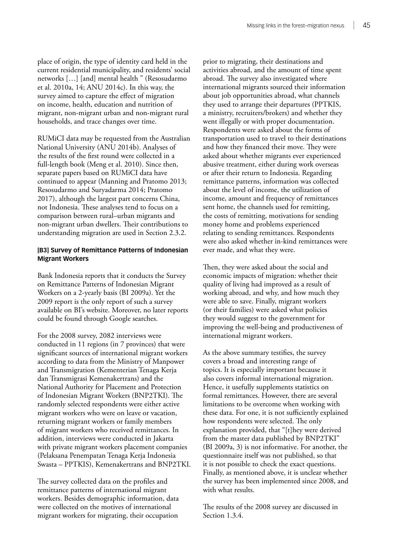place of origin, the type of identity card held in the current residential municipality, and residents' social networks […] [and] mental health " (Resosudarmo et al. 2010a, 14; ANU 2014c). In this way, the survey aimed to capture the effect of migration on income, health, education and nutrition of migrant, non-migrant urban and non-migrant rural households, and trace changes over time.

RUMiCI data may be requested from the Australian National University (ANU 2014b). Analyses of the results of the first round were collected in a full-length book (Meng et al. 2010). Since then, separate papers based on RUMiCI data have continued to appear (Manning and Pratomo 2013; Resosudarmo and Suryadarma 2014; Pratomo 2017), although the largest part concerns China, not Indonesia. These analyses tend to focus on a comparison between rural–urban migrants and non-migrant urban dwellers. Their contributions to understanding migration are used in Section 2.3.2.

#### **[B3] Survey of Remittance Patterns of Indonesian Migrant Workers**

Bank Indonesia reports that it conducts the Survey on Remittance Patterns of Indonesian Migrant Workers on a 2-yearly basis (BI 2009a). Yet the 2009 report is the only report of such a survey available on BI's website. Moreover, no later reports could be found through Google searches.

For the 2008 survey, 2082 interviews were conducted in 11 regions (in 7 provinces) that were significant sources of international migrant workers according to data from the Ministry of Manpower and Transmigration (Kementerian Tenaga Kerja dan Transmigrasi Kemenakertrans) and the National Authority for Placement and Protection of Indonesian Migrant Workers (BNP2TKI). The randomly selected respondents were either active migrant workers who were on leave or vacation, returning migrant workers or family members of migrant workers who received remittances. In addition, interviews were conducted in Jakarta with private migrant workers placement companies (Pelaksana Penempatan Tenaga Kerja Indonesia Swasta – PPTKIS), Kemenakertrans and BNP2TKI.

The survey collected data on the profiles and remittance patterns of international migrant workers. Besides demographic information, data were collected on the motives of international migrant workers for migrating, their occupation

prior to migrating, their destinations and activities abroad, and the amount of time spent abroad. The survey also investigated where international migrants sourced their information about job opportunities abroad, what channels they used to arrange their departures (PPTKIS, a ministry, recruiters/brokers) and whether they went illegally or with proper documentation. Respondents were asked about the forms of transportation used to travel to their destinations and how they financed their move. They were asked about whether migrants ever experienced abusive treatment, either during work overseas or after their return to Indonesia. Regarding remittance patterns, information was collected about the level of income, the utilization of income, amount and frequency of remittances sent home, the channels used for remitting, the costs of remitting, motivations for sending money home and problems experienced relating to sending remittances. Respondents were also asked whether in-kind remittances were ever made, and what they were.

Then, they were asked about the social and economic impacts of migration: whether their quality of living had improved as a result of working abroad, and why, and how much they were able to save. Finally, migrant workers (or their families) were asked what policies they would suggest to the government for improving the well-being and productiveness of international migrant workers.

As the above summary testifies, the survey covers a broad and interesting range of topics. It is especially important because it also covers informal international migration. Hence, it usefully supplements statistics on formal remittances. However, there are several limitations to be overcome when working with these data. For one, it is not sufficiently explained how respondents were selected. The only explanation provided, that "[t]hey were derived from the master data published by BNP2TKI" (BI 2009a, 3) is not informative. For another, the questionnaire itself was not published, so that it is not possible to check the exact questions. Finally, as mentioned above, it is unclear whether the survey has been implemented since 2008, and with what results.

The results of the 2008 survey are discussed in Section 1.3.4.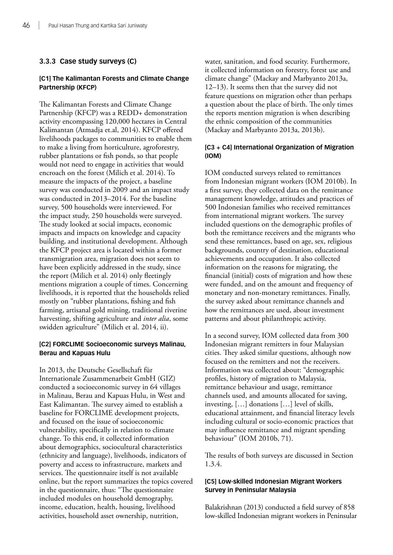# **3.3.3 Case study surveys (C)**

# **[C1] The Kalimantan Forests and Climate Change Partnership (KFCP)**

The Kalimantan Forests and Climate Change Partnership (KFCP) was a REDD+ demonstration activity encompassing 120,000 hectares in Central Kalimantan (Atmadja et.al, 2014). KFCP offered livelihoods packages to communities to enable them to make a living from horticulture, agroforestry, rubber plantations or fish ponds, so that people would not need to engage in activities that would encroach on the forest (Milich et al. 2014). To measure the impacts of the project, a baseline survey was conducted in 2009 and an impact study was conducted in 2013–2014. For the baseline survey, 500 households were interviewed. For the impact study, 250 households were surveyed. The study looked at social impacts, economic impacts and impacts on knowledge and capacity building, and institutional development. Although the KFCP project area is located within a former transmigration area, migration does not seem to have been explicitly addressed in the study, since the report (Milich et al. 2014) only fleetingly mentions migration a couple of times. Concerning livelihoods, it is reported that the households relied mostly on "rubber plantations, fishing and fish farming, artisanal gold mining, traditional riverine harvesting, shifting agriculture and *inter alia*, some swidden agriculture" (Milich et al. 2014, ii).

## **[C2] FORCLIME Socioeconomic surveys Malinau, Berau and Kapuas Hulu**

In 2013, the Deutsche Gesellschaft für Internationale Zusammenarbeit GmbH (GIZ) conducted a socioeconomic survey in 64 villages in Malinau, Berau and Kapuas Hulu, in West and East Kalimantan. The survey aimed to establish a baseline for FORCLIME development projects, and focused on the issue of socioeconomic vulnerability, specifically in relation to climate change. To this end, it collected information about demographics, sociocultural characteristics (ethnicity and language), livelihoods, indicators of poverty and access to infrastructure, markets and services. The questionnaire itself is not available online, but the report summarizes the topics covered in the questionnaire, thus: "The questionnaire included modules on household demography, income, education, health, housing, livelihood activities, household asset ownership, nutrition,

water, sanitation, and food security. Furthermore, it collected information on forestry, forest use and climate change" (Mackay and Marbyanto 2013a, 12–13). It seems then that the survey did not feature questions on migration other than perhaps a question about the place of birth. The only times the reports mention migration is when describing the ethnic composition of the communities (Mackay and Marbyanto 2013a, 2013b).

## **[C3 + C4] International Organization of Migration (IOM)**

IOM conducted surveys related to remittances from Indonesian migrant workers (IOM 2010b). In a first survey, they collected data on the remittance management knowledge, attitudes and practices of 500 Indonesian families who received remittances from international migrant workers. The survey included questions on the demographic profiles of both the remittance receivers and the migrants who send these remittances, based on age, sex, religious backgrounds, country of destination, educational achievements and occupation. It also collected information on the reasons for migrating, the financial (initial) costs of migration and how these were funded, and on the amount and frequency of monetary and non-monetary remittances. Finally, the survey asked about remittance channels and how the remittances are used, about investment patterns and about philanthropic activity.

In a second survey, IOM collected data from 300 Indonesian migrant remitters in four Malaysian cities. They asked similar questions, although now focused on the remitters and not the receivers. Information was collected about: "demographic profiles, history of migration to Malaysia, remittance behaviour and usage, remittance channels used, and amounts allocated for saving, investing, […] donations […] level of skills, educational attainment, and financial literacy levels including cultural or socio-economic practices that may influence remittance and migrant spending behaviour" (IOM 2010b, 71).

The results of both surveys are discussed in Section 1.3.4.

## **[C5] Low-skilled Indonesian Migrant Workers Survey in Peninsular Malaysia**

Balakrishnan (2013) conducted a field survey of 858 low-skilled Indonesian migrant workers in Peninsular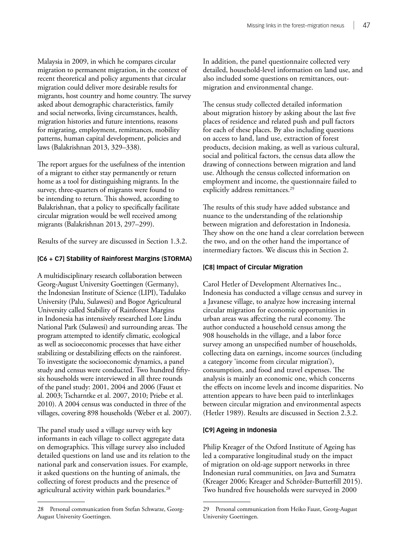Malaysia in 2009, in which he compares circular migration to permanent migration, in the context of recent theoretical and policy arguments that circular migration could deliver more desirable results for migrants, host country and home country. The survey asked about demographic characteristics, family and social networks, living circumstances, health, migration histories and future intentions, reasons for migrating, employment, remittances, mobility patterns, human capital development, policies and laws (Balakrishnan 2013, 329–338).

The report argues for the usefulness of the intention of a migrant to either stay permanently or return home as a tool for distinguishing migrants. In the survey, three-quarters of migrants were found to be intending to return. This showed, according to Balakrishnan, that a policy to specifically facilitate circular migration would be well received among migrants (Balakrishnan 2013, 297–299).

Results of the survey are discussed in Section 1.3.2.

#### **[C6 + C7] Stability of Rainforest Margins (STORMA)**

A multidisciplinary research collaboration between Georg-August University Goettingen (Germany), the Indonesian Institute of Science (LIPI), Tadulako University (Palu, Sulawesi) and Bogor Agricultural University called Stability of Rainforest Margins in Indonesia has intensively researched Lore Lindu National Park (Sulawesi) and surrounding areas. The program attempted to identify climatic, ecological as well as socioeconomic processes that have either stabilizing or destabilizing effects on the rainforest. To investigate the socioeconomic dynamics, a panel study and census were conducted. Two hundred fiftysix households were interviewed in all three rounds of the panel study: 2001, 2004 and 2006 (Faust et al. 2003; Tscharntke et al. 2007, 2010; Priebe et al. 2010). A 2004 census was conducted in three of the villages, covering 898 households (Weber et al. 2007).

The panel study used a village survey with key informants in each village to collect aggregate data on demographics. This village survey also included detailed questions on land use and its relation to the national park and conservation issues. For example, it asked questions on the hunting of animals, the collecting of forest products and the presence of agricultural activity within park boundaries.<sup>28</sup>

In addition, the panel questionnaire collected very detailed, household-level information on land use, and also included some questions on remittances, outmigration and environmental change.

The census study collected detailed information about migration history by asking about the last five places of residence and related push and pull factors for each of these places. By also including questions on access to land, land use, extraction of forest products, decision making, as well as various cultural, social and political factors, the census data allow the drawing of connections between migration and land use. Although the census collected information on employment and income, the questionnaire failed to explicitly address remittances.<sup>29</sup>

The results of this study have added substance and nuance to the understanding of the relationship between migration and deforestation in Indonesia. They show on the one hand a clear correlation between the two, and on the other hand the importance of intermediary factors. We discuss this in Section 2.

#### **[C8] Impact of Circular Migration**

Carol Hetler of Development Alternatives Inc., Indonesia has conducted a village census and survey in a Javanese village, to analyze how increasing internal circular migration for economic opportunities in urban areas was affecting the rural economy. The author conducted a household census among the 908 households in the village, and a labor force survey among an unspecified number of households, collecting data on earnings, income sources (including a category 'income from circular migration'), consumption, and food and travel expenses. The analysis is mainly an economic one, which concerns the effects on income levels and income disparities. No attention appears to have been paid to interlinkages between circular migration and environmental aspects (Hetler 1989). Results are discussed in Section 2.3.2.

#### **[C9] Ageing in Indonesia**

Philip Kreager of the Oxford Institute of Ageing has led a comparative longitudinal study on the impact of migration on old-age support networks in three Indonesian rural communities, on Java and Sumatra (Kreager 2006; Kreager and Schröder-Butterfill 2015). Two hundred five households were surveyed in 2000

<sup>28</sup> Personal communication from Stefan Schwarze, Georg-August University Goettingen.

<sup>29</sup> Personal communication from Heiko Faust, Georg-August University Goettingen.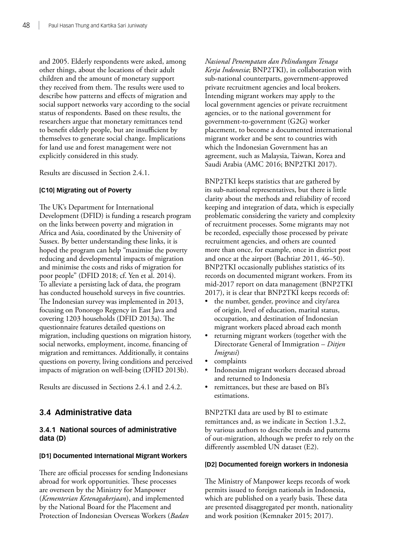and 2005. Elderly respondents were asked, among other things, about the locations of their adult children and the amount of monetary support they received from them. The results were used to describe how patterns and effects of migration and social support networks vary according to the social status of respondents. Based on these results, the researchers argue that monetary remittances tend to benefit elderly people, but are insufficient by themselves to generate social change. Implications for land use and forest management were not explicitly considered in this study.

Results are discussed in Section 2.4.1.

#### **[C10] Migrating out of Poverty**

The UK's Department for International Development (DFID) is funding a research program on the links between poverty and migration in Africa and Asia, coordinated by the University of Sussex. By better understanding these links, it is hoped the program can help "maximise the poverty reducing and developmental impacts of migration and minimise the costs and risks of migration for poor people" (DFID 2018; cf. Yen et al. 2014). To alleviate a persisting lack of data, the program has conducted household surveys in five countries. The Indonesian survey was implemented in 2013, focusing on Ponorogo Regency in East Java and covering 1203 households (DFID 2013a). The questionnaire features detailed questions on migration, including questions on migration history, social networks, employment, income, financing of migration and remittances. Additionally, it contains questions on poverty, living conditions and perceived impacts of migration on well-being (DFID 2013b).

Results are discussed in Sections 2.4.1 and 2.4.2.

# **3.4 Administrative data**

## **3.4.1 National sources of administrative data (D)**

#### **[D1] Documented International Migrant Workers**

There are official processes for sending Indonesians abroad for work opportunities. These processes are overseen by the Ministry for Manpower (*Kementerian Ketenagakerjaan*), and implemented by the National Board for the Placement and Protection of Indonesian Overseas Workers (*Badan*  *Nasional Penempatan dan Pelindungan Tenaga Kerja Indonesia*; BNP2TKI), in collaboration with sub-national counterparts, government-approved private recruitment agencies and local brokers. Intending migrant workers may apply to the local government agencies or private recruitment agencies, or to the national government for government-to-government (G2G) worker placement, to become a documented international migrant worker and be sent to countries with which the Indonesian Government has an agreement, such as Malaysia, Taiwan, Korea and Saudi Arabia (AMC 2016; BNP2TKI 2017).

BNP2TKI keeps statistics that are gathered by its sub-national representatives, but there is little clarity about the methods and reliability of record keeping and integration of data, which is especially problematic considering the variety and complexity of recruitment processes. Some migrants may not be recorded, especially those processed by private recruitment agencies, and others are counted more than once, for example, once in district post and once at the airport (Bachtiar 2011, 46–50). BNP2TKI occasionally publishes statistics of its records on documented migrant workers. From its mid-2017 report on data management (BNP2TKI 2017), it is clear that BNP2TKI keeps records of:

- the number, gender, province and city/area of origin, level of education, marital status, occupation, and destination of Indonesian migrant workers placed abroad each month
- returning migrant workers (together with the Directorate General of Immigration – *Ditjen Imigrasi*)
- complaints
- Indonesian migrant workers deceased abroad and returned to Indonesia
- remittances, but these are based on BI's estimations.

BNP2TKI data are used by BI to estimate remittances and, as we indicate in Section 1.3.2, by various authors to describe trends and patterns of out-migration, although we prefer to rely on the differently assembled UN dataset (E2).

#### **[D2] Documented foreign workers in Indonesia**

The Ministry of Manpower keeps records of work permits issued to foreign nationals in Indonesia, which are published on a yearly basis. These data are presented disaggregated per month, nationality and work position (Kemnaker 2015; 2017).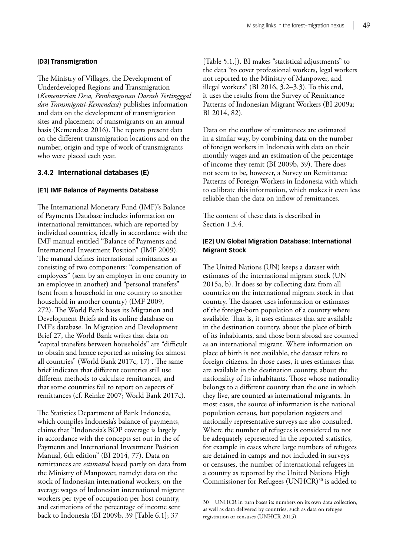#### **[D3] Transmigration**

The Ministry of Villages, the Development of Underdeveloped Regions and Transmigration (*Kementerian Desa, Pembangunan Daerah Tertingggal dan Transmigrasi-Kemendesa*) publishes information and data on the development of transmigration sites and placement of transmigrants on an annual basis (Kemendesa 2016). The reports present data on the different transmigration locations and on the number, origin and type of work of transmigrants who were placed each year.

# **3.4.2 International databases (E)**

#### **[E1] IMF Balance of Payments Database**

The International Monetary Fund (IMF)'s Balance of Payments Database includes information on international remittances, which are reported by individual countries, ideally in accordance with the IMF manual entitled "Balance of Payments and International Investment Position" (IMF 2009). The manual defines international remittances as consisting of two components: "compensation of employees" (sent by an employer in one country to an employee in another) and "personal transfers" (sent from a household in one country to another household in another country) (IMF 2009, 272). The World Bank bases its Migration and Development Briefs and its online database on IMF's database. In Migration and Development Brief 27, the World Bank writes that data on "capital transfers between households" are "difficult to obtain and hence reported as missing for almost all countries" (World Bank 2017c, 17) . The same brief indicates that different countries still use different methods to calculate remittances, and that some countries fail to report on aspects of remittances (cf. Reinke 2007; World Bank 2017c).

The Statistics Department of Bank Indonesia, which compiles Indonesia's balance of payments, claims that "Indonesia's BOP coverage is largely in accordance with the concepts set out in the of Payments and International Investment Position Manual, 6th edition" (BI 2014, 77). Data on remittances are *estimated* based partly on data from the Ministry of Manpower, namely: data on the stock of Indonesian international workers, on the average wages of Indonesian international migrant workers per type of occupation per host country, and estimations of the percentage of income sent back to Indonesia (BI 2009b, 39 [Table 6.1]; 37

[Table 5.1.]). BI makes "statistical adjustments" to the data "to cover professional workers, legal workers not reported to the Ministry of Manpower, and illegal workers" (BI 2016, 3.2–3.3). To this end, it uses the results from the Survey of Remittance Patterns of Indonesian Migrant Workers (BI 2009a; BI 2014, 82).

Data on the outflow of remittances are estimated in a similar way, by combining data on the number of foreign workers in Indonesia with data on their monthly wages and an estimation of the percentage of income they remit (BI 2009b, 39). There does not seem to be, however, a Survey on Remittance Patterns of Foreign Workers in Indonesia with which to calibrate this information, which makes it even less reliable than the data on inflow of remittances.

The content of these data is described in Section 1.3.4.

## **[E2] UN Global Migration Database: International Migrant Stock**

The United Nations (UN) keeps a dataset with estimates of the international migrant stock (UN 2015a, b). It does so by collecting data from all countries on the international migrant stock in that country. The dataset uses information or estimates of the foreign-born population of a country where available. That is, it uses estimates that are available in the destination country, about the place of birth of its inhabitants, and those born abroad are counted as an international migrant. Where information on place of birth is not available, the dataset refers to foreign citizens. In those cases, it uses estimates that are available in the destination country, about the nationality of its inhabitants. Those whose nationality belongs to a different country than the one in which they live, are counted as international migrants. In most cases, the source of information is the national population census, but population registers and nationally representative surveys are also consulted. Where the number of refugees is considered to not be adequately represented in the reported statistics, for example in cases where large numbers of refugees are detained in camps and not included in surveys or censuses, the number of international refugees in a country as reported by the United Nations High Commissioner for Refugees (UNHCR)<sup>30</sup> is added to

<sup>30</sup> UNHCR in turn bases its numbers on its own data collection, as well as data delivered by countries, such as data on refugee registration or censuses (UNHCR 2015).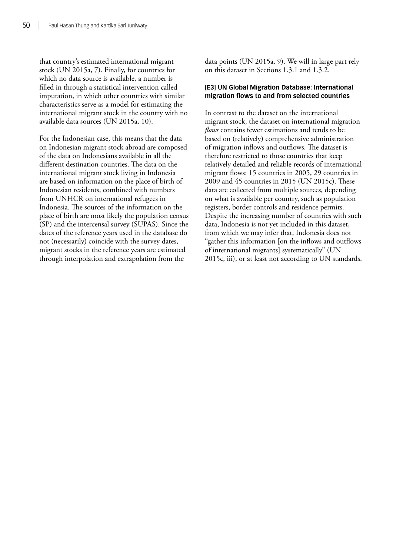that country's estimated international migrant stock (UN 2015a, 7). Finally, for countries for which no data source is available, a number is filled in through a statistical intervention called imputation, in which other countries with similar characteristics serve as a model for estimating the international migrant stock in the country with no available data sources (UN 2015a, 10).

For the Indonesian case, this means that the data on Indonesian migrant stock abroad are composed of the data on Indonesians available in all the different destination countries. The data on the international migrant stock living in Indonesia are based on information on the place of birth of Indonesian residents, combined with numbers from UNHCR on international refugees in Indonesia. The sources of the information on the place of birth are most likely the population census (SP) and the intercensal survey (SUPAS). Since the dates of the reference years used in the database do not (necessarily) coincide with the survey dates, migrant stocks in the reference years are estimated through interpolation and extrapolation from the

data points (UN 2015a, 9). We will in large part rely on this dataset in Sections 1.3.1 and 1.3.2.

# **[E3] UN Global Migration Database: International migration flows to and from selected countries**

In contrast to the dataset on the international migrant stock, the dataset on international migration *flows* contains fewer estimations and tends to be based on (relatively) comprehensive administration of migration inflows and outflows. The dataset is therefore restricted to those countries that keep relatively detailed and reliable records of international migrant flows: 15 countries in 2005, 29 countries in 2009 and 45 countries in 2015 (UN 2015c). These data are collected from multiple sources, depending on what is available per country, such as population registers, border controls and residence permits. Despite the increasing number of countries with such data, Indonesia is not yet included in this dataset, from which we may infer that, Indonesia does not "gather this information [on the inflows and outflows of international migrants] systematically" (UN 2015c, iii), or at least not according to UN standards.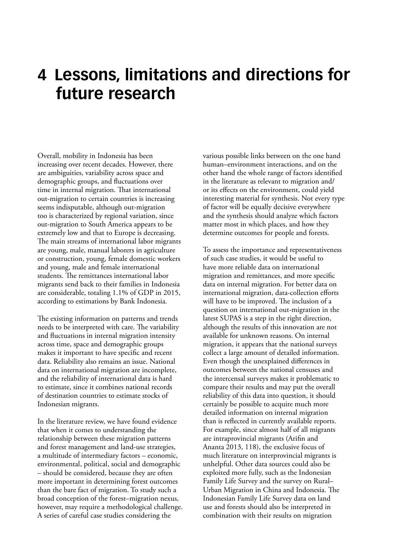# **4 Lessons, limitations and directions for future research**

Overall, mobility in Indonesia has been increasing over recent decades. However, there are ambiguities, variability across space and demographic groups, and fluctuations over time in internal migration. That international out-migration to certain countries is increasing seems indisputable, although out-migration too is characterized by regional variation, since out-migration to South America appears to be extremely low and that to Europe is decreasing. The main streams of international labor migrants are young, male, manual laborers in agriculture or construction, young, female domestic workers and young, male and female international students. The remittances international labor migrants send back to their families in Indonesia are considerable, totaling 1.1% of GDP in 2015, according to estimations by Bank Indonesia.

The existing information on patterns and trends needs to be interpreted with care. The variability and fluctuations in internal migration intensity across time, space and demographic groups makes it important to have specific and recent data. Reliability also remains an issue. National data on international migration are incomplete, and the reliability of international data is hard to estimate, since it combines national records of destination countries to estimate stocks of Indonesian migrants.

In the literature review, we have found evidence that when it comes to understanding the relationship between these migration patterns and forest management and land-use strategies, a multitude of intermediary factors – economic, environmental, political, social and demographic – should be considered, because they are often more important in determining forest outcomes than the bare fact of migration. To study such a broad conception of the forest–migration nexus, however, may require a methodological challenge. A series of careful case studies considering the

various possible links between on the one hand human–environment interactions, and on the other hand the whole range of factors identified in the literature as relevant to migration and/ or its effects on the environment, could yield interesting material for synthesis. Not every type of factor will be equally decisive everywhere and the synthesis should analyze which factors matter most in which places, and how they determine outcomes for people and forests.

To assess the importance and representativeness of such case studies, it would be useful to have more reliable data on international migration and remittances, and more specific data on internal migration. For better data on international migration, data-collection efforts will have to be improved. The inclusion of a question on international out-migration in the latest SUPAS is a step in the right direction, although the results of this innovation are not available for unknown reasons. On internal migration, it appears that the national surveys collect a large amount of detailed information. Even though the unexplained differences in outcomes between the national censuses and the intercensal surveys makes it problematic to compare their results and may put the overall reliability of this data into question, it should certainly be possible to acquire much more detailed information on internal migration than is reflected in currently available reports. For example, since almost half of all migrants are intraprovincial migrants (Arifin and Ananta 2013, 118), the exclusive focus of much literature on interprovincial migrants is unhelpful. Other data sources could also be exploited more fully, such as the Indonesian Family Life Survey and the survey on Rural– Urban Migration in China and Indonesia. The Indonesian Family Life Survey data on land use and forests should also be interpreted in combination with their results on migration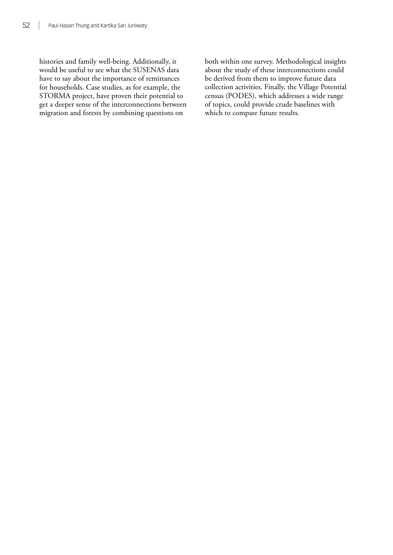histories and family well-being. Additionally, it would be useful to see what the SUSENAS data have to say about the importance of remittances for households. Case studies, as for example, the STORMA project, have proven their potential to get a deeper sense of the interconnections between migration and forests by combining questions on

both within one survey. Methodological insights about the study of these interconnections could be derived from them to improve future data collection activities. Finally, the Village Potential census (PODES), which addresses a wide range of topics, could provide crude baselines with which to compare future results.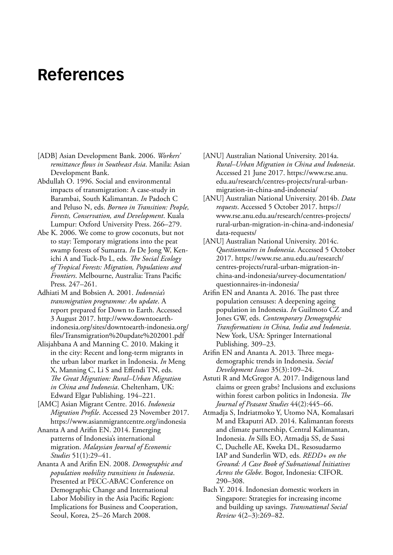# **References**

- [ADB] Asian Development Bank. 2006. *Workers' remittance flows in Southeast Asia*. Manila: Asian Development Bank.
- Abdullah O. 1996. Social and environmental impacts of transmigration: A case-study in Barambai, South Kalimantan. *In* Padoch C and Peluso N, eds. *Borneo in Transition: People, Forests, Conservation, and Development*. Kuala Lumpur: Oxford University Press. 266–279.
- Abe K. 2006. We come to grow coconuts, but not to stay: Temporary migrations into the peat swamp forests of Sumatra. *In* De Jong W, Kenichi A and Tuck-Po L, eds. *The Social Ecology of Tropical Forests: Migration, Populations and Frontiers*. Melbourne, Australia: Trans Pacific Press. 247–261.
- Adhiati M and Bobsien A. 2001. *Indonesia's transmigration programme: An update*. A report prepared for Down to Earth. Accessed 3 August 2017. [http://www.downtoearth](http://www.downtoearth-indonesia.org/sites/downtoearth-indonesia.org/files/Transmigration%20update%202001.pdf)[indonesia.org/sites/downtoearth-indonesia.org/](http://www.downtoearth-indonesia.org/sites/downtoearth-indonesia.org/files/Transmigration%20update%202001.pdf) [files/Transmigration%20update%202001.pdf](http://www.downtoearth-indonesia.org/sites/downtoearth-indonesia.org/files/Transmigration%20update%202001.pdf)
- Alisjahbana A and Manning C. 2010. Making it in the city: Recent and long-term migrants in the urban labor market in Indonesia. *In* Meng X, Manning C, Li S and Effendi TN, eds. *The Great Migration: Rural–Urban Migration in China and Indonesia*. Cheltenham, UK: Edward Elgar Publishing. 194–221.
- [AMC] Asian Migrant Centre. 2016. *Indonesia Migration Profile*. Accessed 23 November 2017. <https://www.asianmigrantcentre.org/indonesia>
- Ananta A and Arifin EN. 2014. Emerging patterns of Indonesia's international migration. *Malaysian Journal of Economic Studies* 51(1):29–41.
- Ananta A and Arifin EN. 2008. *Demographic and population mobility transitions in Indonesia*. Presented at PECC-ABAC Conference on Demographic Change and International Labor Mobility in the Asia Pacific Region: Implications for Business and Cooperation, Seoul, Korea, 25–26 March 2008.
- [ANU] Australian National University. 2014a. *Rural–Urban Migration in China and Indonesia*. Accessed 21 June 2017. [https://www.rse.anu.](https://www.rse.anu.edu.au/research/centres-projects/rural-urban-migration-in-china-and-indonesia/) [edu.au/research/centres-projects/rural-urban](https://www.rse.anu.edu.au/research/centres-projects/rural-urban-migration-in-china-and-indonesia/)[migration-in-china-and-indonesia/](https://www.rse.anu.edu.au/research/centres-projects/rural-urban-migration-in-china-and-indonesia/)
- [ANU] Australian National University. 2014b. *Data requests*. Accessed 5 October 2017. [https://](https://www.rse.anu.edu.au/research/centres-projects/rural-urban-migration-in-china-and-indonesia/data-requests/) [www.rse.anu.edu.au/research/centres-projects/](https://www.rse.anu.edu.au/research/centres-projects/rural-urban-migration-in-china-and-indonesia/data-requests/) [rural-urban-migration-in-china-and-indonesia/](https://www.rse.anu.edu.au/research/centres-projects/rural-urban-migration-in-china-and-indonesia/data-requests/) [data-requests/](https://www.rse.anu.edu.au/research/centres-projects/rural-urban-migration-in-china-and-indonesia/data-requests/)
- [ANU] Australian National University. 2014c. *Questionnaires in Indonesia*. Accessed 5 October 2017. https://www.rse.anu.edu.au/research/ centres-projects/rural-urban-migration-inchina-and-indonesia/survey-documentation/ questionnaires-in-indonesia/
- Arifin EN and Ananta A. 2016. The past three population censuses: A deepening ageing population in Indonesia. *In* Guilmoto CZ and Jones GW, eds. *Contemporary Demographic Transformations in China, India and Indonesia*. New York, USA: Springer International Publishing. 309–23.
- Arifin EN and Ananta A. 2013. Three megademographic trends in Indonesia. *Social Development Issues* 35(3):109–24.
- Astuti R and McGregor A. 2017. Indigenous land claims or green grabs? Inclusions and exclusions within forest carbon politics in Indonesia. *The Journal of Peasant Studies* 44(2):445–66.
- Atmadja S, Indriatmoko Y, Utomo NA, Komalasari M and Ekaputri AD. 2014. Kalimantan forests and climate partnership, Central Kalimantan, Indonesia. *In* Sills EO, Atmadja SS, de Sassi C, Duchelle AE, Kweka DL, Resosudarmo IAP and Sunderlin WD, eds. *REDD+ on the Ground: A Case Book of Subnational Initiatives Across the Globe*. Bogor, Indonesia: CIFOR. 290–308.
- Bach Y. 2014. Indonesian domestic workers in Singapore: Strategies for increasing income and building up savings. *Transnational Social Review* 4(2–3):269–82.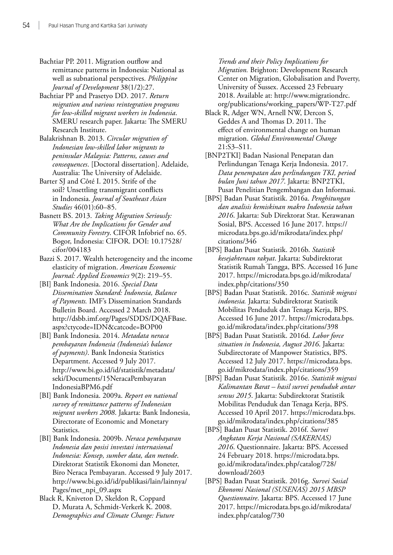- Bachtiar PP. 2011. Migration outflow and remittance patterns in Indonesia: National as well as subnational perspectives. *Philippine Journal of Development* 38(1/2):27.
- Bachtiar PP and Prasetyo DD. 2017. *Return migration and various reintegration programs for low-skilled migrant workers in Indonesia*. SMERU research paper. Jakarta: The SMERU Research Institute.
- Balakrishnan B. 2013. *Circular migration of Indonesian low-skilled labor migrants to peninsular Malaysia: Patterns, causes and consequences*. [Doctoral dissertation]. Adelaide, Australia: The University of Adelaide.
- Barter SJ and Côté I. 2015. Strife of the soil? Unsettling transmigrant conflicts in Indonesia. *Journal of Southeast Asian Studies* 46(01):60–85.
- Basnett BS. 2013. *Taking Migration Seriously: What Are the Implications for Gender and Community Forestry*. CIFOR Infobrief no. 65. Bogor, Indonesia: CIFOR. DOI: 10.17528/ cifor/004183
- Bazzi S. 2017. Wealth heterogeneity and the income elasticity of migration. *American Economic Journal: Applied Economics* 9(2): 219–55.
- [BI] Bank Indonesia. 2016. *Special Data Dissemination Standard: Indonesia, Balance of Payments.* IMF's Dissemination Standards Bulletin Board. Accessed 2 March 2018. [http://dsbb.imf.org/Pages/SDDS/DQAFBase.](http://dsbb.imf.org/Pages/SDDS/DQAFBase.aspx?ctycode=IDN&catcode=BOP00) [aspx?ctycode=IDN&catcode=BOP00](http://dsbb.imf.org/Pages/SDDS/DQAFBase.aspx?ctycode=IDN&catcode=BOP00)
- [BI] Bank Indonesia. 2014. *Metadata neraca pembayaran Indonesia (Indonesia's balance of payments)*. Bank Indonesia Statistics Department. Accessed 9 July 2017. [http://www.bi.go.id/id/statistik/metadata/](http://www.bi.go.id/id/statistik/metadata/seki/Documents/15NeracaPembayaranIndonesiaBPM6.pdf) [seki/Documents/15NeracaPembayaran](http://www.bi.go.id/id/statistik/metadata/seki/Documents/15NeracaPembayaranIndonesiaBPM6.pdf) [IndonesiaBPM6.pdf](http://www.bi.go.id/id/statistik/metadata/seki/Documents/15NeracaPembayaranIndonesiaBPM6.pdf)
- [BI] Bank Indonesia. 2009a. *Report on national survey of remittance patterns of Indonesian migrant workers 2008*. Jakarta: Bank Indonesia, Directorate of Economic and Monetary Statistics.
- [BI] Bank Indonesia. 2009b. *Neraca pembayaran Indonesia dan posisi investasi internasional Indonesia: Konsep, sumber data, dan metode*. Direktorat Statistik Ekonomi dan Moneter, Biro Neraca Pembayaran. Accessed 9 July 2017. [http://www.bi.go.id/id/publikasi/lain/lainnya/](http://www.bi.go.id/id/publikasi/lain/lainnya/Pages/met_npi_09.aspx) [Pages/met\\_npi\\_09.aspx](http://www.bi.go.id/id/publikasi/lain/lainnya/Pages/met_npi_09.aspx)
- Black R, Kniveton D, Skeldon R, Coppard D, Murata A, Schmidt-Verkerk K. 2008. *Demographics and Climate Change: Future*

*Trends and their Policy Implications for Migration.* Brighton: Development Research Center on Migration, Globalisation and Poverty, University of Sussex. Accessed 23 February 2018. Available at: [http://www.migrationdrc.](http://www.migrationdrc.org/publications/working_papers/WP-T27.pdf) [org/publications/working\\_papers/WP-T27.pdf](http://www.migrationdrc.org/publications/working_papers/WP-T27.pdf)

- Black R, Adger WN, Arnell NW, Dercon S, Geddes A and Thomas D. 2011. The effect of environmental change on human migration. *Global Environmental Change* 21:S3–S11.
- [BNP2TKI] Badan Nasional Penepatan dan Perlindungan Tenaga Kerja Indonesia. 2017. *Data penempatan dan perlindungan TKI, period bulan Juni tahun 2017*. Jakarta: BNP2TKI, Pusat Penelitian Pengembangan dan Informasi.
- [BPS] Badan Pusat Statistik. 2016a. *Penghitungan dan analisis kemiskinan makro Indonesia tahun 2016*. Jakarta: Sub Direktorat Stat. Kerawanan Sosial, BPS. Accessed 16 June 2017. [https://](https://microdata.bps.go.id/mikrodata/index.php/citations/346) [microdata.bps.go.id/mikrodata/index.php/](https://microdata.bps.go.id/mikrodata/index.php/citations/346) [citations/346](https://microdata.bps.go.id/mikrodata/index.php/citations/346)
- [BPS] Badan Pusat Statistik. 2016b. *Statistik kesejahteraan rakyat*. Jakarta: Subdirektorat Statistik Rumah Tangga, BPS. Accessed 16 June 2017. [https://microdata.bps.go.id/mikrodata/](https://microdata.bps.go.id/mikrodata/index.php/citations/350) [index.php/citations/350](https://microdata.bps.go.id/mikrodata/index.php/citations/350)
- [BPS] Badan Pusat Statistik. 2016c. *Statistik migrasi indonesia.* Jakarta: Subdirektorat Statistik Mobilitas Penduduk dan Tenaga Kerja, BPS. Accessed 16 June 2017. [https://microdata.bps.](https://microdata.bps.go.id/mikrodata/index.php/citations/398) [go.id/mikrodata/index.php/citations/398](https://microdata.bps.go.id/mikrodata/index.php/citations/398)
- [BPS] Badan Pusat Statistik. 2016d. *Labor force situation in Indonesia, August 2016*. Jakarta: Subdirectorate of Manpower Statistics, BPS. Accessed 12 July 2017. [https://microdata.bps.](https://microdata.bps.go.id/mikrodata/index.php/citations/359) [go.id/mikrodata/index.php/citations/359](https://microdata.bps.go.id/mikrodata/index.php/citations/359)
- [BPS] Badan Pusat Statistik. 2016e. *Statistik migrasi Kalimantan Barat – hasil survei penduduk antar sensus 2015*. Jakarta: Subdirektorat Statistik Mobilitas Penduduk dan Tenaga Kerja, BPS. Accessed 10 April 2017. [https://microdata.bps.](https://microdata.bps.go.id/mikrodata/index.php/citations/385) [go.id/mikrodata/index.php/citations/385](https://microdata.bps.go.id/mikrodata/index.php/citations/385)
- [BPS] Badan Pusat Statistik. 2016f. *Survei Angkatan Kerja Nasional (SAKERNAS) 2016*. Questionnaire. Jakarta: BPS. Accessed 24 February 2018. [https://microdata.bps.](https://microdata.bps.go.id/mikrodata/index.php/catalog/728/download/2603) [go.id/mikrodata/index.php/catalog/728/](https://microdata.bps.go.id/mikrodata/index.php/catalog/728/download/2603) [download/2603](https://microdata.bps.go.id/mikrodata/index.php/catalog/728/download/2603)
- [BPS] Badan Pusat Statistik. 2016g. *Survei Sosial Ekonomi Nasional (SUSENAS) 2015 MBSP Questionnaire*. Jakarta: BPS. Accessed 17 June 2017. [https://microdata.bps.go.id/mikrodata/](https://microdata.bps.go.id/mikrodata/index.php/catalog/730) [index.php/catalog/730](https://microdata.bps.go.id/mikrodata/index.php/catalog/730)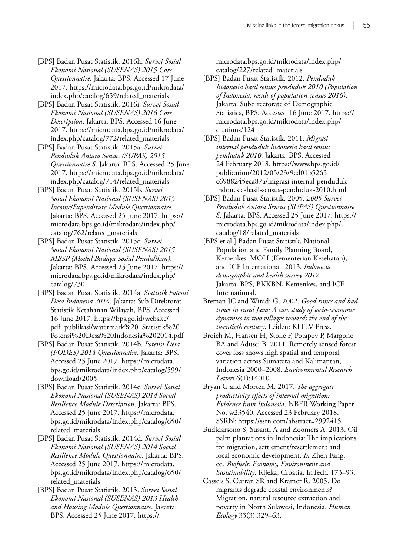- [BPS] Badan Pusat Statistik. 2016h. *Survei Sosial Ekonomi Nasional (SUSENAS) 2015 Core Questionnaire*. Jakarta: BPS. Accessed 17 June 2017. [https://microdata.bps.go.id/mikrodata/](https://microdata.bps.go.id/mikrodata/index.php/catalog/659/related_materials) [index.php/catalog/659/related\\_materials](https://microdata.bps.go.id/mikrodata/index.php/catalog/659/related_materials)
- [BPS] Badan Pusat Statistik. 2016i. *Survei Sosial Ekonomi Nasional (SUSENAS) 2016 Core Description*. Jakarta: BPS. Accessed 16 June 2017. [https://microdata.bps.go.id/mikrodata/](https://microdata.bps.go.id/mikrodata/index.php/catalog/772/related_materials) [index.php/catalog/772/related\\_materials](https://microdata.bps.go.id/mikrodata/index.php/catalog/772/related_materials)
- [BPS] Badan Pusat Statistik. 2015a. *Survei Penduduk Antara Sensus (SUPAS) 2015 Questionnaire S*. Jakarta: BPS. Accessed 25 June 2017. [https://microdata.bps.go.id/mikrodata/](https://microdata.bps.go.id/mikrodata/index.php/catalog/714/related_materials) [index.php/catalog/714/related\\_materials](https://microdata.bps.go.id/mikrodata/index.php/catalog/714/related_materials)
- [BPS] Badan Pusat Statistik. 2015b. *Survei Sosial Ekonomi Nasional (SUSENAS) 2015 Income/Expenditure Module Questionnaire*. Jakarta: BPS. Accessed 25 June 2017. [https://](https://microdata.bps.go.id/mikrodata/index.php/catalog/762/related_materials) [microdata.bps.go.id/mikrodata/index.php/](https://microdata.bps.go.id/mikrodata/index.php/catalog/762/related_materials) [catalog/762/related\\_materials](https://microdata.bps.go.id/mikrodata/index.php/catalog/762/related_materials)
- [BPS] Badan Pusat Statistik. 2015c. *Survei Sosial Ekonomi Nasional (SUSENAS) 2015 MBSP (Modul Budaya Sosial Pendidikan)*. Jakarta: BPS. Accessed 25 June 2017. [https://](https://microdata.bps.go.id/mikrodata/index.php/catalog/730) [microdata.bps.go.id/mikrodata/index.php/](https://microdata.bps.go.id/mikrodata/index.php/catalog/730) [catalog/730](https://microdata.bps.go.id/mikrodata/index.php/catalog/730)
- [BPS] Badan Pusat Statistik. 2014a. *Statistik Potensi Desa Indonesia 2014*. Jakarta: Sub Direktorat Statistik Ketahanan Wilayah, BPS. Accessed 16 June 2017. [https://bps.go.id/website/](https://bps.go.id/website/pdf_publikasi/watermark%20_Statistik%20Potensi%20Desa%20Indonesia%202014.pdf) [pdf\\_publikasi/watermark%20\\_Statistik%20](https://bps.go.id/website/pdf_publikasi/watermark%20_Statistik%20Potensi%20Desa%20Indonesia%202014.pdf) [Potensi%20Desa%20Indonesia%202014.pdf](https://bps.go.id/website/pdf_publikasi/watermark%20_Statistik%20Potensi%20Desa%20Indonesia%202014.pdf)
- [BPS] Badan Pusat Statistik. 2014b. *Potensi Desa (PODES) 2014 Questionnaire*. Jakarta: BPS. Accessed 25 June 2017. [https://microdata.](https://microdata.bps.go.id/mikrodata/index.php/catalog/599/download/2005) [bps.go.id/mikrodata/index.php/catalog/599/](https://microdata.bps.go.id/mikrodata/index.php/catalog/599/download/2005) [download/2005](https://microdata.bps.go.id/mikrodata/index.php/catalog/599/download/2005)
- [BPS] Badan Pusat Statistik. 2014c. *Survei Sosial Ekonomi Nasional (SUSENAS) 2014 Social Resilience Module Description*. Jakarta: BPS. Accessed 25 June 2017. [https://microdata.](https://microdata.bps.go.id/mikrodata/index.php/catalog/650/related_materials) [bps.go.id/mikrodata/index.php/catalog/650/](https://microdata.bps.go.id/mikrodata/index.php/catalog/650/related_materials) [related\\_materials](https://microdata.bps.go.id/mikrodata/index.php/catalog/650/related_materials)
- [BPS] Badan Pusat Statistik. 2014d. *Survei Sosial Ekonomi Nasional (SUSENAS) 2014 Social Resilience Module Questionnaire*. Jakarta: BPS. Accessed 25 June 2017. [https://microdata.](https://microdata.bps.go.id/mikrodata/index.php/catalog/650/related_materials) [bps.go.id/mikrodata/index.php/catalog/650/](https://microdata.bps.go.id/mikrodata/index.php/catalog/650/related_materials) [related\\_materials](https://microdata.bps.go.id/mikrodata/index.php/catalog/650/related_materials)
- [BPS] Badan Pusat Statistik. 2013. *Survei Sosial Ekonomi Nasional (SUSENAS) 2013 Health and Housing Module Questionnaire*. Jakarta: BPS. Accessed 25 June 2017. [https://](https://microdata.bps.go.id/mikrodata/index.php/catalog/227/related_materials)

[microdata.bps.go.id/mikrodata/index.php/](https://microdata.bps.go.id/mikrodata/index.php/catalog/227/related_materials) [catalog/227/related\\_materials](https://microdata.bps.go.id/mikrodata/index.php/catalog/227/related_materials)

- [BPS] Badan Pusat Statistik. 2012. *Penduduk Indonesia hasil sensus penduduk 2010 (Population of Indonesia, result of population census 2010)*. Jakarta: Subdirectorate of Demographic Statistics, BPS. Accessed 16 June 2017. [https://](https://microdata.bps.go.id/mikrodata/index.php/citations/124) [microdata.bps.go.id/mikrodata/index.php/](https://microdata.bps.go.id/mikrodata/index.php/citations/124) [citations/124](https://microdata.bps.go.id/mikrodata/index.php/citations/124)
- [BPS] Badan Pusat Statistik. 2011. *Migrasi internal penduduk Indonesia hasil sensus penduduk 2010*. Jakarta: BPS. Accessed 24 February 2018. [https://www.bps.go.id/](https://www.bps.go.id/publication/2012/05/23/9cd01b5265 c6988245eca87a/migrasi-internal-penduduk-indonesia-hasil-sensus-penduduk-2010.htm) [publication/2012/05/23/9cd01b5265](https://www.bps.go.id/publication/2012/05/23/9cd01b5265 c6988245eca87a/migrasi-internal-penduduk-indonesia-hasil-sensus-penduduk-2010.htm) [c6988245eca87a/migrasi-internal-penduduk](https://www.bps.go.id/publication/2012/05/23/9cd01b5265 c6988245eca87a/migrasi-internal-penduduk-indonesia-hasil-sensus-penduduk-2010.htm)[indonesia-hasil-sensus-penduduk-2010.html](https://www.bps.go.id/publication/2012/05/23/9cd01b5265 c6988245eca87a/migrasi-internal-penduduk-indonesia-hasil-sensus-penduduk-2010.htm)
- [BPS] Badan Pusat Statistik. 2005. *2005 Survei Penduduk Antara Sensus (SUPAS) Questionnaire S*. Jakarta: BPS. Accessed 25 June 2017. [https://](https://microdata.bps.go.id/mikrodata/index.php/catalog/18/related_materials) [microdata.bps.go.id/mikrodata/index.php/](https://microdata.bps.go.id/mikrodata/index.php/catalog/18/related_materials) [catalog/18/related\\_materials](https://microdata.bps.go.id/mikrodata/index.php/catalog/18/related_materials)
- [BPS et al.] Badan Pusat Statistik, National Population and Family Planning Board, Kemenkes–MOH (Kementerian Kesehatan), and ICF International. 2013. *Indonesia demographic and health survey 2012*. Jakarta: BPS, BKKBN, Kemenkes, and ICF International.
- Breman JC and Wiradi G. 2002. *Good times and bad times in rural Java: A case study of socio-economic dynamics in two villages towards the end of the twentieth century*. Leiden: KITLV Press.
- Broich M, Hansen H, Stolle F, Potapov P, Margono BA and Adusei B. 2011. Remotely sensed forest cover loss shows high spatial and temporal variation across Sumatera and Kalimantan, Indonesia 2000–2008. *Environmental Research Letters* 6(1):14010.
- Bryan G and Morten M. 2017. *The aggregate productivity effects of internal migration: Evidence from Indonesia*. NBER Working Paper No. w23540. Accessed 23 February 2018. SSRN: <https://ssrn.com/abstract=2992415>
- Budidarsono S, Susanti A and Zoomers A. 2013. Oil palm plantations in Indonesia: The implications for migration, settlement/resettlement and local economic development. *In* Zhen Fang, ed. *Biofuels: Economy, Environment and Sustainability*. Rijeka, Croatia: InTech. 173–93.
- Cassels S, Curran SR and Kramer R. 2005. Do migrants degrade coastal environments? Migration, natural resource extraction and poverty in North Sulawesi, Indonesia. *Human Ecology* 33(3):329–63.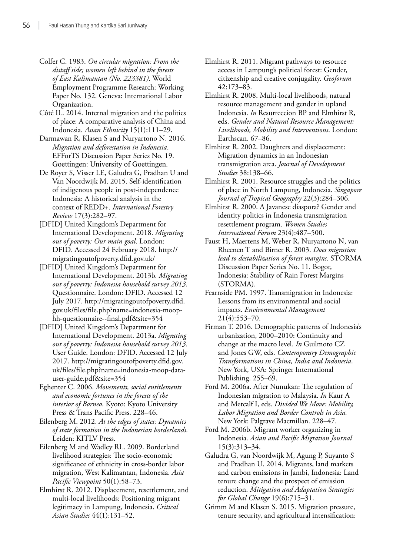- Colfer C. 1983. *On circular migration: From the distaff side; women left behind in the forests of East Kalimantan (No. 223381)*. World Employment Programme Research: Working Paper No. 132. Geneva: International Labor Organization.
- Côté IL. 2014. Internal migration and the politics of place: A comparative analysis of China and Indonesia. *Asian Ethnicity* 15(1):111–29.
- Darmawan R, Klasen S and Nuryartono N. 2016. *Migration and deforestation in Indonesia*. EFForTS Discussion Paper Series No. 19. Goettingen: University of Goettingen.
- De Royer S, Visser LE, Galudra G, Pradhan U and Van Noordwijk M. 2015. Self-identification of indigenous people in post-independence Indonesia: A historical analysis in the context of REDD+. *International Forestry Review* 17(3):282–97.
- [DFID] United Kingdom's Department for International Development. 2018. *Migrating out of poverty: Our main goal*. London: DFID. Accessed 24 February 2018. [http://](http://migratingoutofpoverty.dfid.gov.uk) [migratingoutofpoverty.dfid.gov.uk](http://migratingoutofpoverty.dfid.gov.uk)/
- [DFID] United Kingdom's Department for International Development. 2013b. *Migrating out of poverty: Indonesia household survey 2013*. Questionnaire. London: DFID. Accessed 12 July 2017. [http://migratingoutofpoverty.dfid.](http://migratingoutofpoverty.dfid.gov.uk/files/file.php?name=indonesia-moop-hh-questionnaire--final.pdf&site=354) [gov.uk/files/file.php?name=indonesia-moop](http://migratingoutofpoverty.dfid.gov.uk/files/file.php?name=indonesia-moop-hh-questionnaire--final.pdf&site=354)[hh-questionnaire--final.pdf&site=354](http://migratingoutofpoverty.dfid.gov.uk/files/file.php?name=indonesia-moop-hh-questionnaire--final.pdf&site=354)
- [DFID] United Kingdom's Department for International Development. 2013a. *Migrating out of poverty: Indonesia household survey 2013*. User Guide. London: DFID. Accessed 12 July 2017. [http://migratingoutofpoverty.dfid.gov.](http://migratingoutofpoverty.dfid.gov.uk/files/file.php?name=indonesia-moop-data-user-guide.pdf&site=354) [uk/files/file.php?name=indonesia-moop-data](http://migratingoutofpoverty.dfid.gov.uk/files/file.php?name=indonesia-moop-data-user-guide.pdf&site=354)[user-guide.pdf&site=354](http://migratingoutofpoverty.dfid.gov.uk/files/file.php?name=indonesia-moop-data-user-guide.pdf&site=354)
- Eghenter C. 2006. *Movements, social entitlements and economic fortunes in the forests of the interior of Borneo*. Kyoto: Kyoto University Press & Trans Pacific Press. 228–46.
- Eilenberg M. 2012. *At the edges of states: Dynamics of state formation in the Indonesian borderlands.* Leiden: KITLV Press.
- Eilenberg M and Wadley RL. 2009. Borderland livelihood strategies: The socio‐economic significance of ethnicity in cross‐border labor migration, West Kalimantan, Indonesia. *Asia Pacific Viewpoint* 50(1):58–73.
- Elmhirst R. 2012. Displacement, resettlement, and multi-local livelihoods: Positioning migrant legitimacy in Lampung, Indonesia. *Critical Asian Studies* 44(1):131–52.
- Elmhirst R. 2011. Migrant pathways to resource access in Lampung's political forest: Gender, citizenship and creative conjugality. *Geoforum*  42:173–83.
- Elmhirst R. 2008. Multi-local livelihoods, natural resource management and gender in upland Indonesia. *In* Resurreccion BP and Elmhirst R, eds. *Gender and Natural Resource Management: Livelihoods, Mobility and Interventions*. London: Earthscan. 67–86.
- Elmhirst R. 2002. Daughters and displacement: Migration dynamics in an Indonesian transmigration area. *Journal of Development Studies* 38:138–66.
- Elmhirst R. 2001. Resource struggles and the politics of place in North Lampung, Indonesia. *Singapore Journal of Tropical Geography* 22(3):284–306.
- Elmhirst R. 2000. A Javanese diaspora? Gender and identity politics in Indonesia transmigration resettlement program. *Women Studies International Forum* 23(4):487–500.
- Faust H, Maertens M, Weber R, Nuryartono N, van Rheenen T and Birner R. 2003. *Does migration lead to destabilization of forest margins*. STORMA Discussion Paper Series No. 11. Bogor, Indonesia: Stability of Rain Forest Margins (STORMA).
- Fearnside PM. 1997. Transmigration in Indonesia: Lessons from its environmental and social impacts. *Environmental Management* 21(4):553–70.
- Firman T. 2016. Demographic patterns of Indonesia's urbanization, 2000–2010: Continuity and change at the macro level. *In* Guilmoto CZ and Jones GW, eds. *Contemporary Demographic Transformations in China, India and Indonesia*. New York, USA: Springer International Publishing. 255–69.
- Ford M. 2006a. After Nunukan: The regulation of Indonesian migration to Malaysia. *In* Kaur A and Metcalf I, eds. *Divided We Move: Mobility, Labor Migration and Border Controls in Asia.* New York: Palgrave Macmillan. 228–47.
- Ford M. 2006b. Migrant worker organizing in Indonesia. *Asian and Pacific Migration Journal*  15(3):313–34.
- Galudra G, van Noordwijk M, Agung P, Suyanto S and Pradhan U. 2014. Migrants, land markets and carbon emissions in Jambi, Indonesia: Land tenure change and the prospect of emission reduction. *Mitigation and Adaptation Strategies for Global Change* 19(6):715–31.
- Grimm M and Klasen S. 2015. Migration pressure, tenure security, and agricultural intensification: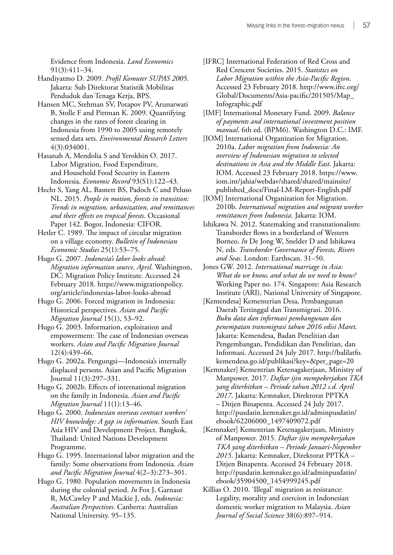Evidence from Indonesia. *Land Economics* 91(3):411–34.

- Handiyatmo D. 2009. *Profil Komuter SUPAS 2005*. Jakarta: Sub Direktorat Statistik Mobilitas Penduduk dan Tenaga Kerja, BPS.
- Hansen MC, Stehman SV, Potapov PV, Arunarwati B, Stolle F and Pittman K. 2009. Quantifying changes in the rates of forest clearing in Indonesia from 1990 to 2005 using remotely sensed data sets. *Environmental Research Letters* 4(3):034001.
- Hasanah A, Mendolia S and Yerokhin O. 2017. Labor Migration, Food Expenditure, and Household Food Security in Eastern Indonesia. *Economic Record* 93(S1):122–43.
- Hecht S, Yang AL, Basnett BS, Padoch C and Peluso NL. 2015. *People in motion, forests in transition: Trends in migration, urbanization, and remittances and their effects on tropical forests*. Occasional Paper 142. Bogor, Indonesia: CIFOR.
- Hetler C. 1989. The impact of circular migration on a village economy. *Bulletin of Indonesian Economic Studies* 25(1):53–75.
- Hugo G. 2007. *Indonesia's labor looks ahead: Migration information source, April*. Washington, DC: Migration Policy Institute. Accessed 24 February 2018. [https://www.migrationpolicy.](https://www.migrationpolicy.org/article/indonesias-labor-looks-abroad) [org/article/indonesias-labor-looks-abroad](https://www.migrationpolicy.org/article/indonesias-labor-looks-abroad)
- Hugo G. 2006. Forced migration in Indonesia: Historical perspectives. *Asian and Pacific Migration Journal* 15(1), 53–92.
- Hugo G. 2003. Information, exploitation and empowerment: The case of Indonesian overseas workers. *Asian and Pacific Migration Journal* 12(4):439–66.
- Hugo G. 2002a. Pengungsi—Indonesia's internally displaced persons. Asian and Pacific Migration Journal 11(3):297–331.
- Hugo G. 2002b. Effects of international migration on the family in Indonesia. *Asian and Pacific Migration Journal* 11(1):13–46.
- Hugo G. 2000. *Indonesian overseas contract workers' HIV knowledge: A gap in information*. South East Asia HIV and Development Project. Bangkok, Thailand: United Nations Development Programme.
- Hugo G. 1995. International labor migration and the family: Some observations from Indonesia. *Asian and Pacific Migration Journal* 4(2–3):273–301.
- Hugo G. 1980. Population movements in Indonesia during the colonial period. *In* Fox J, Garnaut R, McCawley P and Mackie J, eds. *Indonesia: Australian Perspectives*. Canberra: Australian National University. 95–135.
- [IFRC] International Federation of Red Cross and Red Crescent Societies. 2015. *Statistics on Labor Migration within the Asia-Pacific Region*. Accessed 23 February 2018. [http://www.ifrc.org/](http://www.ifrc.org/Global/Documents/Asia-pacific/201505/Map_Infographic.pdf) [Global/Documents/Asia-pacific/201505/Map\\_](http://www.ifrc.org/Global/Documents/Asia-pacific/201505/Map_Infographic.pdf) [Infographic.pdf](http://www.ifrc.org/Global/Documents/Asia-pacific/201505/Map_Infographic.pdf)
- [IMF] International Monetary Fund. 2009. *Balance of payments and international investment position manual*. 6th ed. (BPM6). Washington D.C.: IMF.
- [IOM] International Organization for Migration. 2010a. *Labor migration from Indonesia: An overview of Indonesian migration to selected destinations in Asia and the Middle East*. Jakarta: IOM. Accessed 23 February 2018. [https://www.](https://www.iom.int/jahia/webdav/shared/shared/mainsite/published_docs/Final-LM-Report-English.pdf) [iom.int/jahia/webdav/shared/shared/mainsite/](https://www.iom.int/jahia/webdav/shared/shared/mainsite/published_docs/Final-LM-Report-English.pdf) [published\\_docs/Final-LM-Report-English.pdf](https://www.iom.int/jahia/webdav/shared/shared/mainsite/published_docs/Final-LM-Report-English.pdf)
- [IOM] International Organization for Migration. 2010b. *International migration and migrant worker remittances from Indonesia*. Jakarta: IOM.
- Ishikawa N. 2012. Statemaking and transnationalism: Transborder flows in a borderland of Western Borneo. *In* De Jong W, Snelder D and Ishikawa N, eds. *Transborder Governance of Forests, Rivers and Seas*. London: Earthscan. 31–50.
- Jones GW. 2012. *International marriage in Asia: What do we know, and what do we need to know?* Working Paper no. 174. Singapore: Asia Research Institute (ARI), National University of Singapore.
- [Kemendesa] Kementerian Desa, Pembangunan Daerah Tertinggal dan Transmigrasi. 2016. *Buku data dan informasi pembangunan dan penempatan transmigrasi tahun 2016 edisi Maret*. Jakarta: Kemendesa, Badan Penelitian dan Pengembangan, Pendidikan dan Penelitian, dan Informasi. Accessed 24 July 2017. [http://balilatfo.](http://balilatfo.kemendesa.go.id/publikasi?key=&per_page=20) [kemendesa.go.id/publikasi?key=&per\\_page=20](http://balilatfo.kemendesa.go.id/publikasi?key=&per_page=20)
- [Kemnaker] Kementrian Ketenagakerjaan, Ministry of Manpower. 2017. *Daftar ijin mempekerjakan TKA yang diterbitkan – Periode tahun 2012 s.d. April 2017*. Jakarta: Kemnaker, Direktorat PPTKA – Ditjen Binapenta. Accessed 24 July 2017. [http://pusdatin.kemnaker.go.id/adminpusdatin/](http://pusdatin.kemnaker.go.id/adminpusdatin/ebook/62206000_1497409072.pdf) [ebook/62206000\\_1497409072.pdf](http://pusdatin.kemnaker.go.id/adminpusdatin/ebook/62206000_1497409072.pdf)
- [Kemnaker] Kementrian Ketenagakerjaan, Ministry of Manpower. 2015. *Daftar ijin mempekerjakan TKA yang diterbitkan – Periode Januari-Nopember 2015*. Jakarta: Kemnaker, Direktorat PPTKA – Ditjen Binapenta. Accessed 24 February 2018. [http://pusdatin.kemnaker.go.id/adminpusdatin/](http://pusdatin.kemnaker.go.id/adminpusdatin/ebook/35904500_1454999245.pdfhttp://) [ebook/35904500\\_1454999245.pdf](http://pusdatin.kemnaker.go.id/adminpusdatin/ebook/35904500_1454999245.pdfhttp://)
- Killias O. 2010. 'Illegal' migration as resistance: Legality, morality and coercion in Indonesian domestic worker migration to Malaysia. *Asian Journal of Social Science* 38(6):897–914.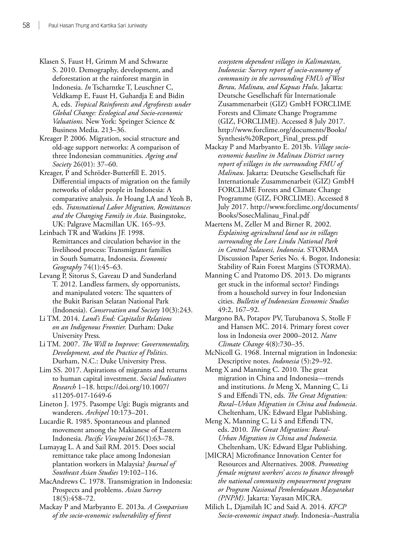- Klasen S, Faust H, Grimm M and Schwarze S. 2010. Demography, development, and deforestation at the rainforest margin in Indonesia. *In* Tscharntke T, Leuschner C, Veldkamp E, Faust H, Guhardja E and Bidin A, eds. *Tropical Rainforests and Agroforests under Global Change: Ecological and Socio-economic Valuations.* New York: Springer Science & Business Media. 213–36.
- Kreager P. 2006. Migration, social structure and old-age support networks: A comparison of three Indonesian communities. *Ageing and Society* 26(01): 37–60.
- Kreager, P and Schröder-Butterfill E. 2015. Differential impacts of migration on the family networks of older people in Indonesia: A comparative analysis. *In* Hoang LA and Yeoh B, eds. *Transnational Labor Migration, Remittances and the Changing Family in Asia*. Basingstoke, UK: Palgrave Macmillan UK. 165–93.
- Leinbach TR and Watkins JF. 1998. Remittances and circulation behavior in the livelihood process: Transmigrant families in South Sumatra, Indonesia. *Economic Geography* 74(1):45–63.
- Levang P, Sitorus S, Gaveau D and Sunderland T. 2012. Landless farmers, sly opportunists, and manipulated voters: The squatters of the Bukit Barisan Selatan National Park (Indonesia). *Conservation and Society* 10(3):243.
- Li TM. 2014. *Land's End: Capitalist Relations on an Indigenous Frontier.* Durham: Duke University Press.
- Li TM. 2007. *The Will to Improve: Governmentality, Development, and the Practice of Politics*. Durham, N.C.: Duke University Press.
- Lim SS. 2017. Aspirations of migrants and returns to human capital investment. *Social Indicators Research* 1–18. [https://doi.org/10.1007/](https://doi.org/10.1007/s11205-017-1649-6) [s11205-017-1649-6](https://doi.org/10.1007/s11205-017-1649-6)
- Lineton J. 1975. Pasompe Ugi: Bugis migrants and wanderers. *Archipel* 10:173–201.
- Lucardie R. 1985. Spontaneous and planned movement among the Makianese of Eastern Indonesia. *Pacific Viewpoint* 26(1):63–78.
- Lumayag L. A and Sail RM. 2015. Does social remittance take place among Indonesian plantation workers in Malaysia? *Journal of Southeast Asian Studies* 19:102–116.
- MacAndrews C. 1978. Transmigration in Indonesia: Prospects and problems. *Asian Survey* 18(5):458–72.
- Mackay P and Marbyanto E. 2013a. *A Comparison of the socio-economic vulnerability of forest*

*ecosystem dependent villages in Kalimantan, Indonesia: Survey report of socio-economy of community in the surrounding FMUs of West Berau, Malinau, and Kapuas Hulu*. Jakarta: Deutsche Gesellschaft für Internationale Zusammenarbeit (GIZ) GmbH FORCLIME Forests and Climate Change Programme (GIZ, FORCLIME). Accessed 8 July 2017. [http://www.forclime.org/documents/Books/](http://www.forclime.org/documents/Books/Synthesis%20Report_Final_press.pdf) [Synthesis%20Report\\_Final\\_press.pdf](http://www.forclime.org/documents/Books/Synthesis%20Report_Final_press.pdf)

- Mackay P and Marbyanto E. 2013b. *Village socioeconomic baseline in Malinau District survey report of villages in the surrounding FMU of Malinau*. Jakarta: Deutsche Gesellschaft für Internationale Zusammenarbeit (GIZ) GmbH FORCLIME Forests and Climate Change Programme (GIZ, FORCLIME). Accessed 8 July 2017. [http://www.forclime.org/documents/](http://www.forclime.org/documents/Books/SosecMalinau_Final.pdf) [Books/SosecMalinau\\_Final.pdf](http://www.forclime.org/documents/Books/SosecMalinau_Final.pdf)
- Maertens M, Zeller M and Birner R. 2002. *Explaining agricultural land use in villages surrounding the Lore Lindu National Park in Central Sulawesi, Indonesia*. STORMA Discussion Paper Series No. 4. Bogor, Indonesia: Stability of Rain Forest Margins (STORMA).
- Manning C and Pratomo DS. 2013. Do migrants get stuck in the informal sector? Findings from a household survey in four Indonesian cities. *Bulletin of Indonesian Economic Studies*  49:2, 167–92.
- Margono BA, Potapov PV, Turubanova S, Stolle F and Hansen MC. 2014. Primary forest cover loss in Indonesia over 2000–2012. *Natre Climate Change* 4(8):730–35.
- McNicoll G. 1968. Internal migration in Indonesia: Descriptive notes. *Indonesia* (5):29–92.
- Meng X and Manning C. 2010. The great migration in China and Indonesia—trends and institutions. *In* Meng X, Manning C, Li S and Effendi TN, eds. *The Great Migration: Rural–Urban Migration in China and Indonesia*. Cheltenham, UK: Edward Elgar Publishing.
- Meng X, Manning C, Li S and Effendi TN, eds. 2010. *The Great Migration: Rural-Urban Migration in China and Indonesia.* Cheltenham, UK: Edward Elgar Publishing.
- [MICRA] Microfinance Innovation Center for Resources and Alternatives. 2008. *Promoting female migrant workers' access to finance through the national community empowerment program or Program Nasional Pemberdayaan Masyarakat (PNPM)*. Jakarta: Yayasan MICRA.
- Milich L, Djamilah IC and Said A. 2014. *KFCP Socio-economic impact study*. Indonesia–Australia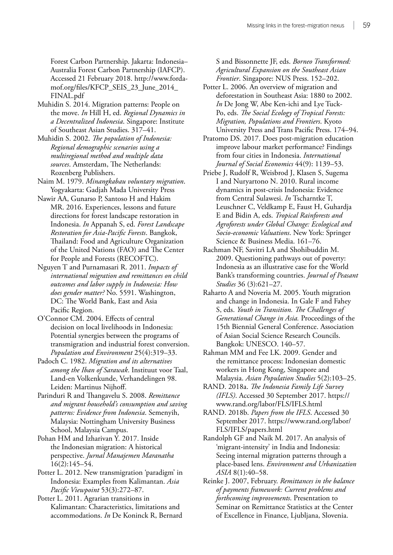Forest Carbon Partnership. Jakarta: Indonesia– Australia Forest Carbon Partnership (IAFCP). Accessed 21 February 2018. [http://www.forda](http://www.forda-mof.org/files/KFCP_SEIS_23_June_2014_FINAL.pdf)[mof.org/files/KFCP\\_SEIS\\_23\\_June\\_2014\\_](http://www.forda-mof.org/files/KFCP_SEIS_23_June_2014_FINAL.pdf) [FINAL.pdf](http://www.forda-mof.org/files/KFCP_SEIS_23_June_2014_FINAL.pdf)

- Muhidin S. 2014. Migration patterns: People on the move. *In* Hill H, ed. *Regional Dynamics in a Decentralized Indonesia*. Singapore: Institute of Southeast Asian Studies. 317–41.
- Muhidin S. 2002. *The population of Indonesia: Regional demographic scenarios using a multiregional method and multiple data sources*. Amsterdam, The Netherlands: Rozenberg Publishers.
- Naim M. 1979. *Minangkabau voluntary migration*. Yogyakarta: Gadjah Mada University Press
- Nawir AA, Gunarso P, Santoso H and Hakim MR. 2016. Experiences, lessons and future directions for forest landscape restoration in Indonesia. *In* Appanah S, ed. *Forest Landscape Restoration for Asia-Pacific Forests*. Bangkok, Thailand: Food and Agriculture Organization of the United Nations (FAO) and The Center for People and Forests (RECOFTC).
- Nguyen T and Purnamasari R. 2011. *Impacts of international migration and remittances on child outcomes and labor supply in Indonesia: How does gender matter?* No. 5591. Washington, DC: The World Bank, East and Asia Pacific Region.
- O'Connor CM. 2004. Effects of central decision on local livelihoods in Indonesia: Potential synergies between the programs of transmigration and industrial forest conversion. *Population and Environment* 25(4):319–33.
- Padoch C. 1982. *Migration and its alternatives among the Iban of Sarawak*. Instituut voor Taal, Land-en Volkenkunde, Verhandelingen 98. Leiden: Martinus Nijhoff.
- Parinduri R and Thangavelu S. 2008. *Remittance and migrant household's consumption and saving patterns: Evidence from Indonesia*. Semenyih, Malaysia: Nottingham University Business School, Malaysia Campus.
- Pohan HM and Izharivan Y. 2017. Inside the Indonesian migration: A historical perspective. *Jurnal Manajemen Maranatha* 16(2):145–54.
- Potter L. 2012. New transmigration 'paradigm' in Indonesia: Examples from Kalimantan. *Asia Pacific Viewpoint* 53(3):272–87.
- Potter L. 2011. Agrarian transitions in Kalimantan: Characteristics, limitations and accommodations. *In* De Koninck R, Bernard

S and Bissonnette JF, eds. *Borneo Transformed: Agricultural Expansion on the Southeast Asian Frontier*. Singapore: NUS Press. 152–202.

- Potter L. 2006. An overview of migration and deforestation in Southeast Asia: 1880 to 2002. *In* De Jong W, Abe Ken-ichi and Lye Tuck-Po, eds. *The Social Ecology of Tropical Forests: Migration, Populations and Frontiers*. Kyoto University Press and Trans Pacific Press. 174–94.
- Pratomo DS. 2017. Does post-migration education improve labour market performance? Findings from four cities in Indonesia. *International Journal of Social Economics* 44(9): 1139–53.
- Priebe J, Rudolf R, Weisbrod J, Klasen S, Sugema I and Nuryartono N. 2010. Rural income dynamics in post-crisis Indonesia: Evidence from Central Sulawesi. *In* Tscharntke T, Leuschner C, Veldkamp E, Faust H, Guhardja E and Bidin A, eds. *Tropical Rainforests and Agroforests under Global Change: Ecological and Socio-economic Valuations*. New York: Springer Science & Business Media. 161–76.
- Rachman NF, Savitri LA and Shohibuddin M. 2009. Questioning pathways out of poverty: Indonesia as an illustrative case for the World Bank's transforming countries. *Journal of Peasant Studies* 36 (3):621–27.
- Raharto A and Noveria M. 2005. Youth migration and change in Indonesia. In Gale F and Fahey S, eds. *Youth in Transition. The Challenges of Generational Change in Asia.* Proceedings of the 15th Biennial General Conference. Association of Asian Social Science Research Councils. Bangkok: UNESCO. 140–57.
- Rahman MM and Fee LK. 2009. Gender and the remittance process: Indonesian domestic workers in Hong Kong, Singapore and Malaysia. *Asian Population Studies* 5(2):103–25.
- RAND. 2018a. *The Indonesia Family Life Survey (IFLS)*. Accessed 30 September 2017. [https://](https://www.rand.org/labor/FLS/IFLS.html) [www.rand.org/labor/FLS/IFLS.html](https://www.rand.org/labor/FLS/IFLS.html)
- RAND. 2018b. *Papers from the IFLS*. Accessed 30 September 2017. [https://www.rand.org/labor/](https://www.rand.org/labor/FLS/IFLS/papers.html) [FLS/IFLS/papers.html](https://www.rand.org/labor/FLS/IFLS/papers.html)
- Randolph GF and Naik M. 2017. An analysis of 'migrant-intensity' in India and Indonesia: Seeing internal migration patterns through a place-based lens. *Environment and Urbanization ASIA* 8(1):40–58.
- Reinke J. 2007, February. *Remittances in the balance of payments framework: Current problems and forthcoming improvements*. Presentation to Seminar on Remittance Statistics at the Center of Excellence in Finance, Ljubljana, Slovenia.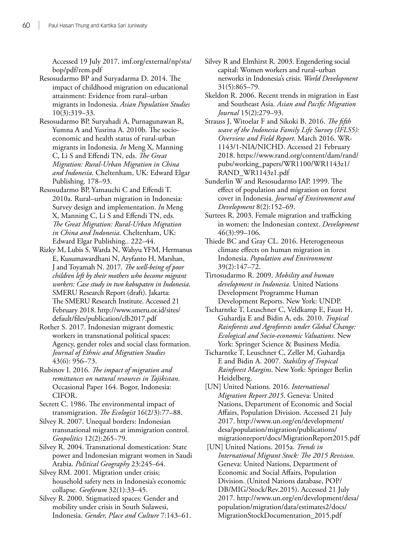Accessed 19 July 2017. imf.org/external/np/sta/ bop/pdf/rem.pdf

Resosudarmo BP and Suryadarma D. 2014. The impact of childhood migration on educational attainment: Evidence from rural–urban migrants in Indonesia. *Asian Population Studies* 10(3):319–33.

Resosudarmo BP, Suryahadi A, Purnagunawan R, Yumna A and Yusrina A. 2010b. The socioeconomic and health status of rural-urban migrants in Indonesia. *In* Meng X, Manning C, Li S and Effendi TN, eds. *The Great Migration: Rural-Urban Migration in China and Indonesia*. Cheltenham, UK: Edward Elgar Publishing. 178–93.

Resosudarmo BP, Yamauchi C and Effendi T. 2010a. Rural–urban migration in Indonesia: Survey design and implementation. *In* Meng X, Manning C, Li S and Effendi TN, eds. *The Great Migration: Rural-Urban Migration in China and Indonesia*. Cheltenham, UK: Edward Elgar Publishing.. 222–44.

Rizky M, Lubis S, Warda N, Wahyu YFM, Hermanus E, Kusumawardhani N, Aryfanto H, Marshan, J and Toyamah N. 2017. *The well-being of poor children left by their mothers who become migrant workers: Case study in two kabupaten in Indonesia*. SMERU Research Report (draft). Jakarta: The SMERU Research Institute. Accessed 21 February 2018. [http://www.smeru.or.id/sites/](http://www.smeru.or.id/sites/default/files/publication/clb2017.pdf) [default/files/publication/clb2017.pdf](http://www.smeru.or.id/sites/default/files/publication/clb2017.pdf)

Rother S. 2017. Indonesian migrant domestic workers in transnational political spaces: Agency, gender roles and social class formation. *Journal of Ethnic and Migration Studies* 43(6): 956–73.

Rubinov I. 2016. *The impact of migration and remittances on natural resources in Tajikistan*. Occasional Paper 164. Bogor, Indonesia: CIFOR.

Secrett C. 1986. The environmental impact of transmigration. *The Ecologist* 16(2/3):77–88.

Silvey R. 2007. Unequal borders: Indonesian transnational migrants at immigration control. *Geopolitics* 12(2):265−79.

Silvey R. 2004. Transnational domestication: State power and Indonesian migrant women in Saudi Arabia. *Political Geography* 23:245–64.

Silvey RM. 2001. Migration under crisis; household safety nets in Indonesia's economic collapse. *Geoforum* 32(1):33–45.

Silvey R. 2000. Stigmatized spaces: Gender and mobility under crisis in South Sulawesi, Indonesia. *Gender, Place and Culture* 7:143–61.

- Silvey R and Elmhirst R. 2003. Engendering social capital: Women workers and rural–urban networks in Indonesia's crisis. *World Development* 31(5):865–79.
- Skeldon R. 2006. Recent trends in migration in East and Southeast Asia. *Asian and Pacific Migration Journal* 15(2):279–93.

Strauss J, Witoelar F and Sikoki B. 2016. *The fifth wave of the Indonesia Family Life Survey (IFLS5): Overview and Field Report*. March 2016. WR-1143/1-NIA/NICHD. Accessed 21 February 2018. [https://www.rand.org/content/dam/rand/](https://www.rand.org/content/dam/rand/pubs/working_papers/WR1100/WR1143z1/RAND_WR1143z1.pdf) [pubs/working\\_papers/WR1100/WR1143z1/](https://www.rand.org/content/dam/rand/pubs/working_papers/WR1100/WR1143z1/RAND_WR1143z1.pdf) [RAND\\_WR1143z1.pdf](https://www.rand.org/content/dam/rand/pubs/working_papers/WR1100/WR1143z1/RAND_WR1143z1.pdf)

- Sunderlin W and Resosudarmo IAP. 1999. The effect of population and migration on forest cover in Indonesia. *Journal of Environment and Development* 8(2):152–69.
- Surtees R. 2003. Female migration and trafficking in women: the Indonesian context. *Development* 46(3):99–106.
- Thiede BC and Gray CL. 2016. Heterogeneous climate effects on human migration in Indonesia. *Population and Environment* 39(2):147–72.

Tirtosudarmo R. 2009. *Mobility and human development in Indonesia*. United Nations Development Programme Human Development Reports. New York: UNDP.

- Tscharntke T, Leuschner C, Veldkamp E, Faust H, Guhardja E and Bidin A, eds. 2010. *Tropical Rainforests and Agroforests under Global Change: Ecological and Socio-economic Valuations*. New York: Springer Science & Business Media.
- Tscharntke T, Leuschner C, Zeller M, Guhardja E and Bidin A. 2007. *Stability of Tropical Rainforest Margins*. New York: Springer Berlin Heidelberg.
- [UN] United Nations. 2016. *International Migration Report 2015*. Geneva: United Nations, Department of Economic and Social Affairs, Population Division. Accessed 21 July 2017. [http://www.un.org/en/development/](http://www.un.org/en/development/desa/population/migration/publications/migrationreport/docs/MigrationReport2015.pdf) [desa/population/migration/publications/](http://www.un.org/en/development/desa/population/migration/publications/migrationreport/docs/MigrationReport2015.pdf) [migrationreport/docs/MigrationReport2015.pdf](http://www.un.org/en/development/desa/population/migration/publications/migrationreport/docs/MigrationReport2015.pdf)
- [UN] United Nations. 2015a. *Trends in International Migrant Stock: The 2015 Revision*. Geneva: United Nations, Department of Economic and Social Affairs, Population Division. (United Nations database, POP/ DB/MIG/Stock/Rev.2015). Accessed 21 July 2017. [http://www.un.org/en/development/desa/](http://www.un.org/en/development/desa/population/migration/data/estimates2/docs/MigrationStockDocumentation_2015.pdf) [population/migration/data/estimates2/docs/](http://www.un.org/en/development/desa/population/migration/data/estimates2/docs/MigrationStockDocumentation_2015.pdf) [MigrationStockDocumentation\\_2015.pdf](http://www.un.org/en/development/desa/population/migration/data/estimates2/docs/MigrationStockDocumentation_2015.pdf)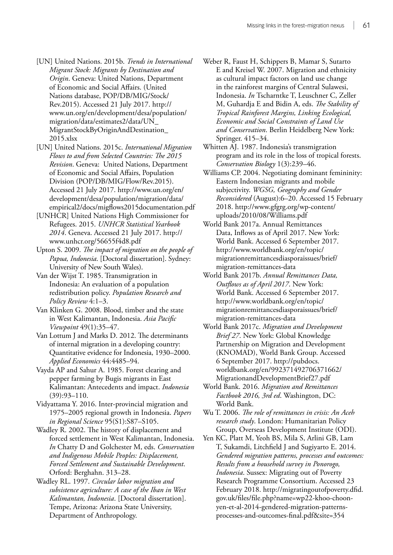- [UN] United Nations. 2015b. *Trends in International Migrant Stock: Migrants by Destination and Origin*. Geneva: United Nations, Department of Economic and Social Affairs. (United Nations database, POP/DB/MIG/Stock/ Rev.2015). Accessed 21 July 2017. [http://](http://www.un.org/en/development/desa/population/migration/data/estimates2/data/UN_MigrantStockByOriginAndDestination_2015.xlsx) [www.un.org/en/development/desa/population/](http://www.un.org/en/development/desa/population/migration/data/estimates2/data/UN_MigrantStockByOriginAndDestination_2015.xlsx) [migration/data/estimates2/data/UN\\_](http://www.un.org/en/development/desa/population/migration/data/estimates2/data/UN_MigrantStockByOriginAndDestination_2015.xlsx) [MigrantStockByOriginAndDestination\\_](http://www.un.org/en/development/desa/population/migration/data/estimates2/data/UN_MigrantStockByOriginAndDestination_2015.xlsx) [2015.xlsx](http://www.un.org/en/development/desa/population/migration/data/estimates2/data/UN_MigrantStockByOriginAndDestination_2015.xlsx)
- [UN] United Nations. 2015c. *International Migration Flows to and from Selected Countries: The 2015 Revision*. Geneva: United Nations, Department of Economic and Social Affairs, Population Division (POP/DB/MIG/Flow/Rev.2015). Accessed 21 July 2017. [http://www.un.org/en/](http://www.un.org/en/development/desa/population/migration/data/empirical2/docs/migflows2015documentation.pdf) [development/desa/population/migration/data/](http://www.un.org/en/development/desa/population/migration/data/empirical2/docs/migflows2015documentation.pdf) [empirical2/docs/migflows2015documentation.pdf](http://www.un.org/en/development/desa/population/migration/data/empirical2/docs/migflows2015documentation.pdf)
- [UNHCR] United Nations High Commissioner for Refugees. 2015. *UNHCR Statistical Yearbook 2014*. Geneva. Accessed 21 July 2017. [http://](http://www.unhcr.org/56655f4d8.pdf) [www.unhcr.org/56655f4d8.pdf](http://www.unhcr.org/56655f4d8.pdf)
- Upton S. 2009. *The impact of migration on the people of Papua, Indonesia*. [Doctoral dissertation]. Sydney: University of New South Wales).
- Van der Wijst T. 1985. Transmigration in Indonesia: An evaluation of a population redistribution policy. *Population Research and Policy Review* 4:1–3.
- Van Klinken G. 2008. Blood, timber and the state in West Kalimantan, Indonesia. *Asia Pacific Viewpoint* 49(1):35–47.
- Van Lottum J and Marks D. 2012. The determinants of internal migration in a developing country: Quantitative evidence for Indonesia, 1930–2000. *Applied Economics* 44:4485–94.
- Vayda AP and Sahur A. 1985. Forest clearing and pepper farming by Bugis migrants in East Kalimantan: Antecedents and impact. *Indonesia*  (39):93–110.
- Vidyattama Y. 2016. Inter‐provincial migration and 1975–2005 regional growth in Indonesia. *Papers in Regional Science* 95(S1):S87–S105.
- Wadley R. 2002. The history of displacement and forced settlement in West Kalimantan, Indonesia. *In* Chatty D and Golchester M, eds. *Conservation and Indigenous Mobile Peoples: Displacement, Forced Settlement and Sustainable Development*. Orford: Berghahn. 313–28.
- Wadley RL. 1997. *Circular labor migration and subsistence agriculture: A case of the Iban in West Kalimantan, Indonesia*. [Doctoral dissertation]. Tempe, Arizona: Arizona State University, Department of Anthropology.
- Weber R, Faust H, Schippers B, Mamar S, Sutarto E and Kreisel W. 2007. Migration and ethnicity as cultural impact factors on land use change in the rainforest margins of Central Sulawesi, Indonesia. *In* Tscharntke T, Leuschner C, Zeller M, Guhardja E and Bidin A, eds. *The Stability of Tropical Rainforest Margins, Linking Ecological, Economic and Social Constraints of Land Use and Conservation*. Berlin Heidelberg New York: Springer. 415–34.
- Whitten AJ. 1987. Indonesia's transmigration program and its role in the loss of tropical forests. *Conservation Biology* 1(3):239–46.
- Williams CP. 2004. Negotiating dominant femininity: Eastern Indonesian migrants and mobile subjectivity. *WGSG, Geography and Gender Reconsidered* (August):6–20. Accessed 15 February 2018. [http://www.gfgrg.org/wp-content/](http://www.gfgrg.org/wp-content/uploads/2010/08/Williams.pdf) [uploads/2010/08/Williams.pdf](http://www.gfgrg.org/wp-content/uploads/2010/08/Williams.pdf)
- World Bank 2017a. Annual Remittances Data, Inflows as of April 2017. New York: World Bank. Accessed 6 September 2017. [http://www.worldbank.org/en/topic/](http://www.worldbank.org/en/topic/migrationremittancesdiasporaissues/brief/migration-remittances-data) [migrationremittancesdiasporaissues/brief/](http://www.worldbank.org/en/topic/migrationremittancesdiasporaissues/brief/migration-remittances-data) [migration-remittances-data](http://www.worldbank.org/en/topic/migrationremittancesdiasporaissues/brief/migration-remittances-data)
- World Bank 2017b. *Annual Remittances Data, Outflows as of April 2017*. New York: World Bank. Accessed 6 September 2017. [http://www.worldbank.org/en/topic/](http://www.worldbank.org/en/topic/migrationremittancesdiasporaissues/brief/migration-remittances-data) [migrationremittancesdiasporaissues/brief/](http://www.worldbank.org/en/topic/migrationremittancesdiasporaissues/brief/migration-remittances-data) [migration-remittances-data](http://www.worldbank.org/en/topic/migrationremittancesdiasporaissues/brief/migration-remittances-data)
- World Bank 2017c. *Migration and Development Brief 27*. New York: Global Knowledge Partnership on Migration and Development (KNOMAD), World Bank Group. Accessed 6 September 2017. [http://pubdocs.](http://pubdocs.worldbank.org/en/992371492706371662/MigrationandDevelopmentBrief27.pdf) [worldbank.org/en/992371492706371662/](http://pubdocs.worldbank.org/en/992371492706371662/MigrationandDevelopmentBrief27.pdf) [MigrationandDevelopmentBrief27.pdf](http://pubdocs.worldbank.org/en/992371492706371662/MigrationandDevelopmentBrief27.pdf)
- World Bank. 2016. *Migration and Remittances Factbook 2016, 3rd ed*. Washington, DC: World Bank.
- Wu T. 2006. *The role of remittances in crisis: An Aceh research study*. London: Humanitarian Policy Group, Overseas Development Institute (ODI).
- Yen KC, Platt M, Yeoh BS, Mila S, Arlini GB, Lam T, Sukamdi, Litchfield J and Sugiyarto E. 2014. *Gendered migration patterns, processes and outcomes: Results from a household survey in Ponorogo, Indonesia*. Sussex: Migrating out of Poverty Research Programme Consortium. Accessed 23 February 2018. [http://migratingoutofpoverty.dfid.](http://migratingoutofpoverty.dfid.gov.uk/files/file.php?name=wp22-khoo-choon-yen-et-al-2014-gendered-migration-patterns-processes-and-outcomes-final.pdf&site=354) [gov.uk/files/file.php?name=wp22-khoo-choon](http://migratingoutofpoverty.dfid.gov.uk/files/file.php?name=wp22-khoo-choon-yen-et-al-2014-gendered-migration-patterns-processes-and-outcomes-final.pdf&site=354)[yen-et-al-2014-gendered-migration-patterns](http://migratingoutofpoverty.dfid.gov.uk/files/file.php?name=wp22-khoo-choon-yen-et-al-2014-gendered-migration-patterns-processes-and-outcomes-final.pdf&site=354)[processes-and-outcomes-final.pdf&site=354](http://migratingoutofpoverty.dfid.gov.uk/files/file.php?name=wp22-khoo-choon-yen-et-al-2014-gendered-migration-patterns-processes-and-outcomes-final.pdf&site=354)